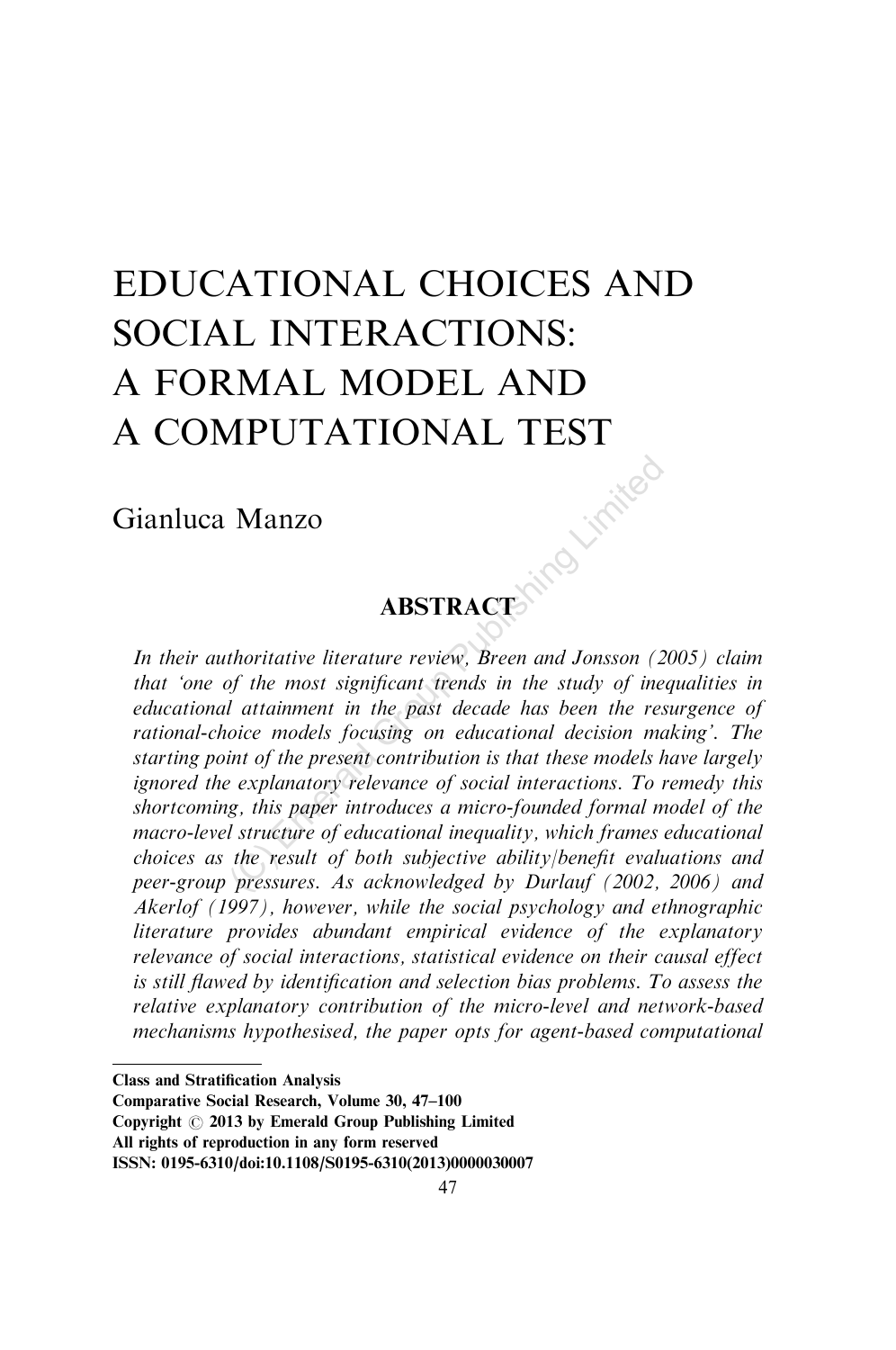# ing Limited EDUCATIONAL CHOICES AND SOCIAL INTERACTIONS: A FORMAL MODEL AND A COMPUTATIONAL TEST

Gianluca Manzo

# ABSTRACT

In their authoritative literature review, Breen and Jonsson (2005) claim that 'one of the most significant trends in the study of inequalities in educational attainment in the past decade has been the resurgence of rational-choice models focusing on educational decision making'. The starting point of the present contribution is that these models have largely ignored the explanatory relevance of social interactions. To remedy this shortcoming, this paper introduces a micro-founded formal model of the macro-level structure of educational inequality, which frames educational choices as the result of both subjective ability/benefit evaluations and peer-group pressures. As acknowledged by Durlauf (2002, 2006) and Akerlof (1997), however, while the social psychology and ethnographic literature provides abundant empirical evidence of the explanatory relevance of social interactions, statistical evidence on their causal effect is still flawed by identification and selection bias problems. To assess the relative explanatory contribution of the micro-level and network-based mechanisms hypothesised, the paper opts for agent-based computational

Class and Stratification Analysis

Comparative Social Research, Volume 30, 47–100

Copyright  $\odot$  2013 by Emerald Group Publishing Limited

All rights of reproduction in any form reserved

ISSN: 0195-6310/doi:10.1108/S0195-6310(2013)0000030007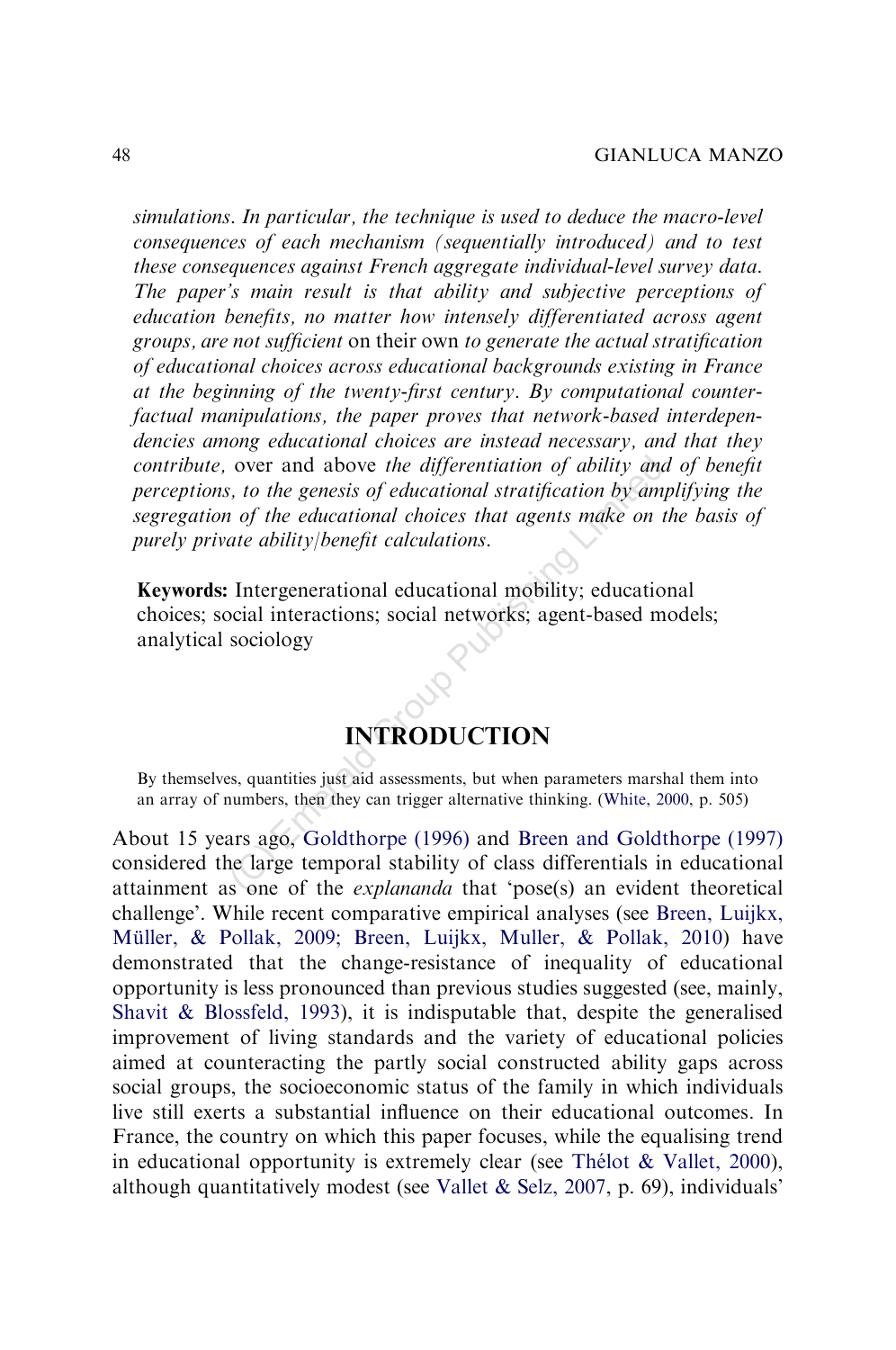over and above the differentiation of ability and<br>i, to the genesis of educational stratification by ample<br>in the distribution of the ducational choices that agents make on the<br>ate ability/benefit calculations.<br>Intergenera simulations. In particular, the technique is used to deduce the macro-level consequences of each mechanism (sequentially introduced) and to test these consequences against French aggregate individual-level survey data. The paper's main result is that ability and subjective perceptions of education benefits, no matter how intensely differentiated across agent groups, are not sufficient on their own to generate the actual stratification of educational choices across educational backgrounds existing in France at the beginning of the twenty-first century. By computational counterfactual manipulations, the paper proves that network-based interdependencies among educational choices are instead necessary, and that they contribute, over and above the differentiation of ability and of benefit perceptions, to the genesis of educational stratification by amplifying the segregation of the educational choices that agents make on the basis of purely private ability/benefit calculations.

Keywords: Intergenerational educational mobility; educational choices; social interactions; social networks; agent-based models; analytical sociology

# INTRODUCTION

By themselves, quantities just aid assessments, but when parameters marshal them into an array of numbers, then they can trigger alternative thinking. (White, 2000, p. 505)

About 15 years ago, Goldthorpe (1996) and Breen and Goldthorpe (1997) considered the large temporal stability of class differentials in educational attainment as one of the explananda that 'pose(s) an evident theoretical challenge'. While recent comparative empirical analyses (see Breen, Luijkx, Müller, & Pollak, 2009; Breen, Luijkx, Muller, & Pollak, 2010) have demonstrated that the change-resistance of inequality of educational opportunity is less pronounced than previous studies suggested (see, mainly, Shavit & Blossfeld, 1993), it is indisputable that, despite the generalised improvement of living standards and the variety of educational policies aimed at counteracting the partly social constructed ability gaps across social groups, the socioeconomic status of the family in which individuals live still exerts a substantial influence on their educational outcomes. In France, the country on which this paper focuses, while the equalising trend in educational opportunity is extremely clear (see Thélot  $&$  Vallet, 2000), although quantitatively modest (see Vallet & Selz, 2007, p. 69), individuals'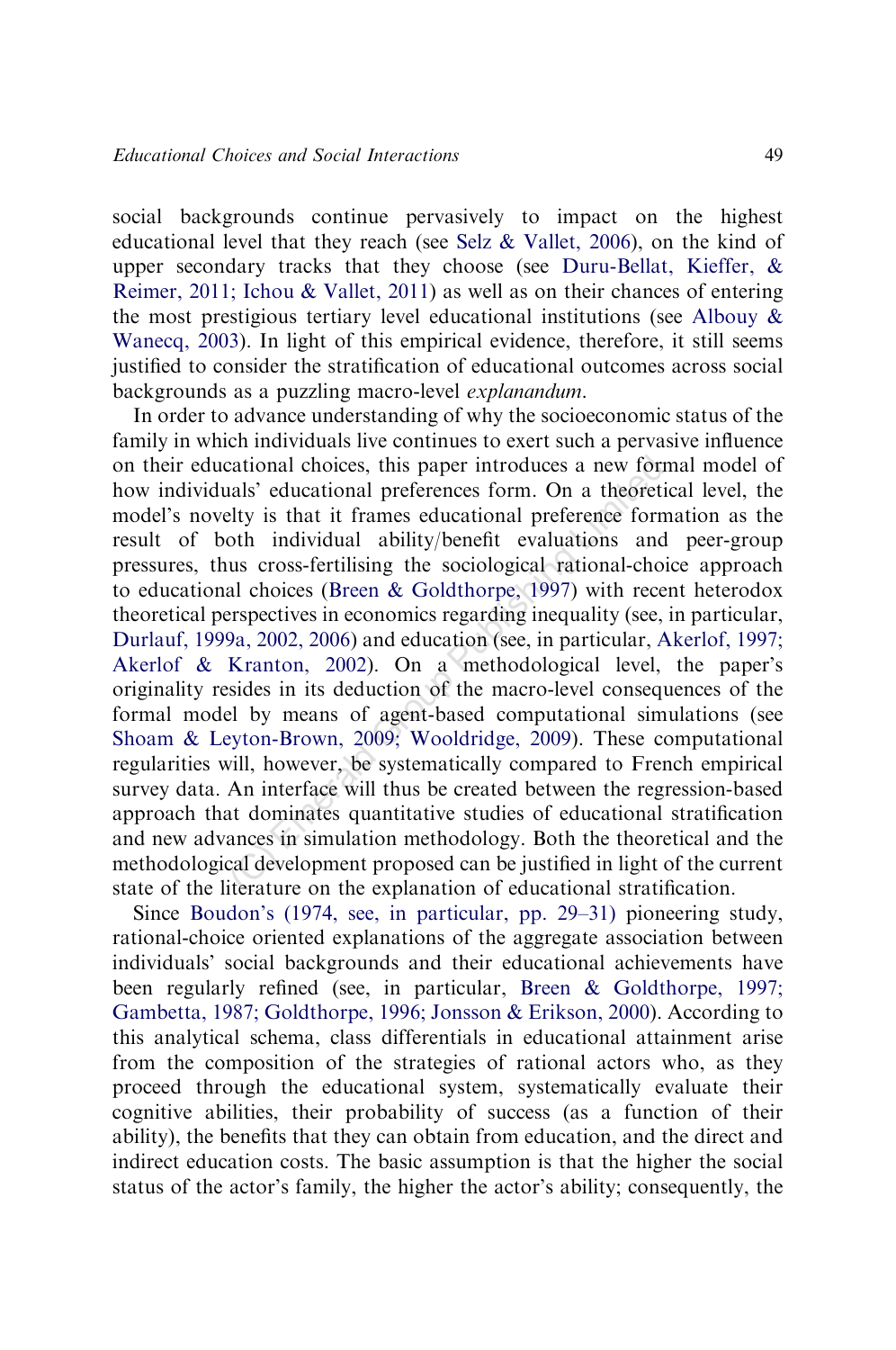social backgrounds continue pervasively to impact on the highest educational level that they reach (see Selz & Vallet, 2006), on the kind of upper secondary tracks that they choose (see Duru-Bellat, Kieffer, & Reimer, 2011; Ichou & Vallet, 2011) as well as on their chances of entering the most prestigious tertiary level educational institutions (see Albouy  $\&$ Wanecq, 2003). In light of this empirical evidence, therefore, it still seems justified to consider the stratification of educational outcomes across social backgrounds as a puzzling macro-level explanandum.

cational choices, this paper introduces a new form<br>tals' educational preferences form. On a theoretic-<br>elty is that it frames educational preference forma<br>oth individual ability/benefit evaluations and<br>us cross-fertilising In order to advance understanding of why the socioeconomic status of the family in which individuals live continues to exert such a pervasive influence on their educational choices, this paper introduces a new formal model of how individuals' educational preferences form. On a theoretical level, the model's novelty is that it frames educational preference formation as the result of both individual ability/benefit evaluations and peer-group pressures, thus cross-fertilising the sociological rational-choice approach to educational choices (Breen & Goldthorpe, 1997) with recent heterodox theoretical perspectives in economics regarding inequality (see, in particular, Durlauf, 1999a, 2002, 2006) and education (see, in particular, Akerlof, 1997; Akerlof & Kranton, 2002). On a methodological level, the paper's originality resides in its deduction of the macro-level consequences of the formal model by means of agent-based computational simulations (see Shoam & Leyton-Brown, 2009; Wooldridge, 2009). These computational regularities will, however, be systematically compared to French empirical survey data. An interface will thus be created between the regression-based approach that dominates quantitative studies of educational stratification and new advances in simulation methodology. Both the theoretical and the methodological development proposed can be justified in light of the current state of the literature on the explanation of educational stratification.

Since Boudon's (1974, see, in particular, pp. 29–31) pioneering study, rational-choice oriented explanations of the aggregate association between individuals' social backgrounds and their educational achievements have been regularly refined (see, in particular, Breen & Goldthorpe, 1997; Gambetta, 1987; Goldthorpe, 1996; Jonsson & Erikson, 2000). According to this analytical schema, class differentials in educational attainment arise from the composition of the strategies of rational actors who, as they proceed through the educational system, systematically evaluate their cognitive abilities, their probability of success (as a function of their ability), the benefits that they can obtain from education, and the direct and indirect education costs. The basic assumption is that the higher the social status of the actor's family, the higher the actor's ability; consequently, the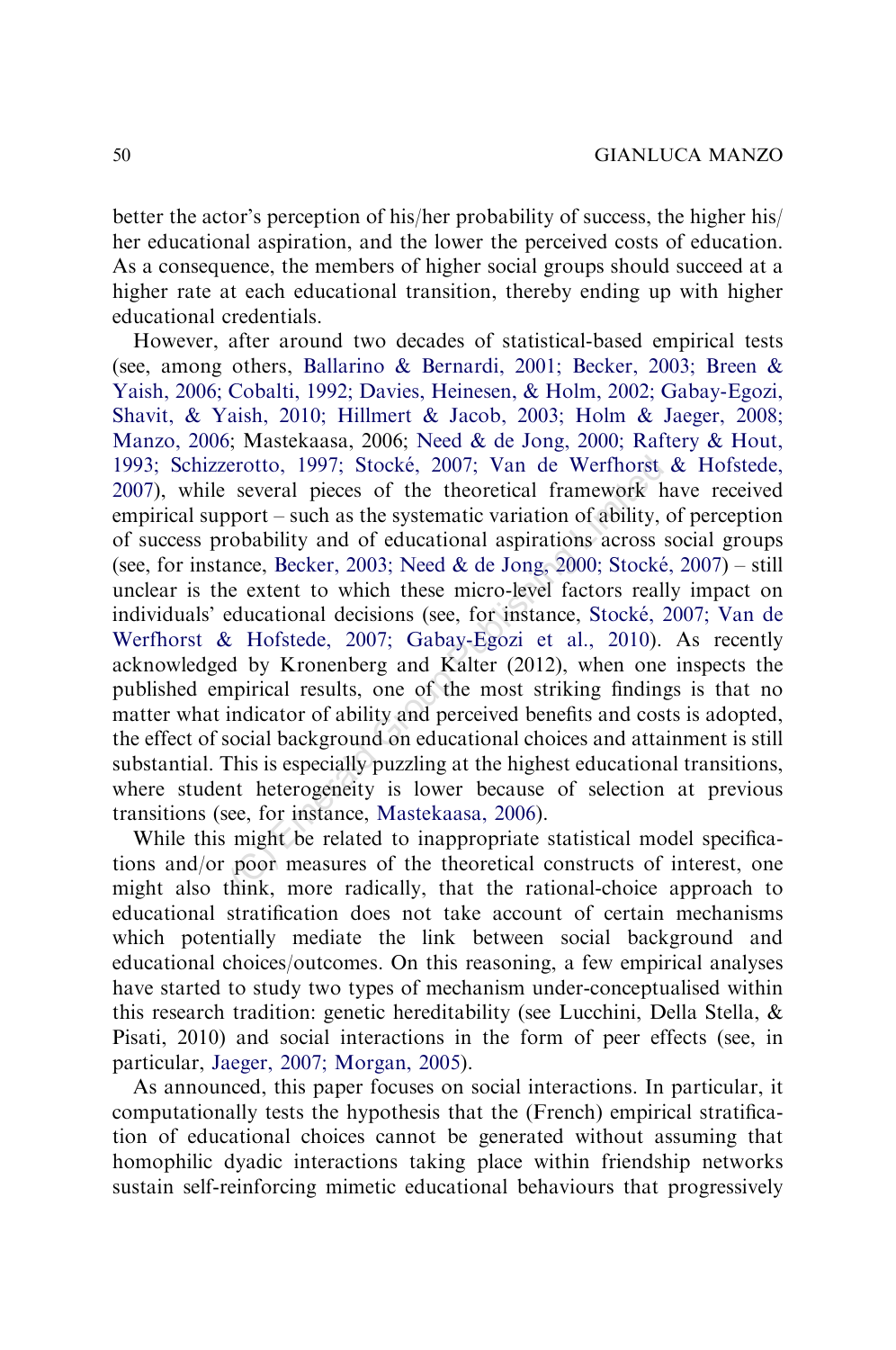better the actor's perception of his/her probability of success, the higher his/ her educational aspiration, and the lower the perceived costs of education. As a consequence, the members of higher social groups should succeed at a higher rate at each educational transition, thereby ending up with higher educational credentials.

erotto, 1997; Stocké, 2007; Van de Werfhorst &<br>several pieces of the theoretical framework ha<br>pport – such as the systematic variation of ability, oi<br>obability and of educational aspirations across sc<br>nnce, Becker, 2003; However, after around two decades of statistical-based empirical tests (see, among others, Ballarino & Bernardi, 2001; Becker, 2003; Breen & Yaish, 2006; Cobalti, 1992; Davies, Heinesen, & Holm, 2002; Gabay-Egozi, Shavit, & Yaish, 2010; Hillmert & Jacob, 2003; Holm & Jaeger, 2008; Manzo, 2006; Mastekaasa, 2006; Need & de Jong, 2000; Raftery & Hout, 1993; Schizzerotto, 1997; Stocké, 2007; Van de Werfhorst & Hofstede, 2007), while several pieces of the theoretical framework have received empirical support – such as the systematic variation of ability, of perception of success probability and of educational aspirations across social groups (see, for instance, Becker, 2003; Need & de Jong, 2000; Stocké, 2007) – still unclear is the extent to which these micro-level factors really impact on individuals' educational decisions (see, for instance, Stocke´, 2007; Van de Werfhorst & Hofstede, 2007; Gabay-Egozi et al., 2010). As recently acknowledged by Kronenberg and Kalter (2012), when one inspects the published empirical results, one of the most striking findings is that no matter what indicator of ability and perceived benefits and costs is adopted, the effect of social background on educational choices and attainment is still substantial. This is especially puzzling at the highest educational transitions, where student heterogeneity is lower because of selection at previous transitions (see, for instance, Mastekaasa, 2006).

While this might be related to inappropriate statistical model specifications and/or poor measures of the theoretical constructs of interest, one might also think, more radically, that the rational-choice approach to educational stratification does not take account of certain mechanisms which potentially mediate the link between social background and educational choices/outcomes. On this reasoning, a few empirical analyses have started to study two types of mechanism under-conceptualised within this research tradition: genetic hereditability (see Lucchini, Della Stella, & Pisati, 2010) and social interactions in the form of peer effects (see, in particular, Jaeger, 2007; Morgan, 2005).

As announced, this paper focuses on social interactions. In particular, it computationally tests the hypothesis that the (French) empirical stratification of educational choices cannot be generated without assuming that homophilic dyadic interactions taking place within friendship networks sustain self-reinforcing mimetic educational behaviours that progressively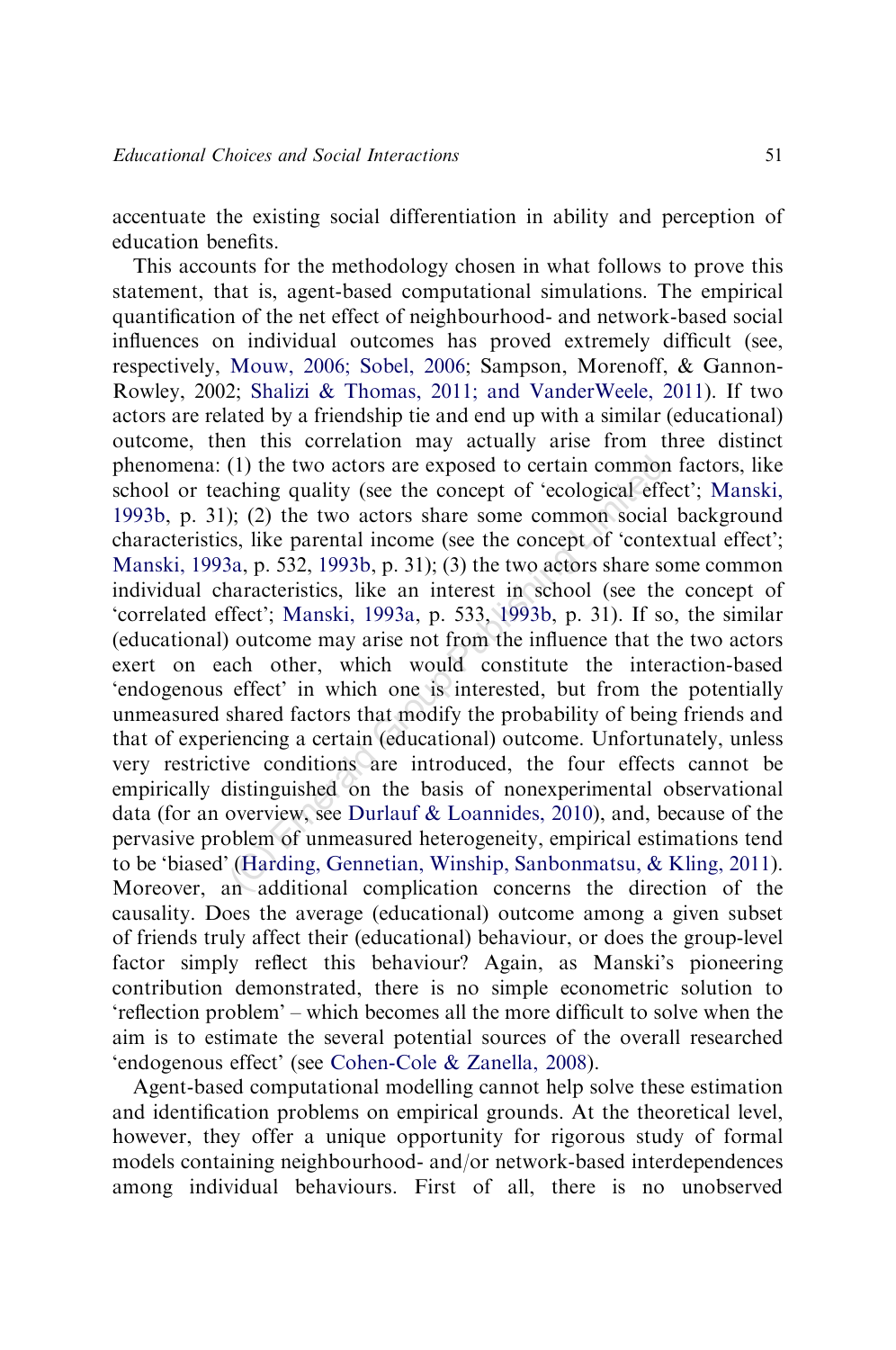accentuate the existing social differentiation in ability and perception of education benefits.

(1) the two actors are exposed to certain common aching quality (see the concept of 'ecological effec<br>); (2) the two actors share some common social ls, like parental income (see the concept of 'contex<br>3a, p. 532, 1993b, This accounts for the methodology chosen in what follows to prove this statement, that is, agent-based computational simulations. The empirical quantification of the net effect of neighbourhood- and network-based social influences on individual outcomes has proved extremely difficult (see, respectively, Mouw, 2006; Sobel, 2006; Sampson, Morenoff, & Gannon-Rowley, 2002; Shalizi & Thomas, 2011; and VanderWeele, 2011). If two actors are related by a friendship tie and end up with a similar (educational) outcome, then this correlation may actually arise from three distinct phenomena: (1) the two actors are exposed to certain common factors, like school or teaching quality (see the concept of 'ecological effect'; Manski, 1993b, p. 31); (2) the two actors share some common social background characteristics, like parental income (see the concept of 'contextual effect'; Manski, 1993a, p. 532, 1993b, p. 31); (3) the two actors share some common individual characteristics, like an interest in school (see the concept of 'correlated effect'; Manski, 1993a, p. 533, 1993b, p. 31). If so, the similar (educational) outcome may arise not from the influence that the two actors exert on each other, which would constitute the interaction-based 'endogenous effect' in which one is interested, but from the potentially unmeasured shared factors that modify the probability of being friends and that of experiencing a certain (educational) outcome. Unfortunately, unless very restrictive conditions are introduced, the four effects cannot be empirically distinguished on the basis of nonexperimental observational data (for an overview, see Durlauf & Loannides, 2010), and, because of the pervasive problem of unmeasured heterogeneity, empirical estimations tend to be 'biased' (Harding, Gennetian, Winship, Sanbonmatsu, & Kling, 2011). Moreover, an additional complication concerns the direction of the causality. Does the average (educational) outcome among a given subset of friends truly affect their (educational) behaviour, or does the group-level factor simply reflect this behaviour? Again, as Manski's pioneering contribution demonstrated, there is no simple econometric solution to 'reflection problem' – which becomes all the more difficult to solve when the aim is to estimate the several potential sources of the overall researched 'endogenous effect' (see Cohen-Cole & Zanella, 2008).

Agent-based computational modelling cannot help solve these estimation and identification problems on empirical grounds. At the theoretical level, however, they offer a unique opportunity for rigorous study of formal models containing neighbourhood- and/or network-based interdependences among individual behaviours. First of all, there is no unobserved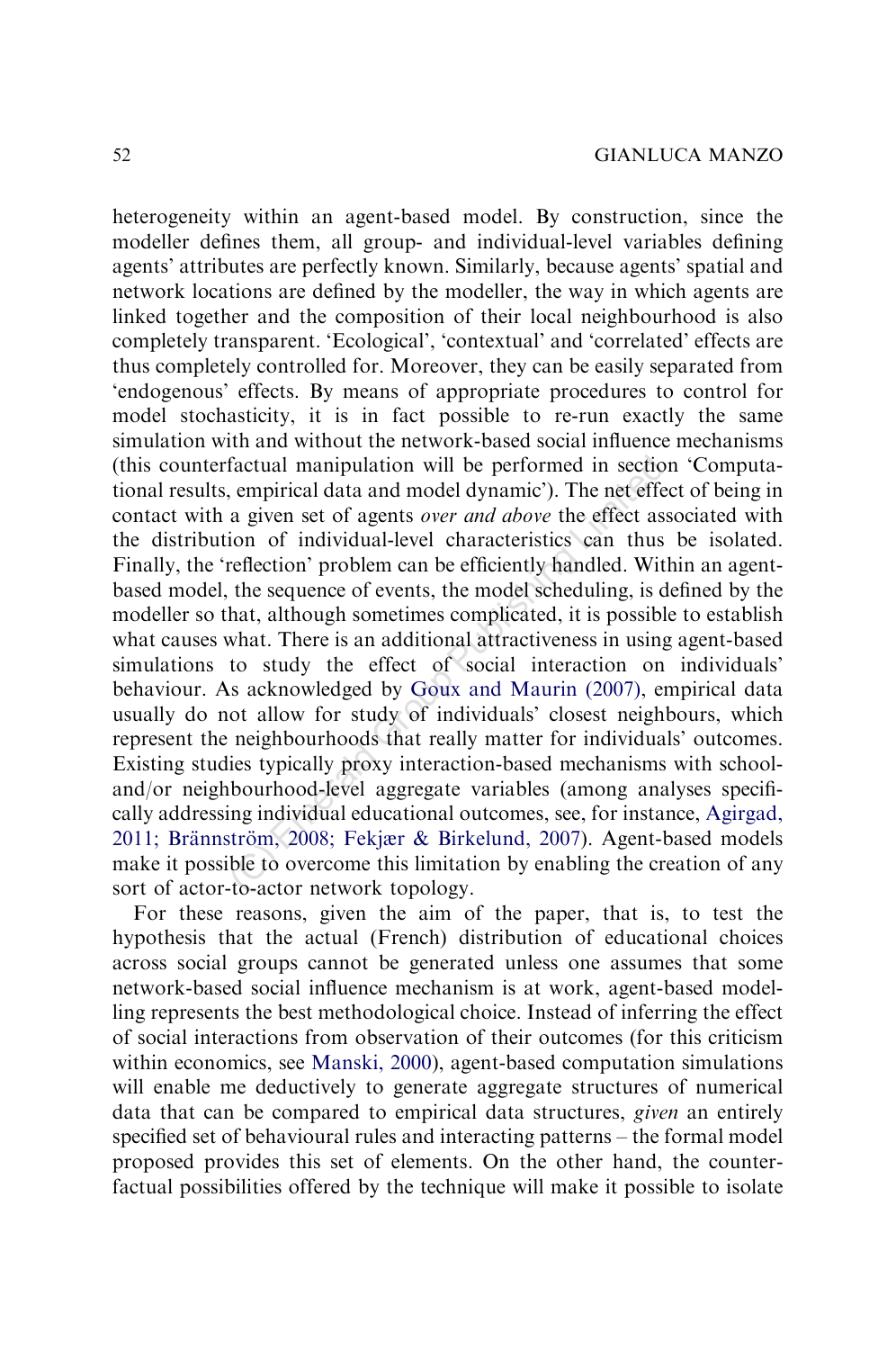factual manipulation will be performed in section, empirical data and model dynamic'). The net effect a given set of agents *over and above* the effect asset ion of individual-level characteristics can thus 1 reflection' heterogeneity within an agent-based model. By construction, since the modeller defines them, all group- and individual-level variables defining agents' attributes are perfectly known. Similarly, because agents' spatial and network locations are defined by the modeller, the way in which agents are linked together and the composition of their local neighbourhood is also completely transparent. 'Ecological', 'contextual' and 'correlated' effects are thus completely controlled for. Moreover, they can be easily separated from 'endogenous' effects. By means of appropriate procedures to control for model stochasticity, it is in fact possible to re-run exactly the same simulation with and without the network-based social influence mechanisms (this counterfactual manipulation will be performed in section 'Computational results, empirical data and model dynamic'). The net effect of being in contact with a given set of agents over and above the effect associated with the distribution of individual-level characteristics can thus be isolated. Finally, the 'reflection' problem can be efficiently handled. Within an agentbased model, the sequence of events, the model scheduling, is defined by the modeller so that, although sometimes complicated, it is possible to establish what causes what. There is an additional attractiveness in using agent-based simulations to study the effect of social interaction on individuals' behaviour. As acknowledged by Goux and Maurin (2007), empirical data usually do not allow for study of individuals' closest neighbours, which represent the neighbourhoods that really matter for individuals' outcomes. Existing studies typically proxy interaction-based mechanisms with schooland/or neighbourhood-level aggregate variables (among analyses specifically addressing individual educational outcomes, see, for instance, Agirgad, 2011; Brännström, 2008; Fekjær & Birkelund, 2007). Agent-based models make it possible to overcome this limitation by enabling the creation of any sort of actor-to-actor network topology.

For these reasons, given the aim of the paper, that is, to test the hypothesis that the actual (French) distribution of educational choices across social groups cannot be generated unless one assumes that some network-based social influence mechanism is at work, agent-based modelling represents the best methodological choice. Instead of inferring the effect of social interactions from observation of their outcomes (for this criticism within economics, see Manski, 2000), agent-based computation simulations will enable me deductively to generate aggregate structures of numerical data that can be compared to empirical data structures, given an entirely specified set of behavioural rules and interacting patterns – the formal model proposed provides this set of elements. On the other hand, the counterfactual possibilities offered by the technique will make it possible to isolate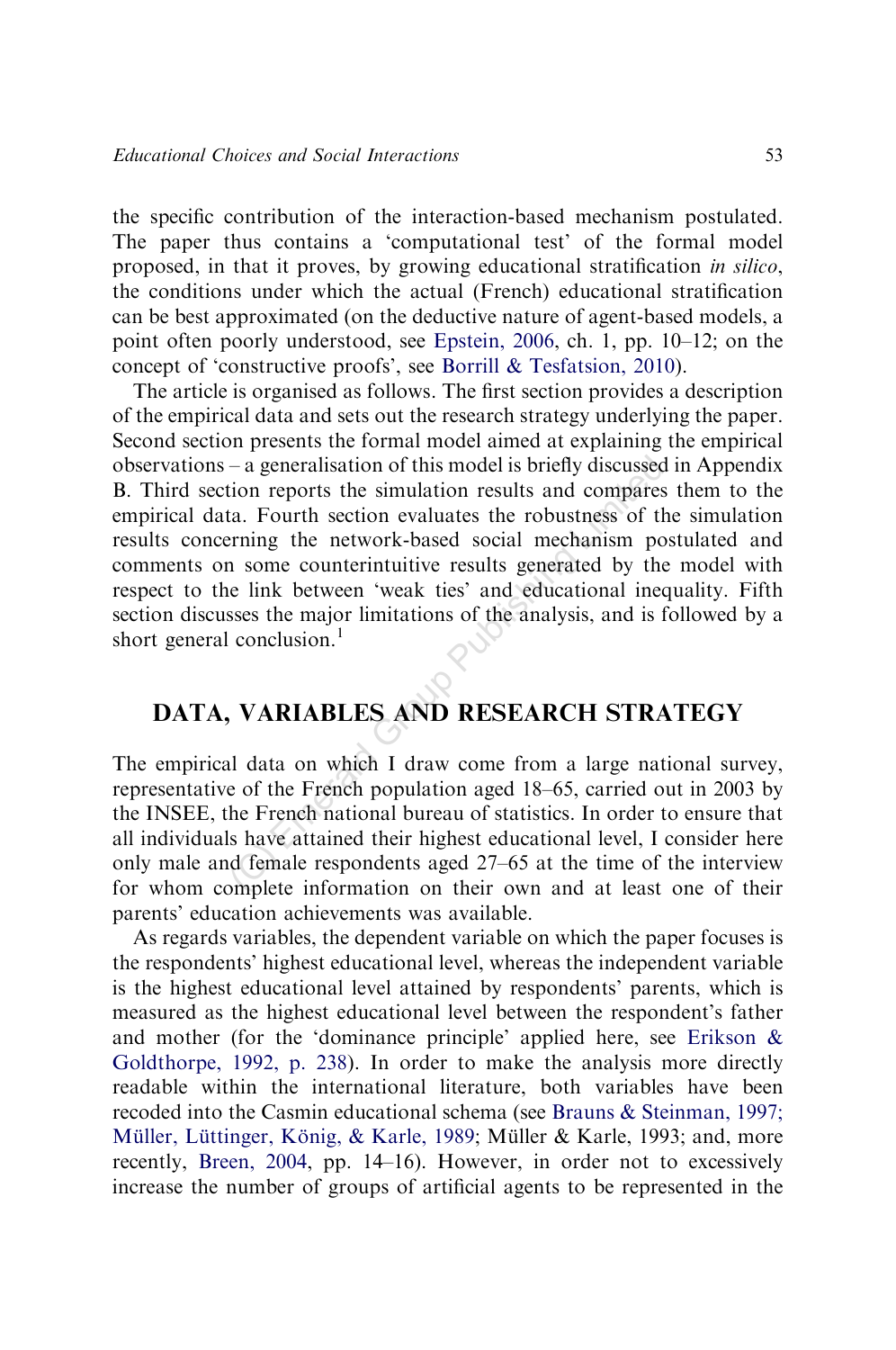the specific contribution of the interaction-based mechanism postulated. The paper thus contains a 'computational test' of the formal model proposed, in that it proves, by growing educational stratification in silico, the conditions under which the actual (French) educational stratification can be best approximated (on the deductive nature of agent-based models, a point often poorly understood, see Epstein, 2006, ch. 1, pp. 10–12; on the concept of 'constructive proofs', see Borrill & Tesfatsion, 2010).

- a generalisation of this model is briefly discussed i<br>tion reports the simulation results and compares ta.<br>Fourth section evaluates the robustness of the<br>erning the network-based social mechanism post<br>n some counterintu The article is organised as follows. The first section provides a description of the empirical data and sets out the research strategy underlying the paper. Second section presents the formal model aimed at explaining the empirical observations – a generalisation of this model is briefly discussed in Appendix B. Third section reports the simulation results and compares them to the empirical data. Fourth section evaluates the robustness of the simulation results concerning the network-based social mechanism postulated and comments on some counterintuitive results generated by the model with respect to the link between 'weak ties' and educational inequality. Fifth section discusses the major limitations of the analysis, and is followed by a short general conclusion.<sup>1</sup>

# DATA, VARIABLES AND RESEARCH STRATEGY

The empirical data on which I draw come from a large national survey, representative of the French population aged 18–65, carried out in 2003 by the INSEE, the French national bureau of statistics. In order to ensure that all individuals have attained their highest educational level, I consider here only male and female respondents aged 27–65 at the time of the interview for whom complete information on their own and at least one of their parents' education achievements was available.

As regards variables, the dependent variable on which the paper focuses is the respondents' highest educational level, whereas the independent variable is the highest educational level attained by respondents' parents, which is measured as the highest educational level between the respondent's father and mother (for the 'dominance principle' applied here, see Erikson & Goldthorpe, 1992, p. 238). In order to make the analysis more directly readable within the international literature, both variables have been recoded into the Casmin educational schema (see Brauns & Steinman, 1997; Müller, Lüttinger, König, & Karle, 1989; Müller & Karle, 1993; and, more recently, Breen, 2004, pp. 14–16). However, in order not to excessively increase the number of groups of artificial agents to be represented in the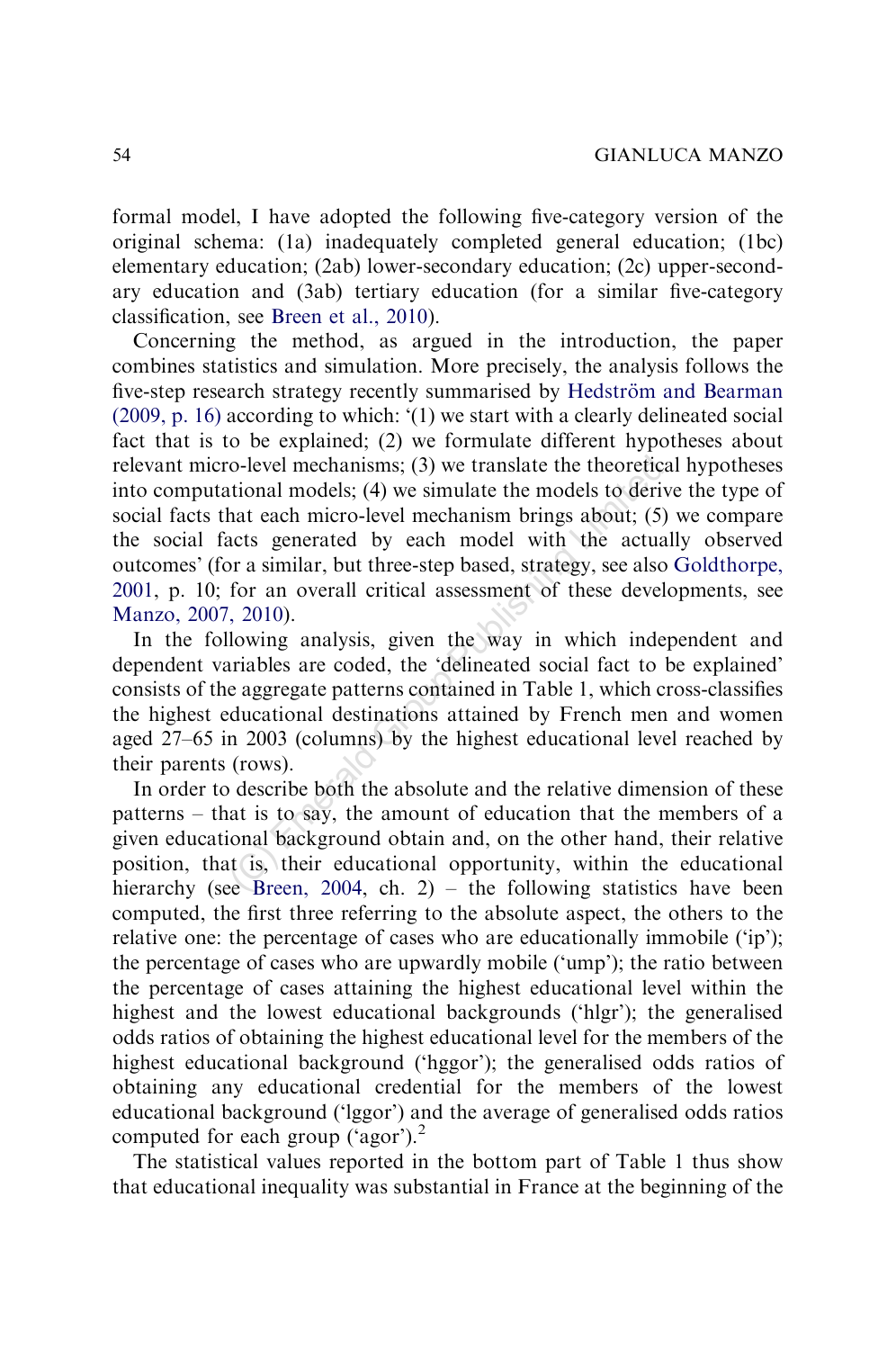formal model, I have adopted the following five-category version of the original schema: (1a) inadequately completed general education; (1bc) elementary education; (2ab) lower-secondary education; (2c) upper-secondary education and (3ab) tertiary education (for a similar five-category classification, see Breen et al., 2010).

fo-level mechanisms; (3) we translate the theoretical<br>tional models; (4) we simulate the models to derive<br>hat each micro-level mechanism brings about; (5) v<br>acts generated by each model with the actuall<br>pr a similar, but Concerning the method, as argued in the introduction, the paper combines statistics and simulation. More precisely, the analysis follows the five-step research strategy recently summarised by Hedström and Bearman (2009, p. 16) according to which: '(1) we start with a clearly delineated social fact that is to be explained; (2) we formulate different hypotheses about relevant micro-level mechanisms; (3) we translate the theoretical hypotheses into computational models; (4) we simulate the models to derive the type of social facts that each micro-level mechanism brings about; (5) we compare the social facts generated by each model with the actually observed outcomes' (for a similar, but three-step based, strategy, see also Goldthorpe, 2001, p. 10; for an overall critical assessment of these developments, see Manzo, 2007, 2010).

In the following analysis, given the way in which independent and dependent variables are coded, the 'delineated social fact to be explained' consists of the aggregate patterns contained in Table 1, which cross-classifies the highest educational destinations attained by French men and women aged 27–65 in 2003 (columns) by the highest educational level reached by their parents (rows).

In order to describe both the absolute and the relative dimension of these patterns – that is to say, the amount of education that the members of a given educational background obtain and, on the other hand, their relative position, that is, their educational opportunity, within the educational hierarchy (see Breen, 2004, ch. 2) – the following statistics have been computed, the first three referring to the absolute aspect, the others to the relative one: the percentage of cases who are educationally immobile ('ip'); the percentage of cases who are upwardly mobile ('ump'); the ratio between the percentage of cases attaining the highest educational level within the highest and the lowest educational backgrounds ('hlgr'); the generalised odds ratios of obtaining the highest educational level for the members of the highest educational background ('hggor'); the generalised odds ratios of obtaining any educational credential for the members of the lowest educational background ('lggor') and the average of generalised odds ratios computed for each group ('agor').<sup>2</sup>

The statistical values reported in the bottom part of Table 1 thus show that educational inequality was substantial in France at the beginning of the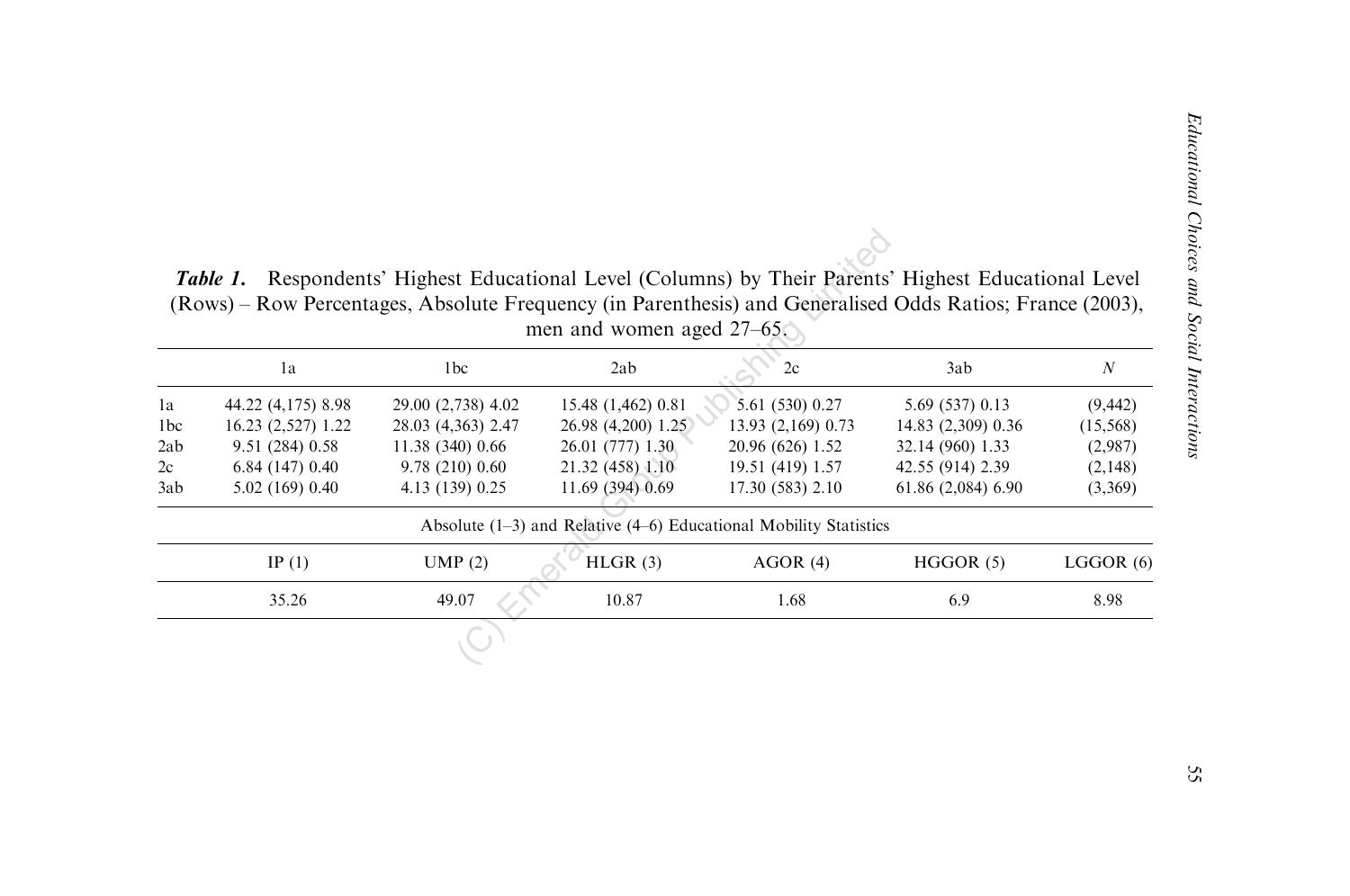|     |                    |                    | men and women aged 27–65. | Table 1. Respondents' Highest Educational Level (Columns) by Their Parents' Highest Educational Level<br>(Rows) – Row Percentages, Absolute Frequency (in Parenthesis) and Generalised Odds Ratios; France (2003), |                     |                  |
|-----|--------------------|--------------------|---------------------------|--------------------------------------------------------------------------------------------------------------------------------------------------------------------------------------------------------------------|---------------------|------------------|
|     | 1a                 | 1bc                | 2ab                       | 2c                                                                                                                                                                                                                 | 3ab                 | $\boldsymbol{N}$ |
| 1a  | 44.22 (4,175) 8.98 | 29.00 (2,738) 4.02 | 15.48 (1,462) 0.81        | 5.61 (530) 0.27                                                                                                                                                                                                    | 5.69 (537) 0.13     | (9, 442)         |
| 1bc | 16.23 (2,527) 1.22 | 28.03 (4,363) 2.47 | 26.98 (4,200) 1.25        | 13.93 (2,169) 0.73                                                                                                                                                                                                 | 14.83 (2,309) 0.36  | (15,568)         |
| 2ab | 9.51 (284) 0.58    | 11.38 (340) 0.66   | 26.01 (777) 1.30          | 20.96 (626) 1.52                                                                                                                                                                                                   | 32.14 (960) 1.33    | (2,987)          |
| 2c  | 6.84(147)0.40      | 9.78(210)0.60      | 21.32 (458) 1.10          | 19.51 (419) 1.57                                                                                                                                                                                                   | 42.55 (914) 2.39    | (2,148)          |
| 3ab | 5.02 (169) 0.40    | 4.13 (139) 0.25    | 11.69 (394) 0.69          | 17.30 (583) 2.10                                                                                                                                                                                                   | $61.86(2,084)$ 6.90 | (3,369)          |
|     |                    |                    |                           | Absolute $(1-3)$ and Relative $(4-6)$ Educational Mobility Statistics                                                                                                                                              |                     |                  |
|     | IP $(1)$           | UMP(2)             | HLGR(3)                   | AGOR(4)                                                                                                                                                                                                            | HGGOR(5)            | LGGOR(6)         |
|     | 35.26              | 49.07              | 10.87                     | 1.68                                                                                                                                                                                                               | 6.9                 | 8.98             |
|     |                    |                    |                           |                                                                                                                                                                                                                    |                     |                  |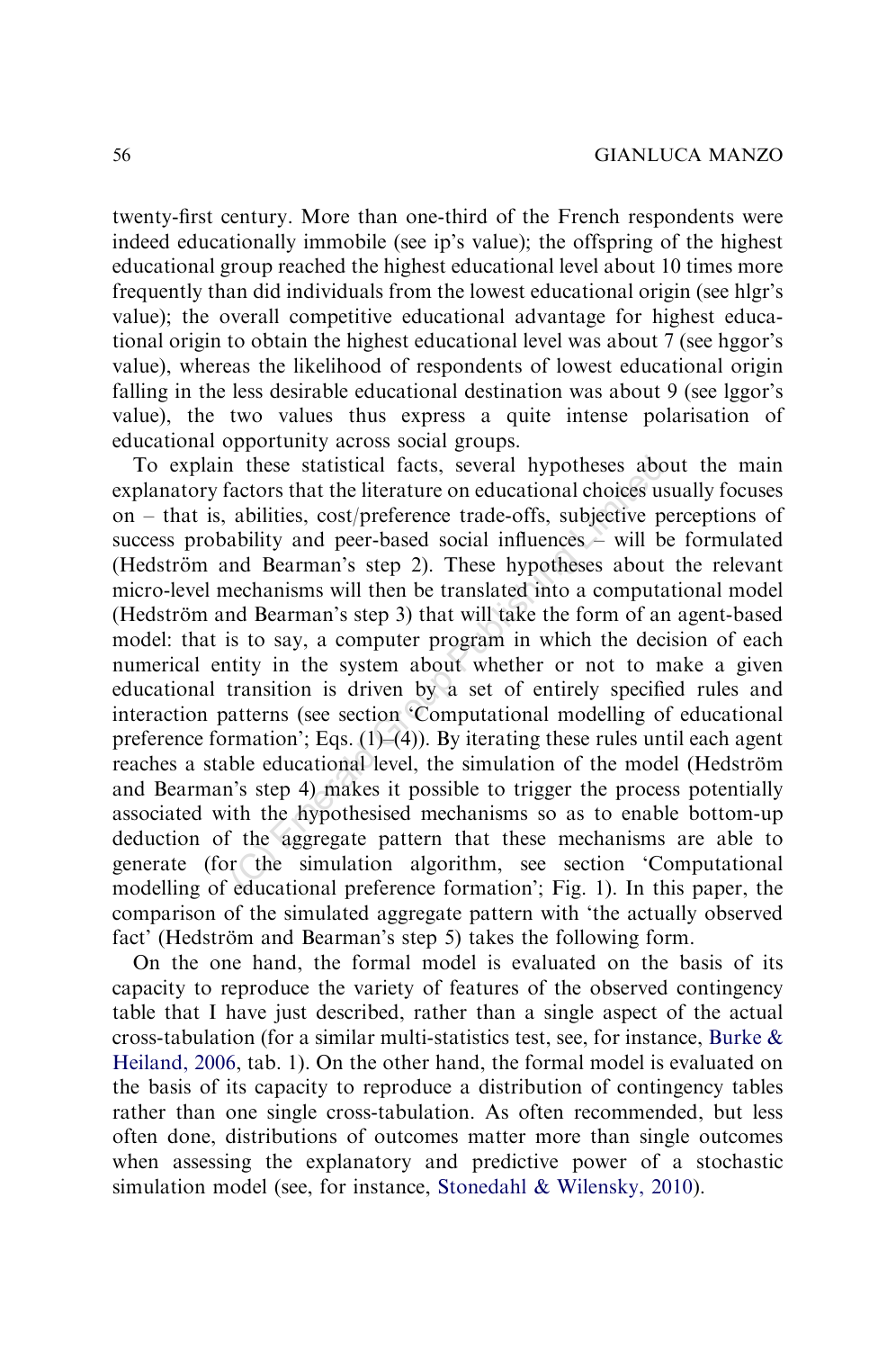twenty-first century. More than one-third of the French respondents were indeed educationally immobile (see ip's value); the offspring of the highest educational group reached the highest educational level about 10 times more frequently than did individuals from the lowest educational origin (see hlgr's value); the overall competitive educational advantage for highest educational origin to obtain the highest educational level was about 7 (see hggor's value), whereas the likelihood of respondents of lowest educational origin falling in the less desirable educational destination was about 9 (see lggor's value), the two values thus express a quite intense polarisation of educational opportunity across social groups.

1 these statistical facts, several hypotheses abou<br>
actors that the literature on educational choices usu<br>
abilities, cost/preference trade-offs, subjective per<br>
ability and peer-based social influences – will be<br>
nd Bearm To explain these statistical facts, several hypotheses about the main explanatory factors that the literature on educational choices usually focuses on – that is, abilities, cost/preference trade-offs, subjective perceptions of success probability and peer-based social influences – will be formulated (Hedström and Bearman's step 2). These hypotheses about the relevant micro-level mechanisms will then be translated into a computational model (Hedström and Bearman's step 3) that will take the form of an agent-based model: that is to say, a computer program in which the decision of each numerical entity in the system about whether or not to make a given educational transition is driven by a set of entirely specified rules and interaction patterns (see section 'Computational modelling of educational preference formation'; Eqs.  $(1)$ –(4)). By iterating these rules until each agent reaches a stable educational level, the simulation of the model (Hedström and Bearman's step 4) makes it possible to trigger the process potentially associated with the hypothesised mechanisms so as to enable bottom-up deduction of the aggregate pattern that these mechanisms are able to generate (for the simulation algorithm, see section 'Computational modelling of educational preference formation'; Fig. 1). In this paper, the comparison of the simulated aggregate pattern with 'the actually observed fact' (Hedström and Bearman's step 5) takes the following form.

On the one hand, the formal model is evaluated on the basis of its capacity to reproduce the variety of features of the observed contingency table that I have just described, rather than a single aspect of the actual cross-tabulation (for a similar multi-statistics test, see, for instance, Burke  $\&$ Heiland, 2006, tab. 1). On the other hand, the formal model is evaluated on the basis of its capacity to reproduce a distribution of contingency tables rather than one single cross-tabulation. As often recommended, but less often done, distributions of outcomes matter more than single outcomes when assessing the explanatory and predictive power of a stochastic simulation model (see, for instance, Stonedahl & Wilensky, 2010).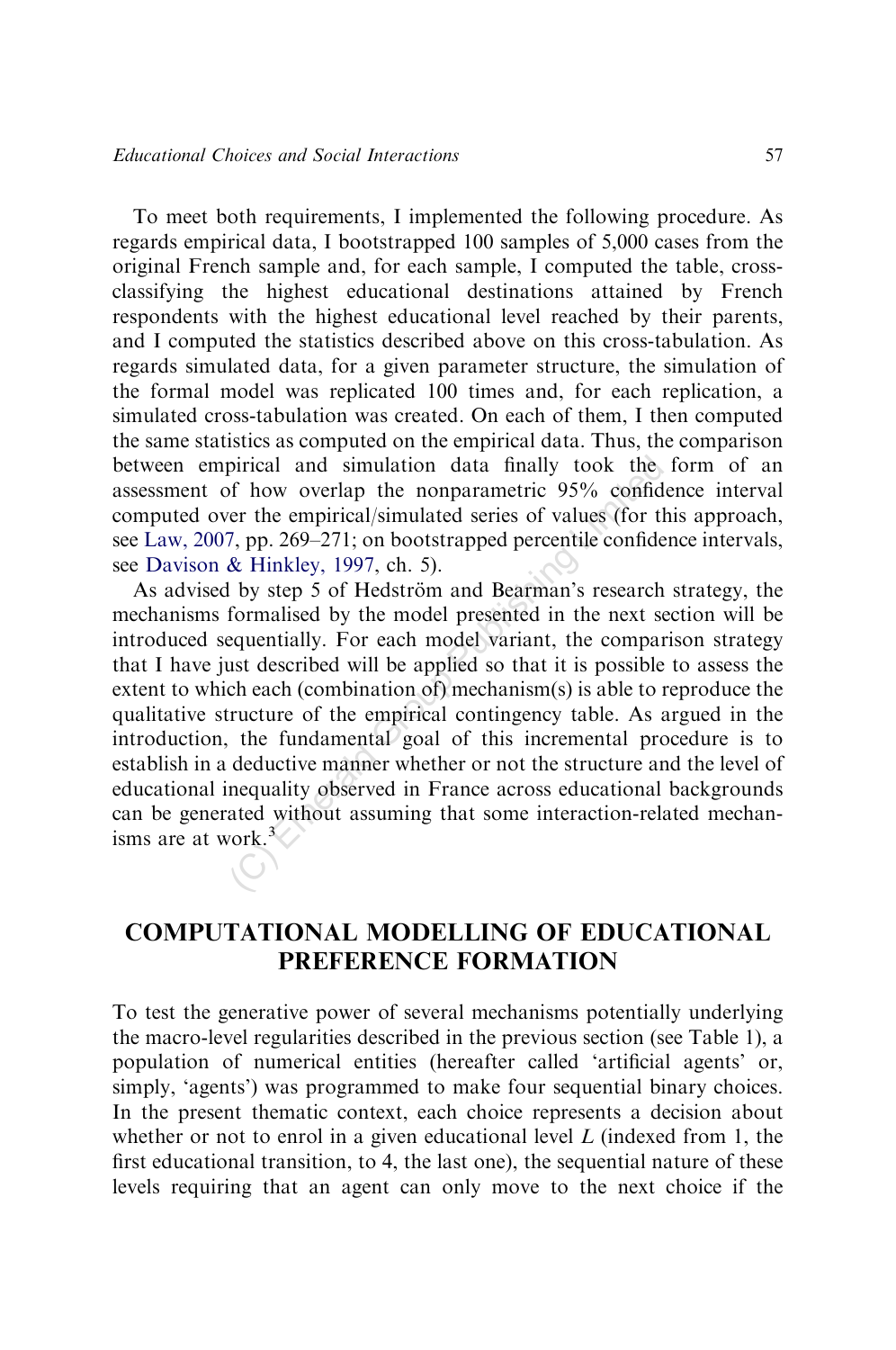To meet both requirements, I implemented the following procedure. As regards empirical data, I bootstrapped 100 samples of 5,000 cases from the original French sample and, for each sample, I computed the table, crossclassifying the highest educational destinations attained by French respondents with the highest educational level reached by their parents, and I computed the statistics described above on this cross-tabulation. As regards simulated data, for a given parameter structure, the simulation of the formal model was replicated 100 times and, for each replication, a simulated cross-tabulation was created. On each of them, I then computed the same statistics as computed on the empirical data. Thus, the comparison between empirical and simulation data finally took the form of an assessment of how overlap the nonparametric 95% confidence interval computed over the empirical/simulated series of values (for this approach, see Law, 2007, pp. 269–271; on bootstrapped percentile confidence intervals, see Davison & Hinkley, 1997, ch. 5).

pirical and simulation data finally took the formulation of the moreover the empirical/simulated series of values (for this 7, pp. 269–271; on bootstrapped percentile confiden & Hinkley, 1997, ch. 5).<br>
I by step 5 of Heds As advised by step 5 of Hedström and Bearman's research strategy, the mechanisms formalised by the model presented in the next section will be introduced sequentially. For each model variant, the comparison strategy that I have just described will be applied so that it is possible to assess the extent to which each (combination of) mechanism(s) is able to reproduce the qualitative structure of the empirical contingency table. As argued in the introduction, the fundamental goal of this incremental procedure is to establish in a deductive manner whether or not the structure and the level of educational inequality observed in France across educational backgrounds can be generated without assuming that some interaction-related mechanisms are at work $3\%$ 

# COMPUTATIONAL MODELLING OF EDUCATIONAL PREFERENCE FORMATION

To test the generative power of several mechanisms potentially underlying the macro-level regularities described in the previous section (see Table 1), a population of numerical entities (hereafter called 'artificial agents' or, simply, 'agents') was programmed to make four sequential binary choices. In the present thematic context, each choice represents a decision about whether or not to enrol in a given educational level  $L$  (indexed from 1, the first educational transition, to 4, the last one), the sequential nature of these levels requiring that an agent can only move to the next choice if the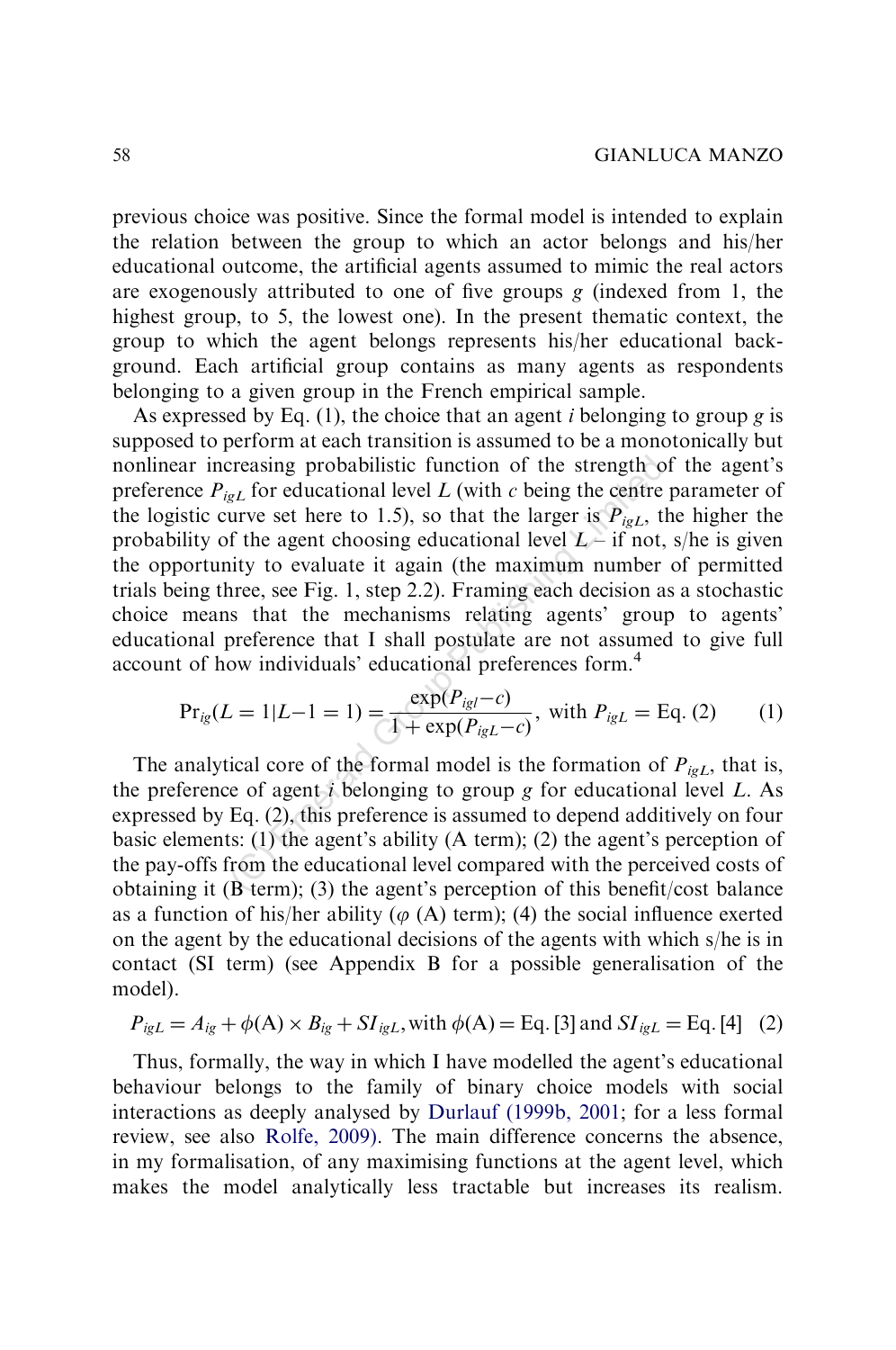previous choice was positive. Since the formal model is intended to explain the relation between the group to which an actor belongs and his/her educational outcome, the artificial agents assumed to mimic the real actors are exogenously attributed to one of five groups  $g$  (indexed from 1, the highest group, to 5, the lowest one). In the present thematic context, the group to which the agent belongs represents his/her educational background. Each artificial group contains as many agents as respondents belonging to a given group in the French empirical sample.

creasing probabilistic function of the strength of  $g_L$  for educational level L (with c being the centre p urve set here to 1.5), so that the larger is  $P_{igL}$ , the f the agent choosing educational level  $L -$  if not, sity As expressed by Eq. (1), the choice that an agent i belonging to group g is supposed to perform at each transition is assumed to be a monotonically but nonlinear increasing probabilistic function of the strength of the agent's preference  $P_{i \neq L}$  for educational level L (with c being the centre parameter of the logistic curve set here to 1.5), so that the larger is  $P_{i\alpha L}$ , the higher the probability of the agent choosing educational level  $L -$  if not, s/he is given the opportunity to evaluate it again (the maximum number of permitted trials being three, see Fig. 1, step 2.2). Framing each decision as a stochastic choice means that the mechanisms relating agents' group to agents' educational preference that I shall postulate are not assumed to give full account of how individuals' educational preferences form.<sup>4</sup>

$$
Pr_{ig}(L = 1|L-1 = 1) = \frac{\exp(P_{igl}-c)}{1+\exp(P_{igl}-c)}, \text{ with } P_{igL} = \text{Eq. (2)} \tag{1}
$$

The analytical core of the formal model is the formation of  $P_{i\sigma L}$ , that is, the preference of agent i belonging to group g for educational level  $L$ . As expressed by Eq. (2), this preference is assumed to depend additively on four basic elements: (1) the agent's ability (A term); (2) the agent's perception of the pay-offs from the educational level compared with the perceived costs of obtaining it (B term); (3) the agent's perception of this benefit/cost balance as a function of his/her ability ( $\varphi$  (A) term); (4) the social influence exerted on the agent by the educational decisions of the agents with which s/he is in contact (SI term) (see Appendix B for a possible generalisation of the model).

$$
P_{igL} = A_{ig} + \phi(A) \times B_{ig} + SI_{igL}
$$
, with  $\phi(A) = Eq. [3]$  and  $SI_{igL} = Eq. [4]$  (2)

Thus, formally, the way in which I have modelled the agent's educational behaviour belongs to the family of binary choice models with social interactions as deeply analysed by Durlauf (1999b, 2001; for a less formal review, see also Rolfe, 2009). The main difference concerns the absence, in my formalisation, of any maximising functions at the agent level, which makes the model analytically less tractable but increases its realism.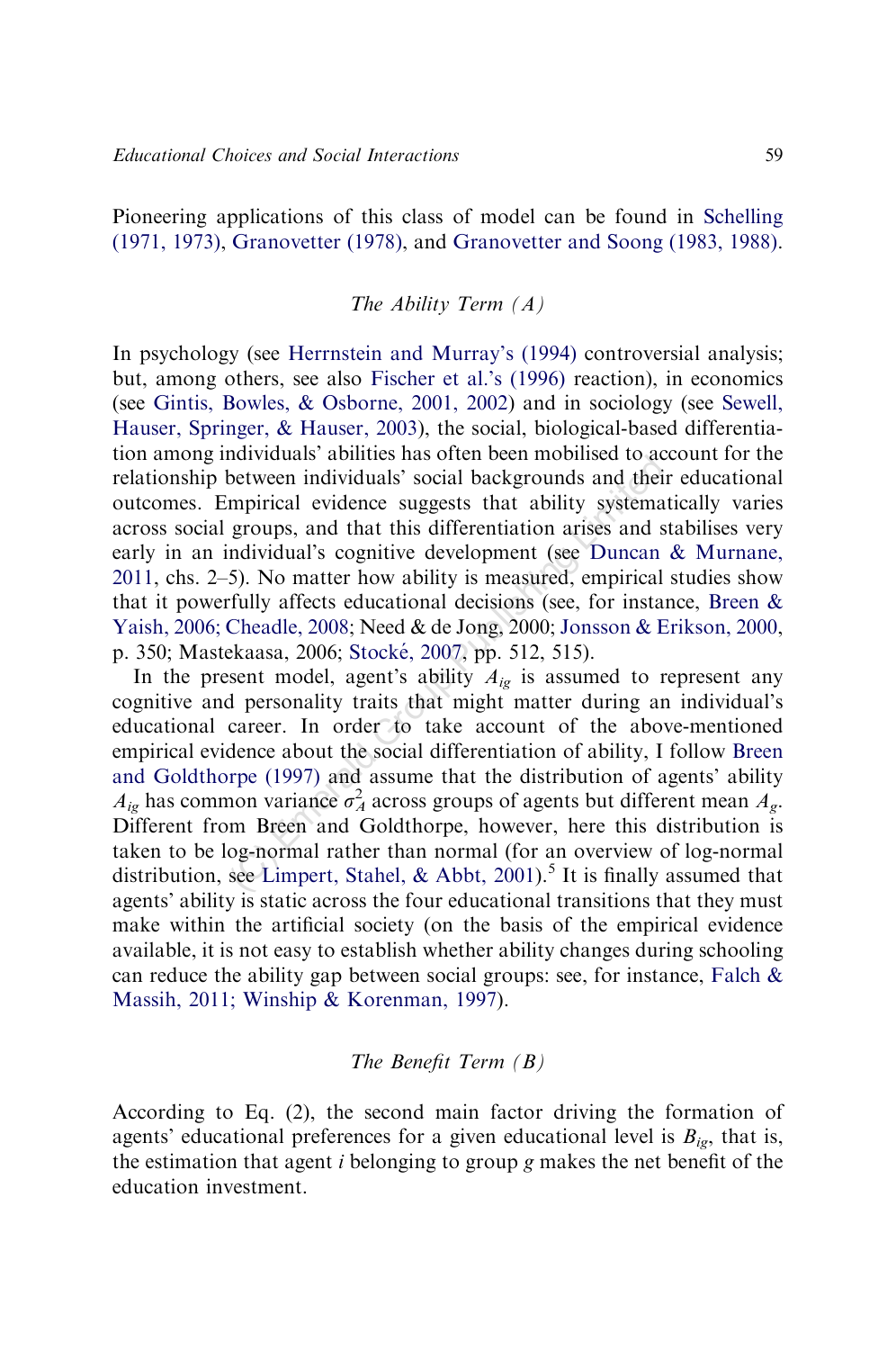Pioneering applications of this class of model can be found in Schelling (1971, 1973), Granovetter (1978), and Granovetter and Soong (1983, 1988).

#### The Ability Term  $(A)$

In psychology (see Herrnstein and Murray's (1994) controversial analysis; but, among others, see also Fischer et al.'s (1996) reaction), in economics (see Gintis, Bowles, & Osborne, 2001, 2002) and in sociology (see Sewell, Hauser, Springer, & Hauser, 2003), the social, biological-based differentiation among individuals' abilities has often been mobilised to account for the relationship between individuals' social backgrounds and their educational outcomes. Empirical evidence suggests that ability systematically varies across social groups, and that this differentiation arises and stabilises very early in an individual's cognitive development (see Duncan & Murnane, 2011, chs. 2–5). No matter how ability is measured, empirical studies show that it powerfully affects educational decisions (see, for instance, Breen & Yaish, 2006; Cheadle, 2008; Need & de Jong, 2000; Jonsson & Erikson, 2000, p. 350; Mastekaasa, 2006; Stocké, 2007, pp. 512, 515).

halo viduals abindes has oten occur moonised to accubet<br>ween individuals' social backgrounds and their mpirical evidence suggests that ability systemati<br>groups, and that this differentiation arises and state individual's In the present model, agent's ability  $A_{i\sigma}$  is assumed to represent any cognitive and personality traits that might matter during an individual's educational career. In order to take account of the above-mentioned empirical evidence about the social differentiation of ability, I follow Breen and Goldthorpe (1997) and assume that the distribution of agents' ability  $A_{ig}$  has common variance  $\sigma_A^2$  across groups of agents but different mean  $A_g$ . Different from Breen and Goldthorpe, however, here this distribution is taken to be log-normal rather than normal (for an overview of log-normal distribution, see Limpert, Stahel, & Abbt, 2001).<sup>5</sup> It is finally assumed that agents' ability is static across the four educational transitions that they must make within the artificial society (on the basis of the empirical evidence available, it is not easy to establish whether ability changes during schooling can reduce the ability gap between social groups: see, for instance, Falch  $\&$ Massih, 2011; Winship & Korenman, 1997).

#### The Benefit Term (B)

According to Eq. (2), the second main factor driving the formation of agents' educational preferences for a given educational level is  $B_{i\varrho}$ , that is, the estimation that agent i belonging to group g makes the net benefit of the education investment.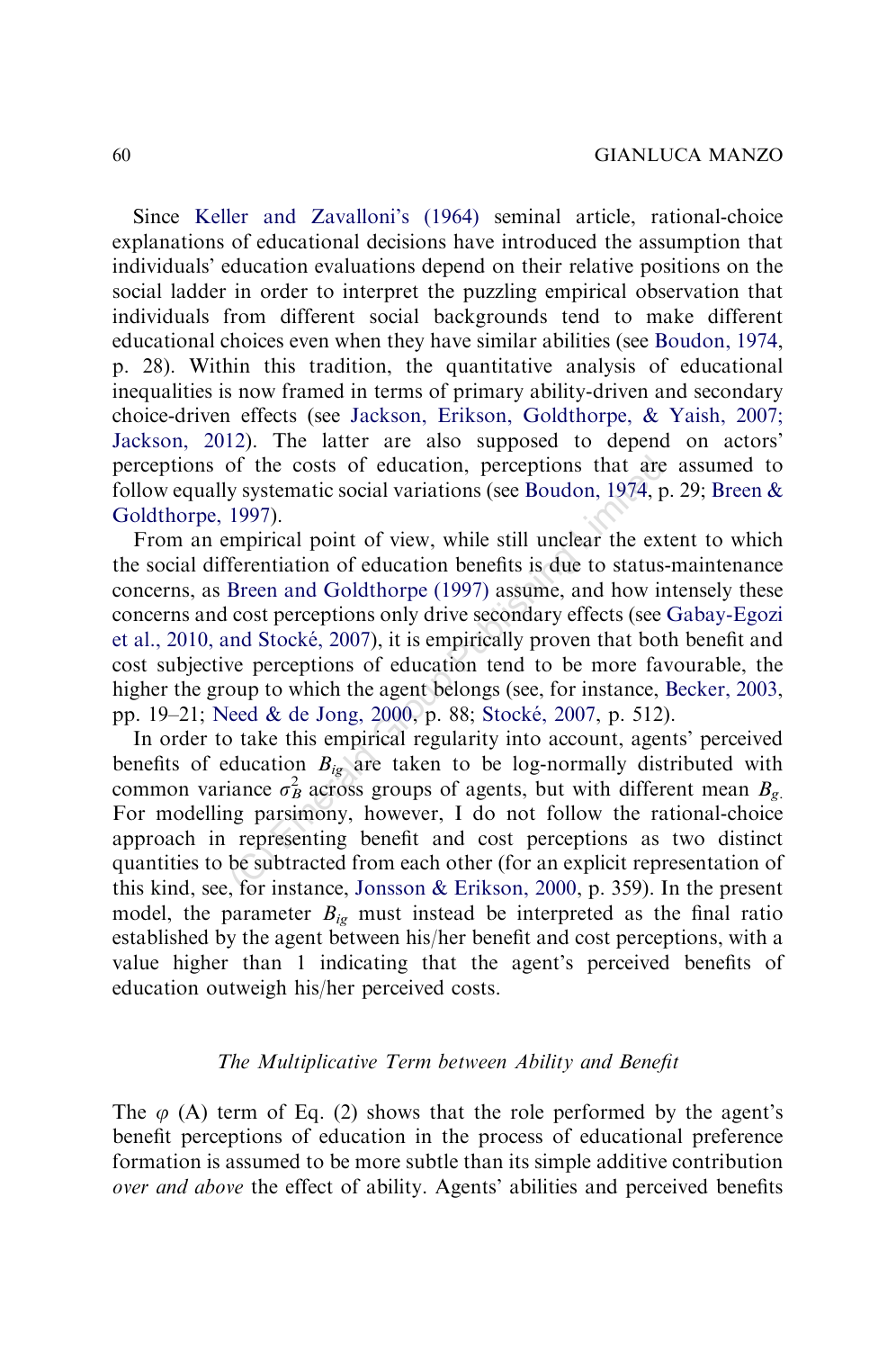Since Keller and Zavalloni's (1964) seminal article, rational-choice explanations of educational decisions have introduced the assumption that individuals' education evaluations depend on their relative positions on the social ladder in order to interpret the puzzling empirical observation that individuals from different social backgrounds tend to make different educational choices even when they have similar abilities (see Boudon, 1974, p. 28). Within this tradition, the quantitative analysis of educational inequalities is now framed in terms of primary ability-driven and secondary choice-driven effects (see Jackson, Erikson, Goldthorpe, & Yaish, 2007; Jackson, 2012). The latter are also supposed to depend on actors' perceptions of the costs of education, perceptions that are assumed to follow equally systematic social variations (see Boudon, 1974, p. 29; Breen & Goldthorpe, 1997).

of the costs of education, perceptions that are<br>y systematic social variations (see Boudon, 1974, p.<br>1997).<br>mpirical point of view, while still unclear the exte<br>ferentiation of education benefits is due to status-n<br>Breen From an empirical point of view, while still unclear the extent to which the social differentiation of education benefits is due to status-maintenance concerns, as Breen and Goldthorpe (1997) assume, and how intensely these concerns and cost perceptions only drive secondary effects (see Gabay-Egozi et al., 2010, and Stocke´, 2007), it is empirically proven that both benefit and cost subjective perceptions of education tend to be more favourable, the higher the group to which the agent belongs (see, for instance, Becker, 2003, pp. 19–21; Need & de Jong, 2000, p. 88; Stocke´, 2007, p. 512).

In order to take this empirical regularity into account, agents' perceived benefits of education  $B_{ig}$  are taken to be log-normally distributed with common variance  $\sigma_B^2$  across groups of agents, but with different mean  $B_{g}$ . For modelling parsimony, however, I do not follow the rational-choice approach in representing benefit and cost perceptions as two distinct quantities to be subtracted from each other (for an explicit representation of this kind, see, for instance, Jonsson & Erikson, 2000, p. 359). In the present model, the parameter  $B_{i\sigma}$  must instead be interpreted as the final ratio established by the agent between his/her benefit and cost perceptions, with a value higher than 1 indicating that the agent's perceived benefits of education outweigh his/her perceived costs.

#### The Multiplicative Term between Ability and Benefit

The  $\varphi$  (A) term of Eq. (2) shows that the role performed by the agent's benefit perceptions of education in the process of educational preference formation is assumed to be more subtle than its simple additive contribution over and above the effect of ability. Agents' abilities and perceived benefits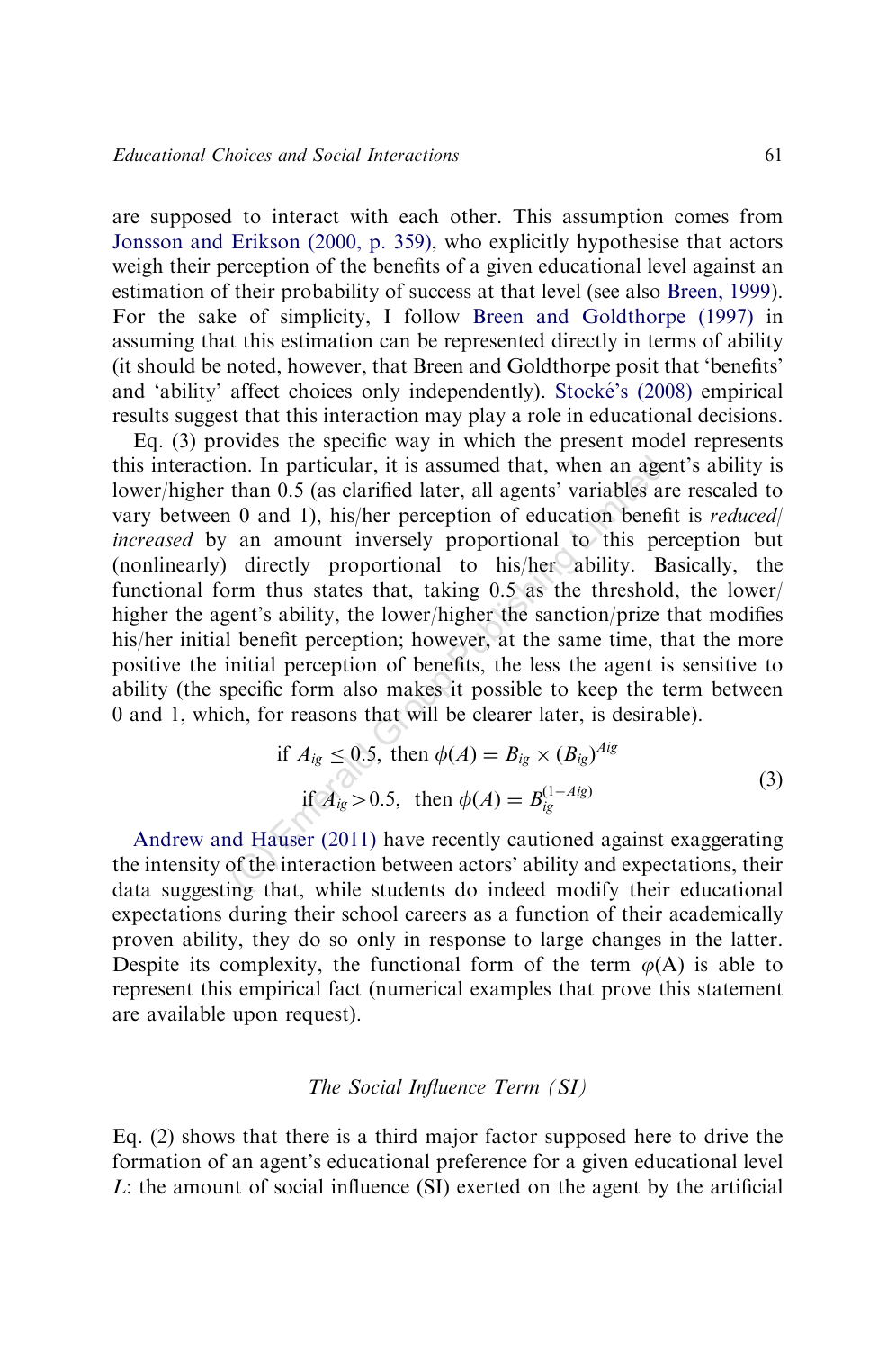are supposed to interact with each other. This assumption comes from Jonsson and Erikson (2000, p. 359), who explicitly hypothesise that actors weigh their perception of the benefits of a given educational level against an estimation of their probability of success at that level (see also Breen, 1999). For the sake of simplicity, I follow Breen and Goldthorpe (1997) in assuming that this estimation can be represented directly in terms of ability (it should be noted, however, that Breen and Goldthorpe posit that 'benefits' and 'ability' affect choices only independently). Stocké's (2008) empirical results suggest that this interaction may play a role in educational decisions.

on. In particular, it is assumed that, when an agen<br>than 0.5 (as clarified later, all agents' variables are<br>1 0 and 1), his/her perception of education benefit<br>an amount inversely proportional to this per<br>directly proport Eq. (3) provides the specific way in which the present model represents this interaction. In particular, it is assumed that, when an agent's ability is lower/higher than 0.5 (as clarified later, all agents' variables are rescaled to vary between 0 and 1), his/her perception of education benefit is reduced/ increased by an amount inversely proportional to this perception but (nonlinearly) directly proportional to his/her ability. Basically, the functional form thus states that, taking 0.5 as the threshold, the lower/ higher the agent's ability, the lower/higher the sanction/prize that modifies his/her initial benefit perception; however, at the same time, that the more positive the initial perception of benefits, the less the agent is sensitive to ability (the specific form also makes it possible to keep the term between 0 and 1, which, for reasons that will be clearer later, is desirable).

if 
$$
A_{ig} \le 0.5
$$
, then  $\phi(A) = B_{ig} \times (B_{ig})^{Alg}$   
if  $A_{ig} > 0.5$ , then  $\phi(A) = B_{ig}^{(1 - Alg)}$  (3)

Andrew and Hauser (2011) have recently cautioned against exaggerating the intensity of the interaction between actors' ability and expectations, their data suggesting that, while students do indeed modify their educational expectations during their school careers as a function of their academically proven ability, they do so only in response to large changes in the latter. Despite its complexity, the functional form of the term  $\varphi(A)$  is able to represent this empirical fact (numerical examples that prove this statement are available upon request).

#### The Social Influence Term (SI)

Eq. (2) shows that there is a third major factor supposed here to drive the formation of an agent's educational preference for a given educational level L: the amount of social influence (SI) exerted on the agent by the artificial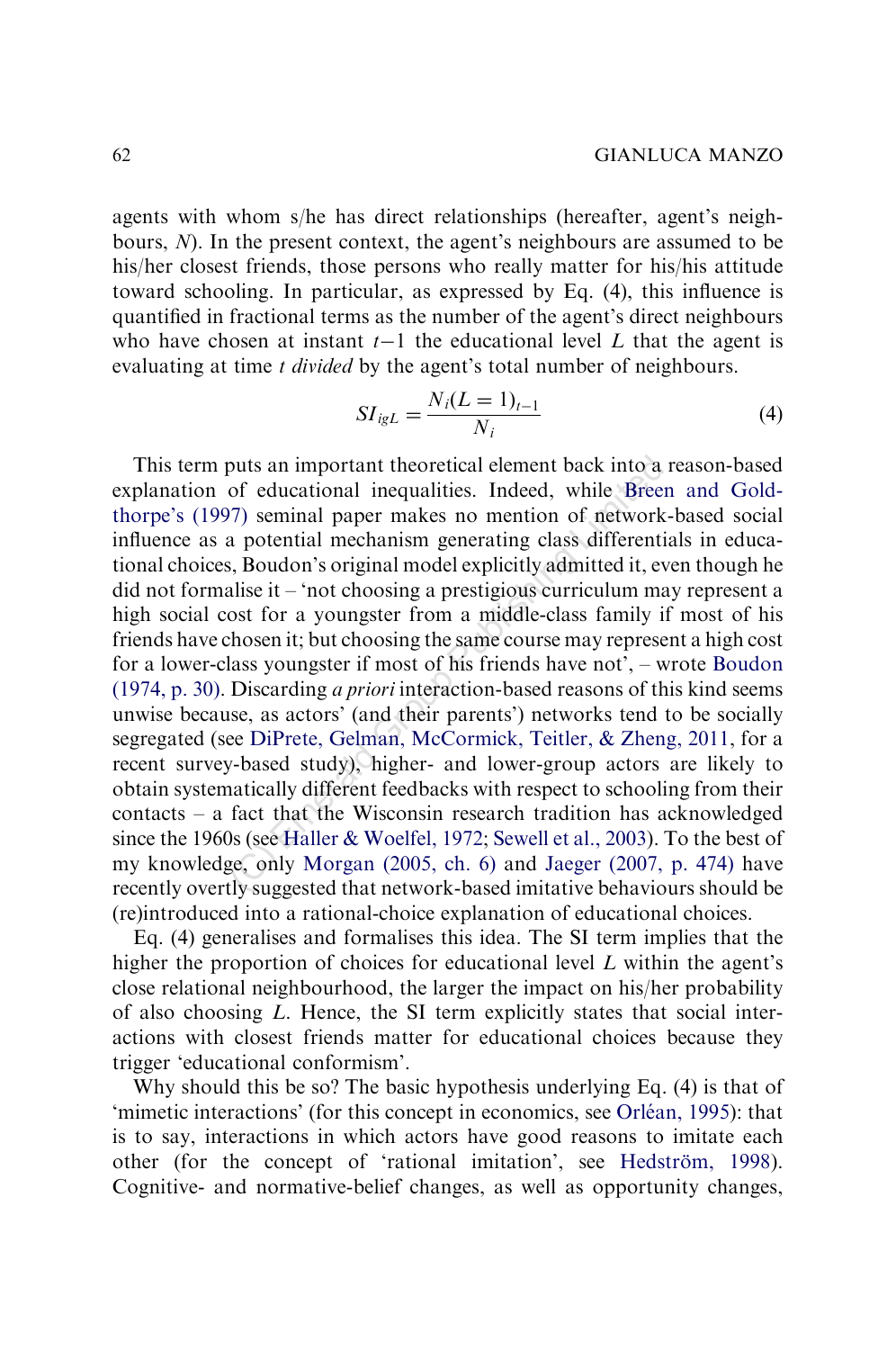agents with whom s/he has direct relationships (hereafter, agent's neighbours, N). In the present context, the agent's neighbours are assumed to be his/her closest friends, those persons who really matter for his/his attitude toward schooling. In particular, as expressed by Eq. (4), this influence is quantified in fractional terms as the number of the agent's direct neighbours who have chosen at instant  $t-1$  the educational level L that the agent is evaluating at time *t divided* by the agent's total number of neighbours.

$$
SI_{igL} = \frac{N_i (L=1)_{t-1}}{N_i}
$$
 (4)

puts an important theoretical element back into a read of educational inequalities. Indeed, while Breen 77) seminal paper makes no mention of network-la potential mechanism generating class differentia is, Boudon's origina This term puts an important theoretical element back into a reason-based explanation of educational inequalities. Indeed, while Breen and Goldthorpe's (1997) seminal paper makes no mention of network-based social influence as a potential mechanism generating class differentials in educational choices, Boudon's original model explicitly admitted it, even though he did not formalise it – 'not choosing a prestigious curriculum may represent a high social cost for a youngster from a middle-class family if most of his friends have chosen it; but choosing the same course may represent a high cost for a lower-class youngster if most of his friends have not', – wrote Boudon (1974, p. 30). Discarding a priori interaction-based reasons of this kind seems unwise because, as actors' (and their parents') networks tend to be socially segregated (see DiPrete, Gelman, McCormick, Teitler, & Zheng, 2011, for a recent survey-based study), higher- and lower-group actors are likely to obtain systematically different feedbacks with respect to schooling from their contacts – a fact that the Wisconsin research tradition has acknowledged since the 1960s (see Haller & Woelfel, 1972; Sewell et al., 2003). To the best of my knowledge, only Morgan (2005, ch. 6) and Jaeger (2007, p. 474) have recently overtly suggested that network-based imitative behaviours should be (re)introduced into a rational-choice explanation of educational choices.

Eq. (4) generalises and formalises this idea. The SI term implies that the higher the proportion of choices for educational level  $L$  within the agent's close relational neighbourhood, the larger the impact on his/her probability of also choosing L. Hence, the SI term explicitly states that social interactions with closest friends matter for educational choices because they trigger 'educational conformism'.

Why should this be so? The basic hypothesis underlying Eq. (4) is that of 'mimetic interactions' (for this concept in economics, see Orléan, 1995): that is to say, interactions in which actors have good reasons to imitate each other (for the concept of 'rational imitation', see Hedström, 1998). Cognitive- and normative-belief changes, as well as opportunity changes,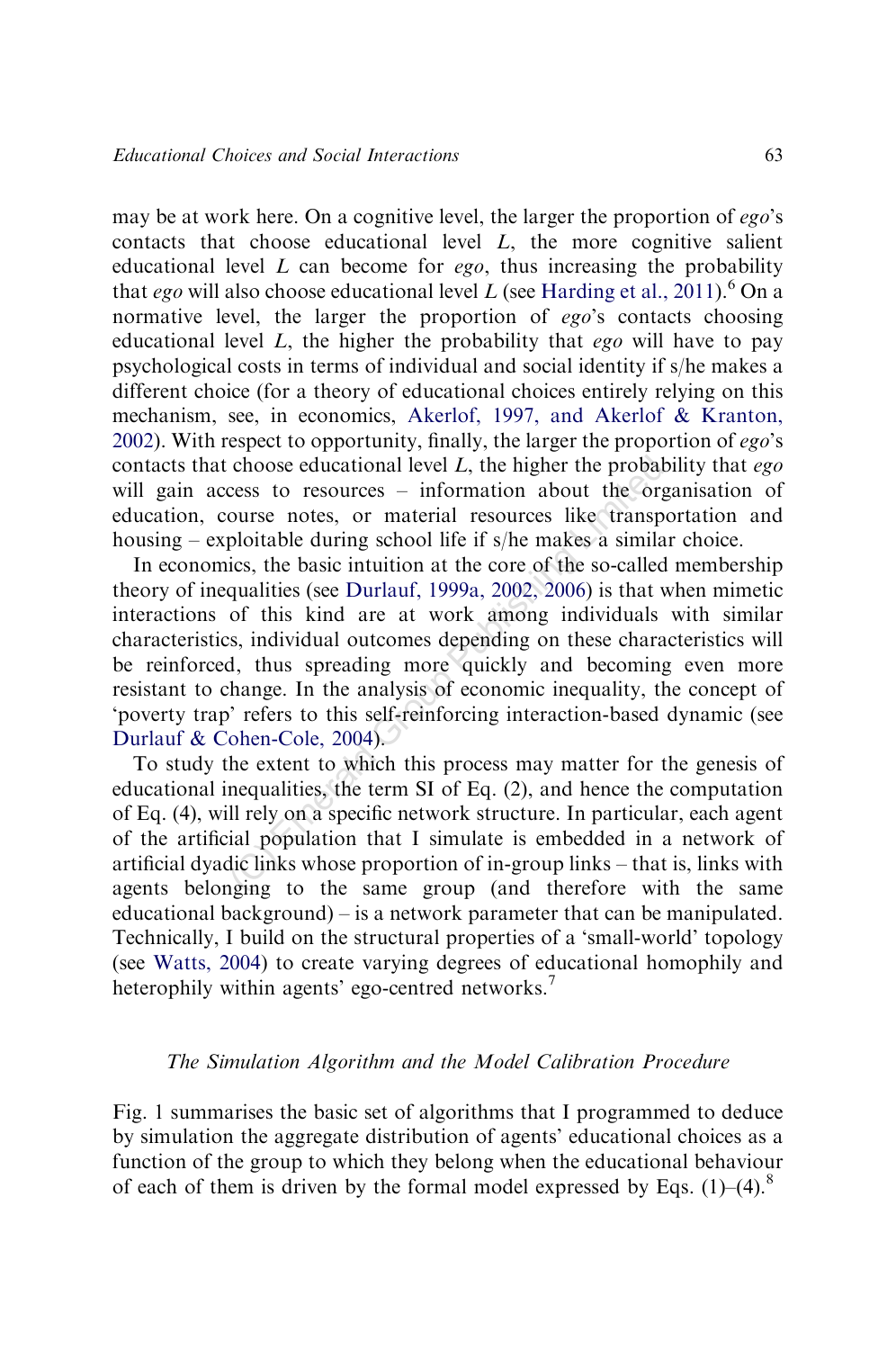may be at work here. On a cognitive level, the larger the proportion of ego's contacts that choose educational level  $L$ , the more cognitive salient educational level L can become for  $ego$ , thus increasing the probability that ego will also choose educational level L (see Harding et al., 2011).<sup>6</sup> On a normative level, the larger the proportion of ego's contacts choosing educational level  $L$ , the higher the probability that *ego* will have to pay psychological costs in terms of individual and social identity if s/he makes a different choice (for a theory of educational choices entirely relying on this mechanism, see, in economics, Akerlof, 1997, and Akerlof & Kranton, 2002). With respect to opportunity, finally, the larger the proportion of  $ego's$ contacts that choose educational level  $L$ , the higher the probability that  $ego$ will gain access to resources – information about the organisation of education, course notes, or material resources like transportation and housing – exploitable during school life if s/he makes a similar choice.

choose educational level *L*, the higher the probabilecess to resources – information about the orga ourse notes, or material resources like transport ploitable during school life if s/he makes a similar ics, the basic in In economics, the basic intuition at the core of the so-called membership theory of inequalities (see Durlauf, 1999a, 2002, 2006) is that when mimetic interactions of this kind are at work among individuals with similar characteristics, individual outcomes depending on these characteristics will be reinforced, thus spreading more quickly and becoming even more resistant to change. In the analysis of economic inequality, the concept of 'poverty trap' refers to this self-reinforcing interaction-based dynamic (see Durlauf & Cohen-Cole, 2004).

To study the extent to which this process may matter for the genesis of educational inequalities, the term SI of Eq. (2), and hence the computation of Eq. (4), will rely on a specific network structure. In particular, each agent of the artificial population that I simulate is embedded in a network of artificial dyadic links whose proportion of in-group links – that is, links with agents belonging to the same group (and therefore with the same educational background) – is a network parameter that can be manipulated. Technically, I build on the structural properties of a 'small-world' topology (see Watts, 2004) to create varying degrees of educational homophily and heterophily within agents' ego-centred networks.<sup>7</sup>

#### The Simulation Algorithm and the Model Calibration Procedure

Fig. 1 summarises the basic set of algorithms that I programmed to deduce by simulation the aggregate distribution of agents' educational choices as a function of the group to which they belong when the educational behaviour of each of them is driven by the formal model expressed by Eqs.  $(1)$ – $(4)$ .<sup>8</sup>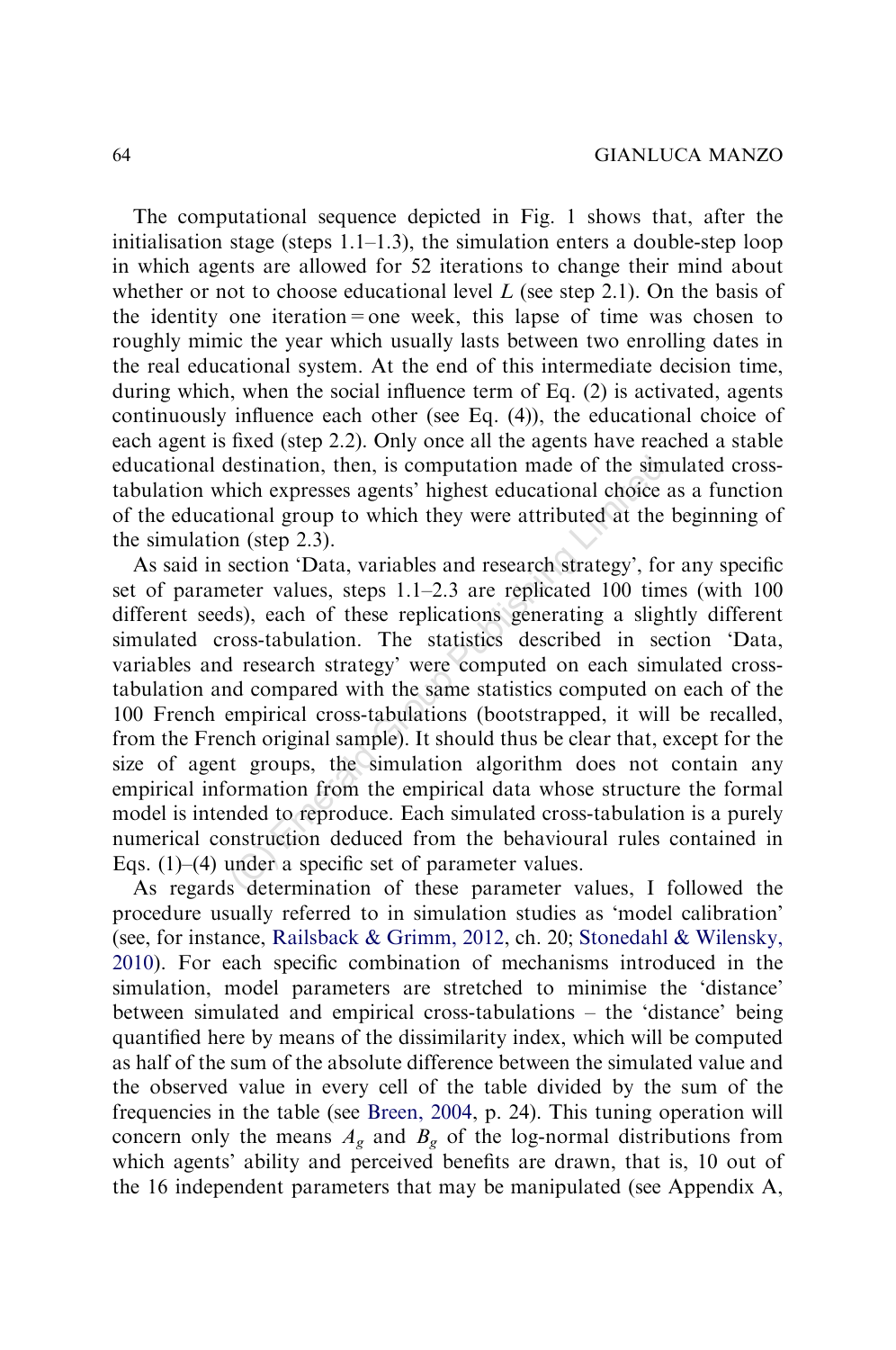The computational sequence depicted in Fig. 1 shows that, after the initialisation stage (steps  $1.1-1.3$ ), the simulation enters a double-step loop in which agents are allowed for 52 iterations to change their mind about whether or not to choose educational level  $L$  (see step 2.1). On the basis of the identity one iteration=one week, this lapse of time was chosen to roughly mimic the year which usually lasts between two enrolling dates in the real educational system. At the end of this intermediate decision time, during which, when the social influence term of Eq. (2) is activated, agents continuously influence each other (see Eq. (4)), the educational choice of each agent is fixed (step 2.2). Only once all the agents have reached a stable educational destination, then, is computation made of the simulated crosstabulation which expresses agents' highest educational choice as a function of the educational group to which they were attributed at the beginning of the simulation (step 2.3).

destination, then, is computation made of the simulation expresses agents' highest educational choice as<br>ional group to which they were attributed at the b<br>n (step 2.3).<br>section 'Data, variables and research strategy', for As said in section 'Data, variables and research strategy', for any specific set of parameter values, steps 1.1–2.3 are replicated 100 times (with 100 different seeds), each of these replications generating a slightly different simulated cross-tabulation. The statistics described in section 'Data, variables and research strategy' were computed on each simulated crosstabulation and compared with the same statistics computed on each of the 100 French empirical cross-tabulations (bootstrapped, it will be recalled, from the French original sample). It should thus be clear that, except for the size of agent groups, the simulation algorithm does not contain any empirical information from the empirical data whose structure the formal model is intended to reproduce. Each simulated cross-tabulation is a purely numerical construction deduced from the behavioural rules contained in Eqs. (1)–(4) under a specific set of parameter values.

As regards determination of these parameter values, I followed the procedure usually referred to in simulation studies as 'model calibration' (see, for instance, Railsback & Grimm, 2012, ch. 20; Stonedahl & Wilensky, 2010). For each specific combination of mechanisms introduced in the simulation, model parameters are stretched to minimise the 'distance' between simulated and empirical cross-tabulations – the 'distance' being quantified here by means of the dissimilarity index, which will be computed as half of the sum of the absolute difference between the simulated value and the observed value in every cell of the table divided by the sum of the frequencies in the table (see Breen, 2004, p. 24). This tuning operation will concern only the means  $A_g$  and  $B_g$  of the log-normal distributions from which agents' ability and perceived benefits are drawn, that is, 10 out of the 16 independent parameters that may be manipulated (see Appendix A,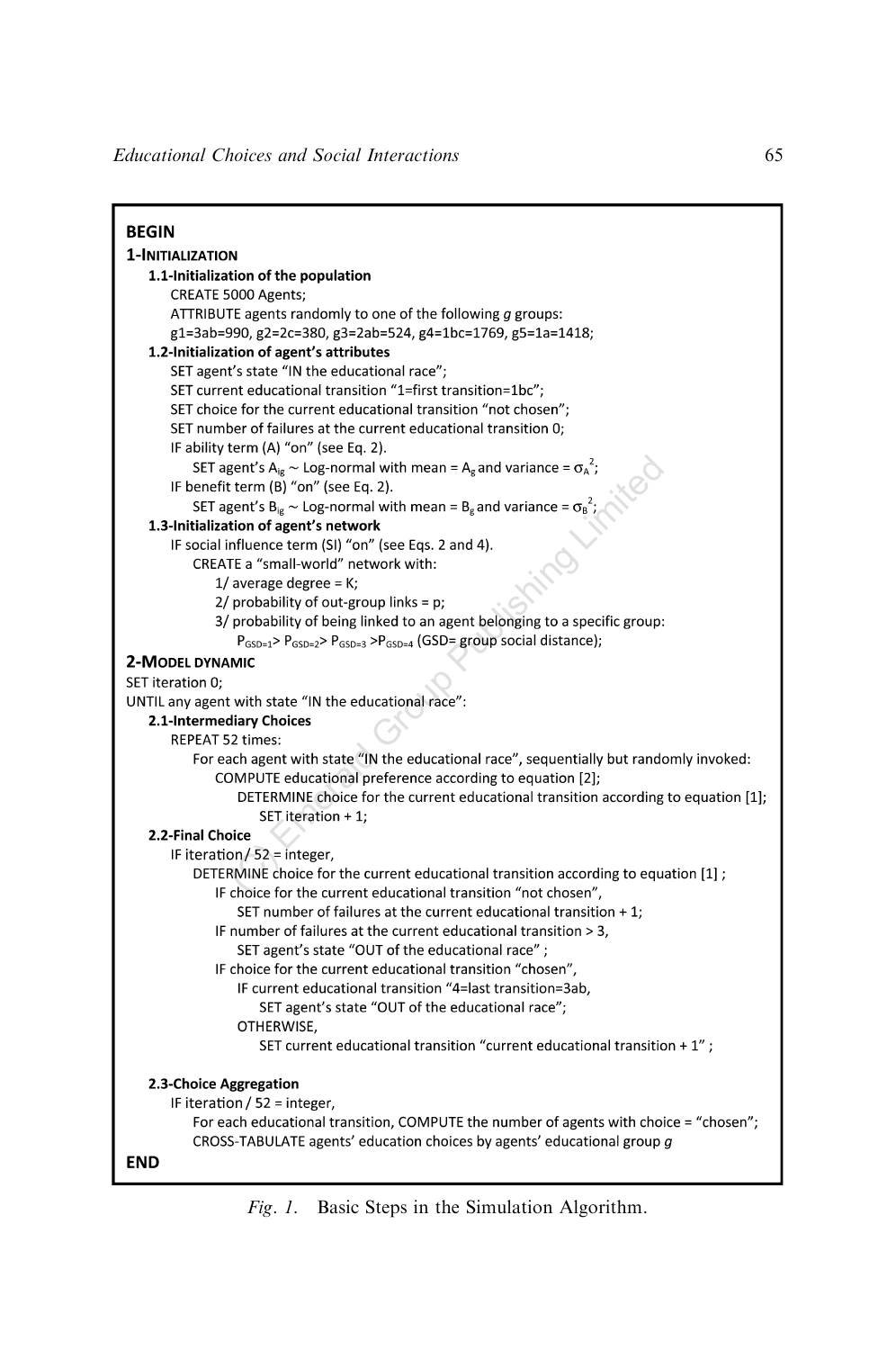| <b>BEGIN</b>                                                                            |
|-----------------------------------------------------------------------------------------|
| <b>1-INITIALIZATION</b>                                                                 |
| 1.1-Initialization of the population                                                    |
| CREATE 5000 Agents;                                                                     |
| ATTRIBUTE agents randomly to one of the following g groups:                             |
| g1=3ab=990, g2=2c=380, g3=2ab=524, g4=1bc=1769, g5=1a=1418;                             |
| 1.2-Initialization of agent's attributes                                                |
| SET agent's state "IN the educational race";                                            |
| SET current educational transition "1=first transition=1bc";                            |
| SET choice for the current educational transition "not chosen";                         |
| SET number of failures at the current educational transition 0;                         |
| IF ability term (A) "on" (see Eq. 2).                                                   |
| SET agent's $A_{ig} \sim Log$ -normal with mean = $A_g$ and variance = $\sigma_A^2$ ;   |
| IF benefit term (B) "on" (see Eq. 2).                                                   |
| SET agent's $B_{ig} \sim Log$ -normal with mean = $B_g$ and variance = $\sigma_B^2$ ;   |
| 1.3-Initialization of agent's network                                                   |
| IF social influence term (SI) "on" (see Eqs. 2 and 4).                                  |
| CREATE a "small-world" network with:                                                    |
| 1/ average degree = $K$ ;                                                               |
| $2/$ probability of out-group links = p;                                                |
| 3/ probability of being linked to an agent belonging to a specific group:               |
| $P_{GSD=1}$ > $P_{GSD=2}$ > $P_{GSD=3}$ > $P_{GSD=4}$ (GSD= group social distance);     |
|                                                                                         |
| 2-MODEL DYNAMIC                                                                         |
| SET iteration 0:                                                                        |
| UNTIL any agent with state "IN the educational race":                                   |
| 2.1-Intermediary Choices<br>REPEAT 52 times:                                            |
| For each agent with state "IN the educational race", sequentially but randomly invoked: |
| COMPUTE educational preference according to equation [2];                               |
| DETERMINE choice for the current educational transition according to equation [1];      |
| SET iteration + 1;                                                                      |
| 2.2-Final Choice                                                                        |
| IF iteration / 52 = integer,                                                            |
| DETERMINE choice for the current educational transition according to equation [1];      |
| IF choice for the current educational transition "not chosen",                          |
| SET number of failures at the current educational transition $+1$ ;                     |
| IF number of failures at the current educational transition > 3,                        |
| SET agent's state "OUT of the educational race";                                        |
| IF choice for the current educational transition "chosen",                              |
| IF current educational transition "4=last transition=3ab.                               |
| SET agent's state "OUT of the educational race";                                        |
| OTHERWISE.                                                                              |
| SET current educational transition "current educational transition + 1";                |
|                                                                                         |
| 2.3-Choice Aggregation                                                                  |
| IF iteration $/$ 52 = integer,                                                          |
| For each educational transition, COMPUTE the number of agents with choice = "chosen";   |
| CROSS-TABULATE agents' education choices by agents' educational group g                 |
| END                                                                                     |
|                                                                                         |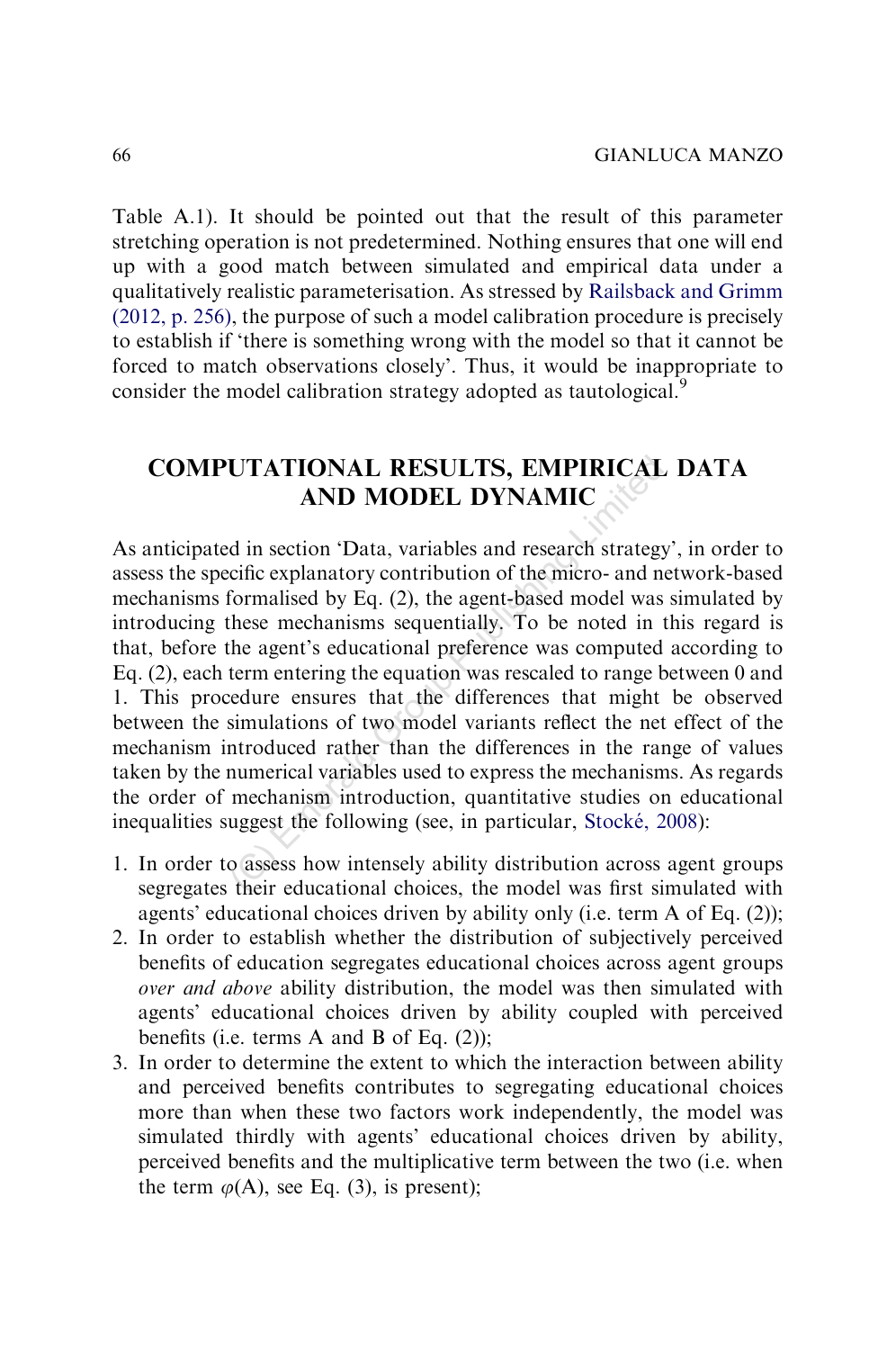Table A.1). It should be pointed out that the result of this parameter stretching operation is not predetermined. Nothing ensures that one will end up with a good match between simulated and empirical data under a qualitatively realistic parameterisation. As stressed by Railsback and Grimm (2012, p. 256), the purpose of such a model calibration procedure is precisely to establish if 'there is something wrong with the model so that it cannot be forced to match observations closely'. Thus, it would be inappropriate to consider the model calibration strategy adopted as tautological.<sup>9</sup>

## COMPUTATIONAL RESULTS, EMPIRICAL DATA AND MODEL DYNAMIC

**UTATIONAL RESULTS, EMPIRICAL 1**<br>**AND MODEL DYNAMIC**<br>d in section 'Data, variables and research strategy';<br>cific explanatory contribution of the micro- and net<br>formalised by Eq. (2), the agent-based model was s<br>these mecha As anticipated in section 'Data, variables and research strategy', in order to assess the specific explanatory contribution of the micro- and network-based mechanisms formalised by Eq. (2), the agent-based model was simulated by introducing these mechanisms sequentially. To be noted in this regard is that, before the agent's educational preference was computed according to Eq. (2), each term entering the equation was rescaled to range between 0 and 1. This procedure ensures that the differences that might be observed between the simulations of two model variants reflect the net effect of the mechanism introduced rather than the differences in the range of values taken by the numerical variables used to express the mechanisms. As regards the order of mechanism introduction, quantitative studies on educational inequalities suggest the following (see, in particular, Stocké, 2008):

- 1. In order to assess how intensely ability distribution across agent groups segregates their educational choices, the model was first simulated with agents' educational choices driven by ability only (i.e. term A of Eq. (2));
- 2. In order to establish whether the distribution of subjectively perceived benefits of education segregates educational choices across agent groups over and above ability distribution, the model was then simulated with agents' educational choices driven by ability coupled with perceived benefits (i.e. terms A and B of Eq. (2));
- 3. In order to determine the extent to which the interaction between ability and perceived benefits contributes to segregating educational choices more than when these two factors work independently, the model was simulated thirdly with agents' educational choices driven by ability, perceived benefits and the multiplicative term between the two (i.e. when the term  $\varphi(A)$ , see Eq. (3), is present);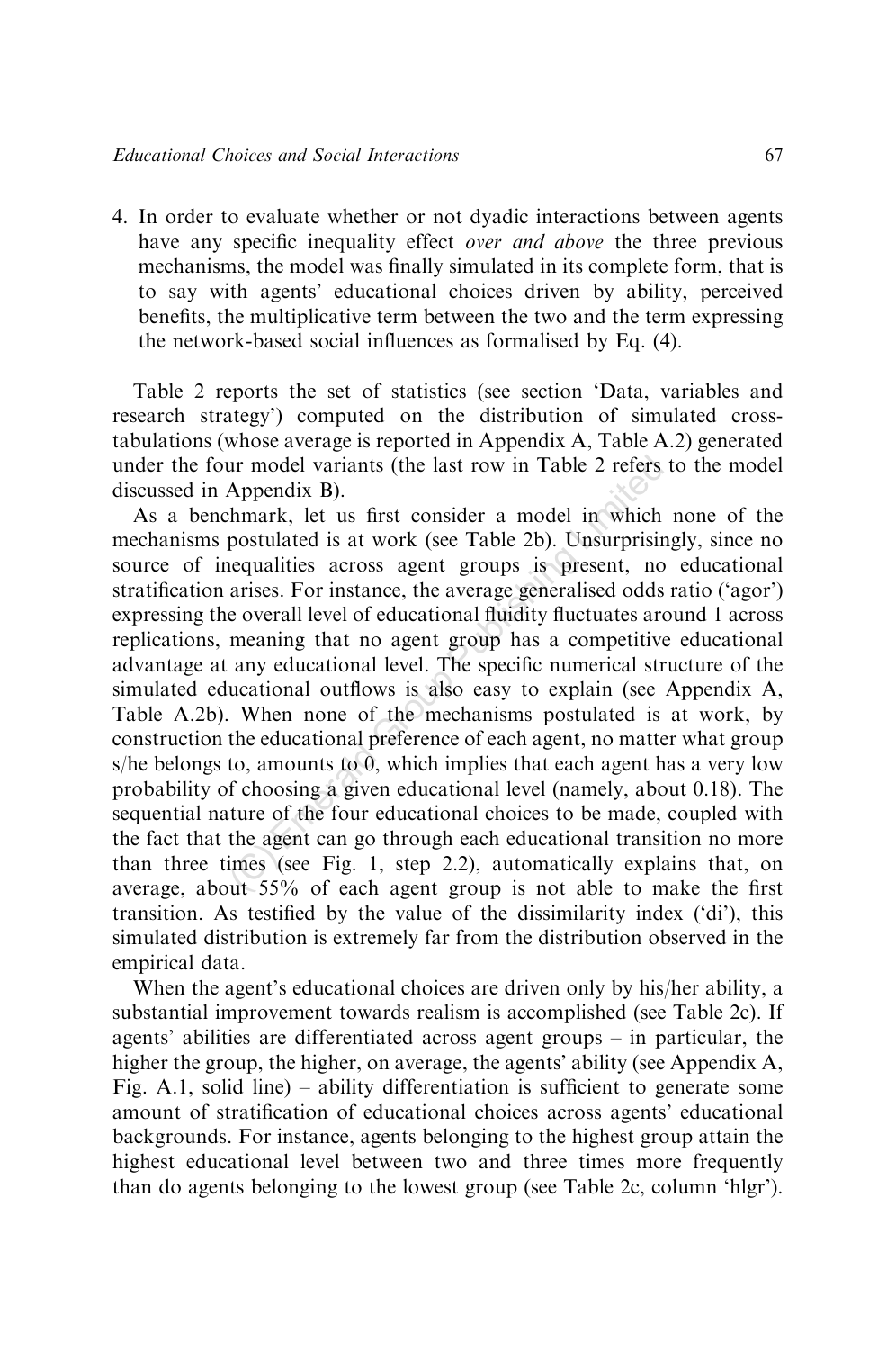4. In order to evaluate whether or not dyadic interactions between agents have any specific inequality effect *over and above* the three previous mechanisms, the model was finally simulated in its complete form, that is to say with agents' educational choices driven by ability, perceived benefits, the multiplicative term between the two and the term expressing the network-based social influences as formalised by Eq. (4).

Table 2 reports the set of statistics (see section 'Data, variables and research strategy') computed on the distribution of simulated crosstabulations (whose average is reported in Appendix A, Table A.2) generated under the four model variants (the last row in Table 2 refers to the model discussed in Appendix B).

ur model variants (the last row in Table 2 refers to<br>Appendix B).<br>
Ahmark, let us first consider a model in which r<br>
postulated is at work (see Table 2b). Unsurprising<br>
nequalities across agent groups is present, no<br>
arise As a benchmark, let us first consider a model in which none of the mechanisms postulated is at work (see Table 2b). Unsurprisingly, since no source of inequalities across agent groups is present, no educational stratification arises. For instance, the average generalised odds ratio ('agor') expressing the overall level of educational fluidity fluctuates around 1 across replications, meaning that no agent group has a competitive educational advantage at any educational level. The specific numerical structure of the simulated educational outflows is also easy to explain (see Appendix A, Table A.2b). When none of the mechanisms postulated is at work, by construction the educational preference of each agent, no matter what group s/he belongs to, amounts to 0, which implies that each agent has a very low probability of choosing a given educational level (namely, about 0.18). The sequential nature of the four educational choices to be made, coupled with the fact that the agent can go through each educational transition no more than three times (see Fig. 1, step 2.2), automatically explains that, on average, about 55% of each agent group is not able to make the first transition. As testified by the value of the dissimilarity index ('di'), this simulated distribution is extremely far from the distribution observed in the empirical data.

When the agent's educational choices are driven only by his/her ability, a substantial improvement towards realism is accomplished (see Table 2c). If agents' abilities are differentiated across agent groups – in particular, the higher the group, the higher, on average, the agents' ability (see Appendix A, Fig. A.1, solid line) – ability differentiation is sufficient to generate some amount of stratification of educational choices across agents' educational backgrounds. For instance, agents belonging to the highest group attain the highest educational level between two and three times more frequently than do agents belonging to the lowest group (see Table 2c, column 'hlgr').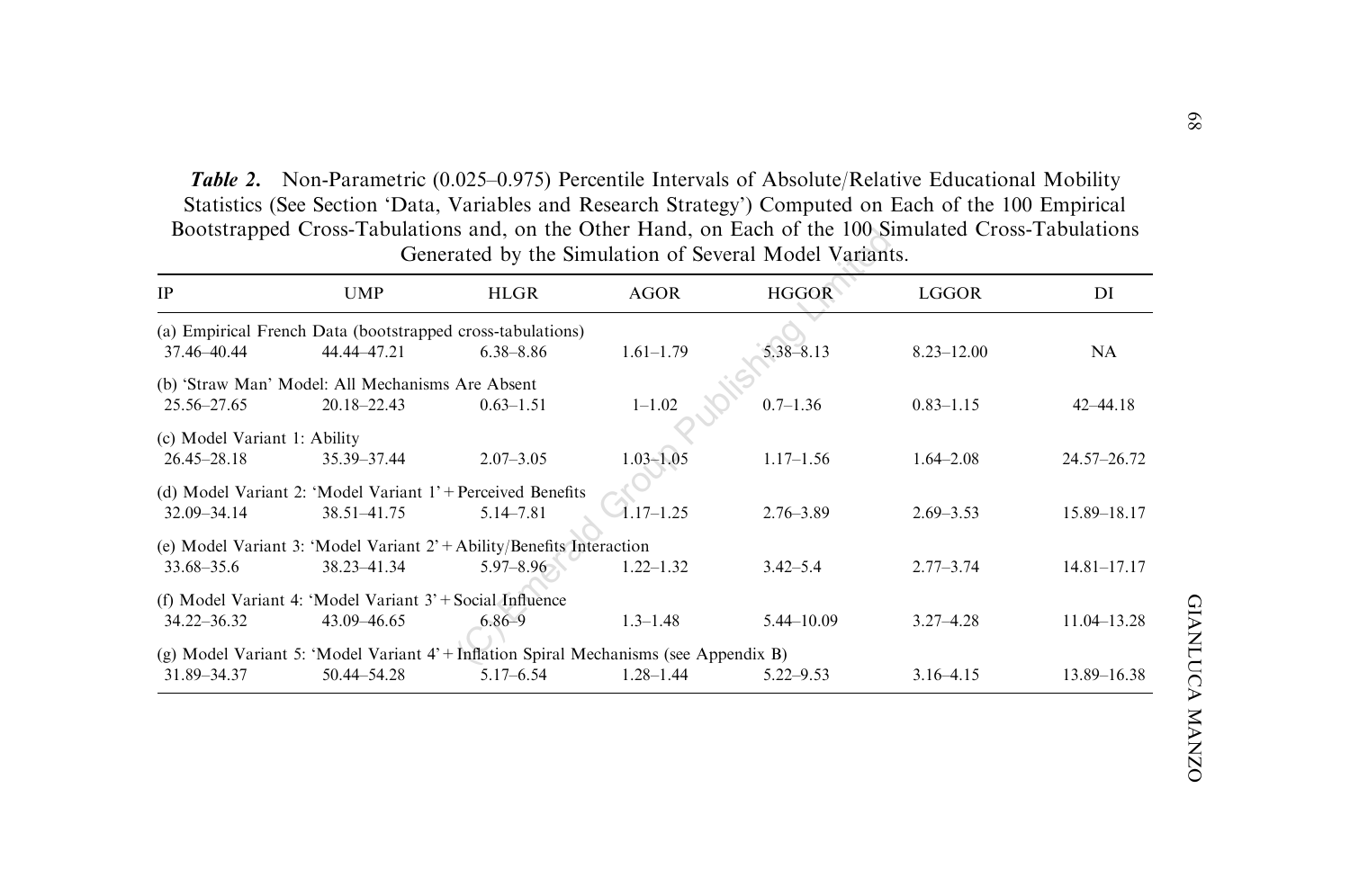| IP                                              | <b>UMP</b>                                                                                              | <b>HLGR</b>   | <b>AGOR</b>   | <b>HGGOR</b>   | LGGOR          | DI              |
|-------------------------------------------------|---------------------------------------------------------------------------------------------------------|---------------|---------------|----------------|----------------|-----------------|
| 37.46-40.44                                     | (a) Empirical French Data (bootstrapped cross-tabulations)<br>44.44-47.21                               | $6.38 - 8.86$ | $1.61 - 1.79$ | $5.38 - 8.13$  | $8.23 - 12.00$ | NA.             |
| 25.56-27.65                                     | (b) 'Straw Man' Model: All Mechanisms Are Absent<br>$20.18 - 22.43$                                     | $0.63 - 1.51$ | $1 - 1.02$    | $0.7 - 1.36$   | $0.83 - 1.15$  | $42 - 44.18$    |
| (c) Model Variant 1: Ability<br>$26.45 - 28.18$ | 35.39 - 37.44                                                                                           | $2.07 - 3.05$ | $1.03 - 1.05$ | $1.17 - 1.56$  | $1.64 - 2.08$  | $24.57 - 26.72$ |
| 32.09-34.14                                     | (d) Model Variant 2: 'Model Variant 1' + Perceived Benefits<br>38.51-41.75                              | 5.14-7.81     | $1.17 - 1.25$ | $2.76 - 3.89$  | $2.69 - 3.53$  | 15.89-18.17     |
| $33.68 - 35.6$                                  | (e) Model Variant 3: 'Model Variant $2' +$ Ability/Benefits Interaction<br>38.23-41.34                  | $5.97 - 8.96$ | $1.22 - 1.32$ | $3.42 - 5.4$   | $2.77 - 3.74$  | $14.81 - 17.17$ |
| 34.22-36.32                                     | (f) Model Variant 4: 'Model Variant $3'$ + Social Influence<br>43.09 - 46.65                            | $6.86 - 9$    | $1.3 - 1.48$  | $5.44 - 10.09$ | $3.27 - 4.28$  | $11.04 - 13.28$ |
| 31.89 - 34.37                                   | (g) Model Variant 5: 'Model Variant $4$ ' + Inflation Spiral Mechanisms (see Appendix B)<br>50.44-54.28 | $5.17 - 6.54$ | $1.28 - 1.44$ | $5.22 - 9.53$  | $3.16 - 4.15$  | 13.89-16.38     |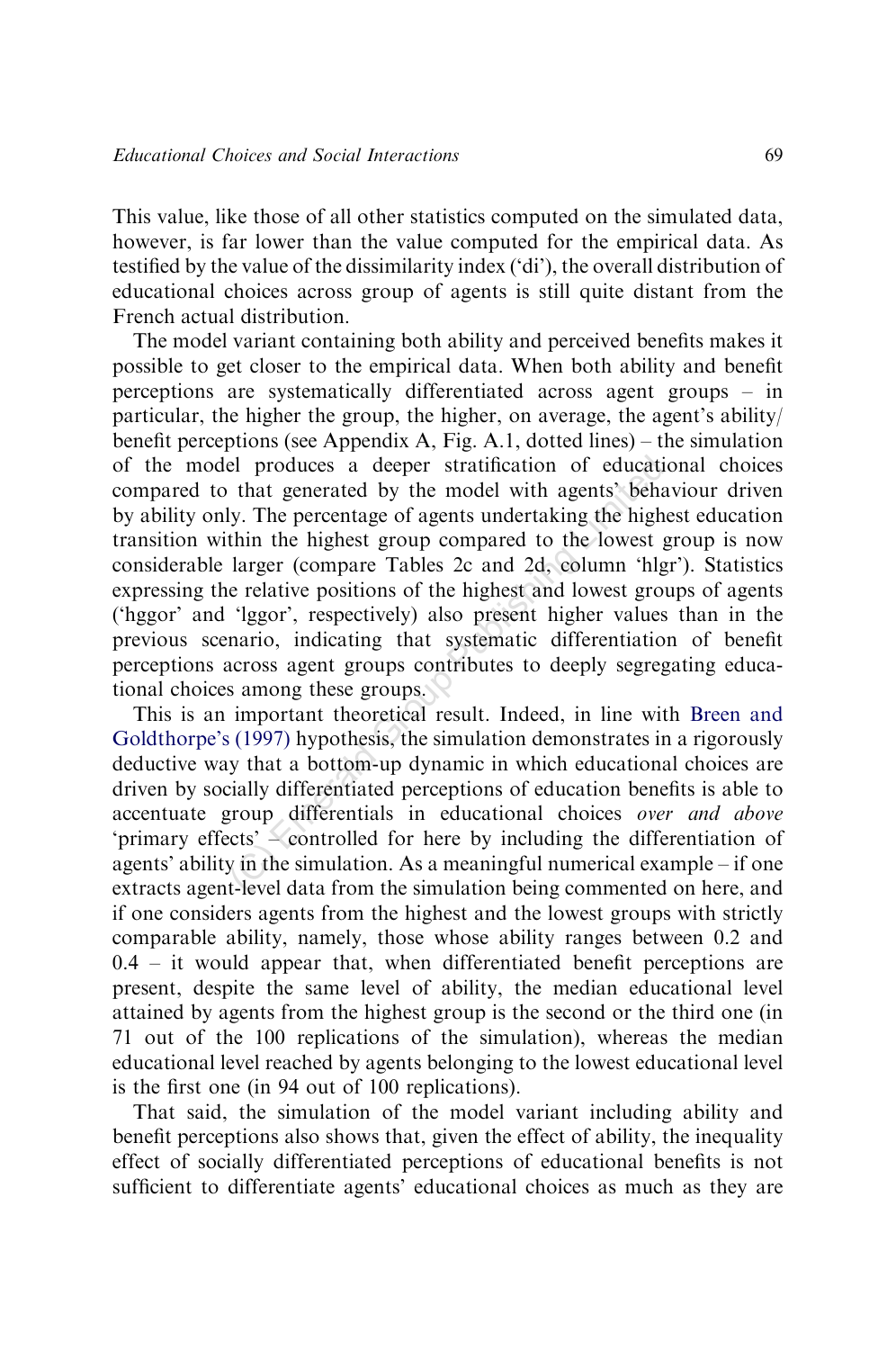This value, like those of all other statistics computed on the simulated data, however, is far lower than the value computed for the empirical data. As testified by the value of the dissimilarity index ('di'), the overall distribution of educational choices across group of agents is still quite distant from the French actual distribution.

el produces a deeper stratification of educatio<br>that generated by the model with agents' behav<br>ly. The percentage of agents undertaking the highes<br>thin the highest group compared to the lowest gr<br>larger (compare Tables 2c The model variant containing both ability and perceived benefits makes it possible to get closer to the empirical data. When both ability and benefit perceptions are systematically differentiated across agent groups – in particular, the higher the group, the higher, on average, the agent's ability/ benefit perceptions (see Appendix A, Fig. A.1, dotted lines) – the simulation of the model produces a deeper stratification of educational choices compared to that generated by the model with agents' behaviour driven by ability only. The percentage of agents undertaking the highest education transition within the highest group compared to the lowest group is now considerable larger (compare Tables 2c and 2d, column 'hlgr'). Statistics expressing the relative positions of the highest and lowest groups of agents ('hggor' and 'lggor', respectively) also present higher values than in the previous scenario, indicating that systematic differentiation of benefit perceptions across agent groups contributes to deeply segregating educational choices among these groups.

This is an important theoretical result. Indeed, in line with Breen and Goldthorpe's (1997) hypothesis, the simulation demonstrates in a rigorously deductive way that a bottom-up dynamic in which educational choices are driven by socially differentiated perceptions of education benefits is able to accentuate group differentials in educational choices over and above 'primary effects' – controlled for here by including the differentiation of agents' ability in the simulation. As a meaningful numerical example – if one extracts agent-level data from the simulation being commented on here, and if one considers agents from the highest and the lowest groups with strictly comparable ability, namely, those whose ability ranges between 0.2 and  $0.4 - it would appear that, when differentiated benefit perceptions are$ present, despite the same level of ability, the median educational level attained by agents from the highest group is the second or the third one (in 71 out of the 100 replications of the simulation), whereas the median educational level reached by agents belonging to the lowest educational level is the first one (in 94 out of 100 replications).

That said, the simulation of the model variant including ability and benefit perceptions also shows that, given the effect of ability, the inequality effect of socially differentiated perceptions of educational benefits is not sufficient to differentiate agents' educational choices as much as they are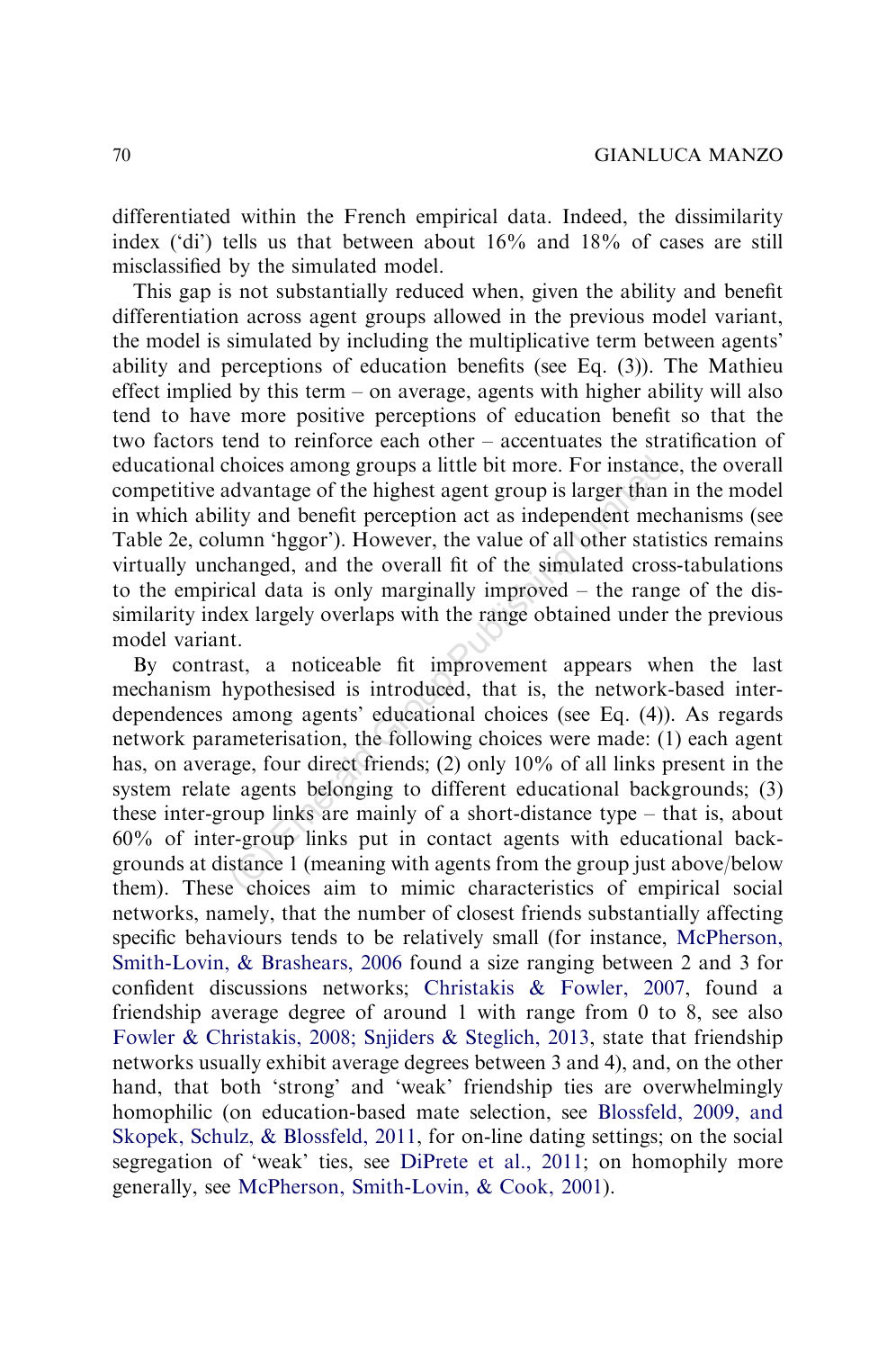differentiated within the French empirical data. Indeed, the dissimilarity index ('di') tells us that between about 16% and 18% of cases are still misclassified by the simulated model.

This gap is not substantially reduced when, given the ability and benefit differentiation across agent groups allowed in the previous model variant, the model is simulated by including the multiplicative term between agents' ability and perceptions of education benefits (see Eq. (3)). The Mathieu effect implied by this term – on average, agents with higher ability will also tend to have more positive perceptions of education benefit so that the two factors tend to reinforce each other – accentuates the stratification of educational choices among groups a little bit more. For instance, the overall competitive advantage of the highest agent group is larger than in the model in which ability and benefit perception act as independent mechanisms (see Table 2e, column 'hggor'). However, the value of all other statistics remains virtually unchanged, and the overall fit of the simulated cross-tabulations to the empirical data is only marginally improved – the range of the dissimilarity index largely overlaps with the range obtained under the previous model variant.

hoices among groups a little bit more. For instance<br>dvantage of the highest agent group is larger than i<br>ity and benefit perception act as independent mech<br>umn 'hggor'). However, the value of all other statis<br>hanged, and By contrast, a noticeable fit improvement appears when the last mechanism hypothesised is introduced, that is, the network-based interdependences among agents' educational choices (see Eq. (4)). As regards network parameterisation, the following choices were made: (1) each agent has, on average, four direct friends; (2) only 10% of all links present in the system relate agents belonging to different educational backgrounds; (3) these inter-group links are mainly of a short-distance type – that is, about 60% of inter-group links put in contact agents with educational backgrounds at distance 1 (meaning with agents from the group just above/below them). These choices aim to mimic characteristics of empirical social networks, namely, that the number of closest friends substantially affecting specific behaviours tends to be relatively small (for instance, McPherson, Smith-Lovin, & Brashears, 2006 found a size ranging between 2 and 3 for confident discussions networks; Christakis & Fowler, 2007, found a friendship average degree of around 1 with range from 0 to 8, see also Fowler & Christakis, 2008; Snjiders & Steglich, 2013, state that friendship networks usually exhibit average degrees between 3 and 4), and, on the other hand, that both 'strong' and 'weak' friendship ties are overwhelmingly homophilic (on education-based mate selection, see Blossfeld, 2009, and Skopek, Schulz, & Blossfeld, 2011, for on-line dating settings; on the social segregation of 'weak' ties, see DiPrete et al., 2011; on homophily more generally, see McPherson, Smith-Lovin, & Cook, 2001).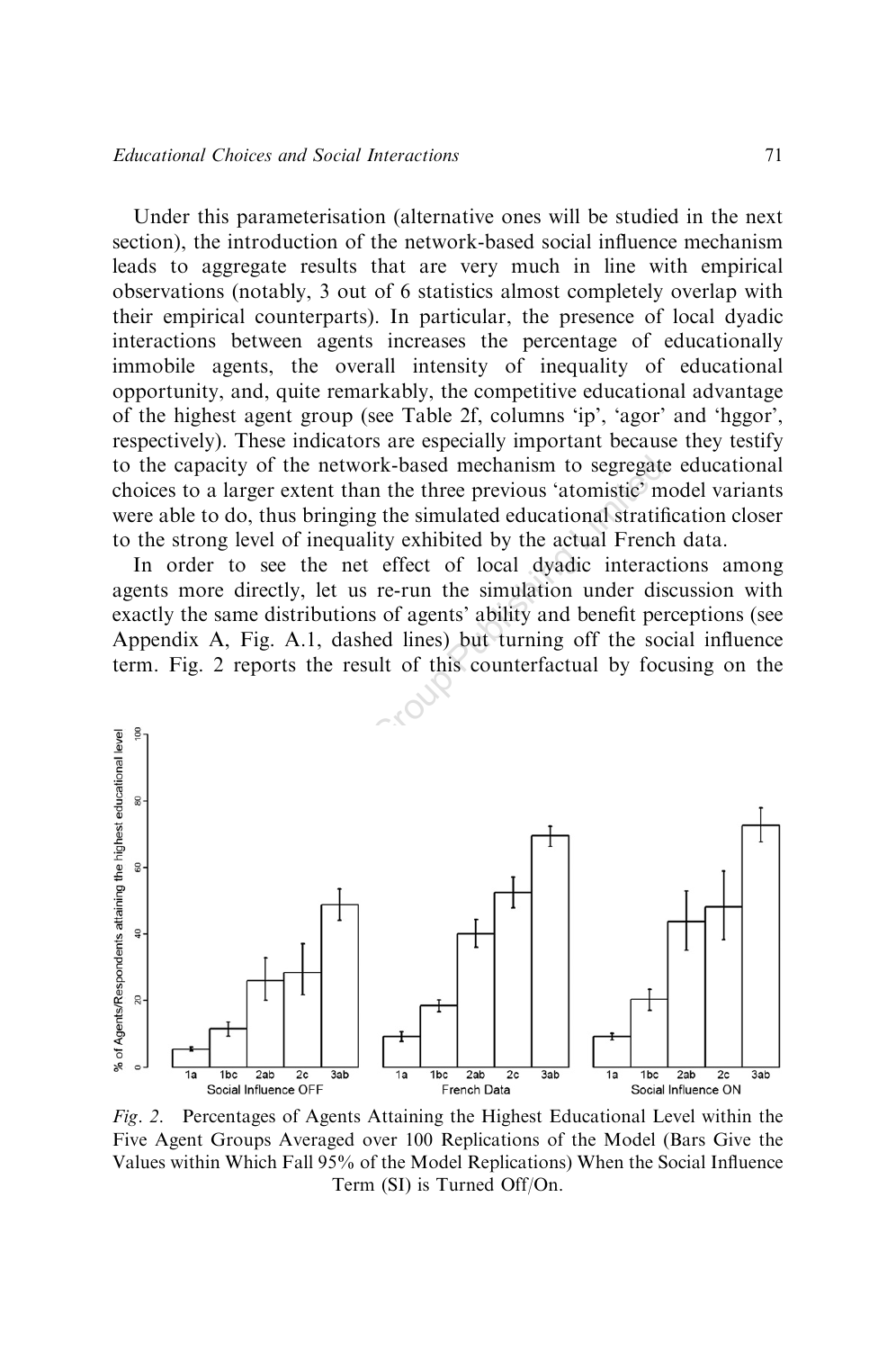Under this parameterisation (alternative ones will be studied in the next section), the introduction of the network-based social influence mechanism leads to aggregate results that are very much in line with empirical observations (notably, 3 out of 6 statistics almost completely overlap with their empirical counterparts). In particular, the presence of local dyadic interactions between agents increases the percentage of educationally immobile agents, the overall intensity of inequality of educational opportunity, and, quite remarkably, the competitive educational advantage of the highest agent group (see Table 2f, columns 'ip', 'agor' and 'hggor', respectively). These indicators are especially important because they testify to the capacity of the network-based mechanism to segregate educational choices to a larger extent than the three previous 'atomistic' model variants were able to do, thus bringing the simulated educational stratification closer to the strong level of inequality exhibited by the actual French data.

In order to see the net effect of local dyadic interactions among agents more directly, let us re-run the simulation under discussion with exactly the same distributions of agents' ability and benefit perceptions (see Appendix A, Fig. A.1, dashed lines) but turning off the social influence term. Fig. 2 reports the result of this counterfactual by focusing on the



Fig. 2. Percentages of Agents Attaining the Highest Educational Level within the Five Agent Groups Averaged over 100 Replications of the Model (Bars Give the Values within Which Fall 95% of the Model Replications) When the Social Influence Term (SI) is Turned Off/On.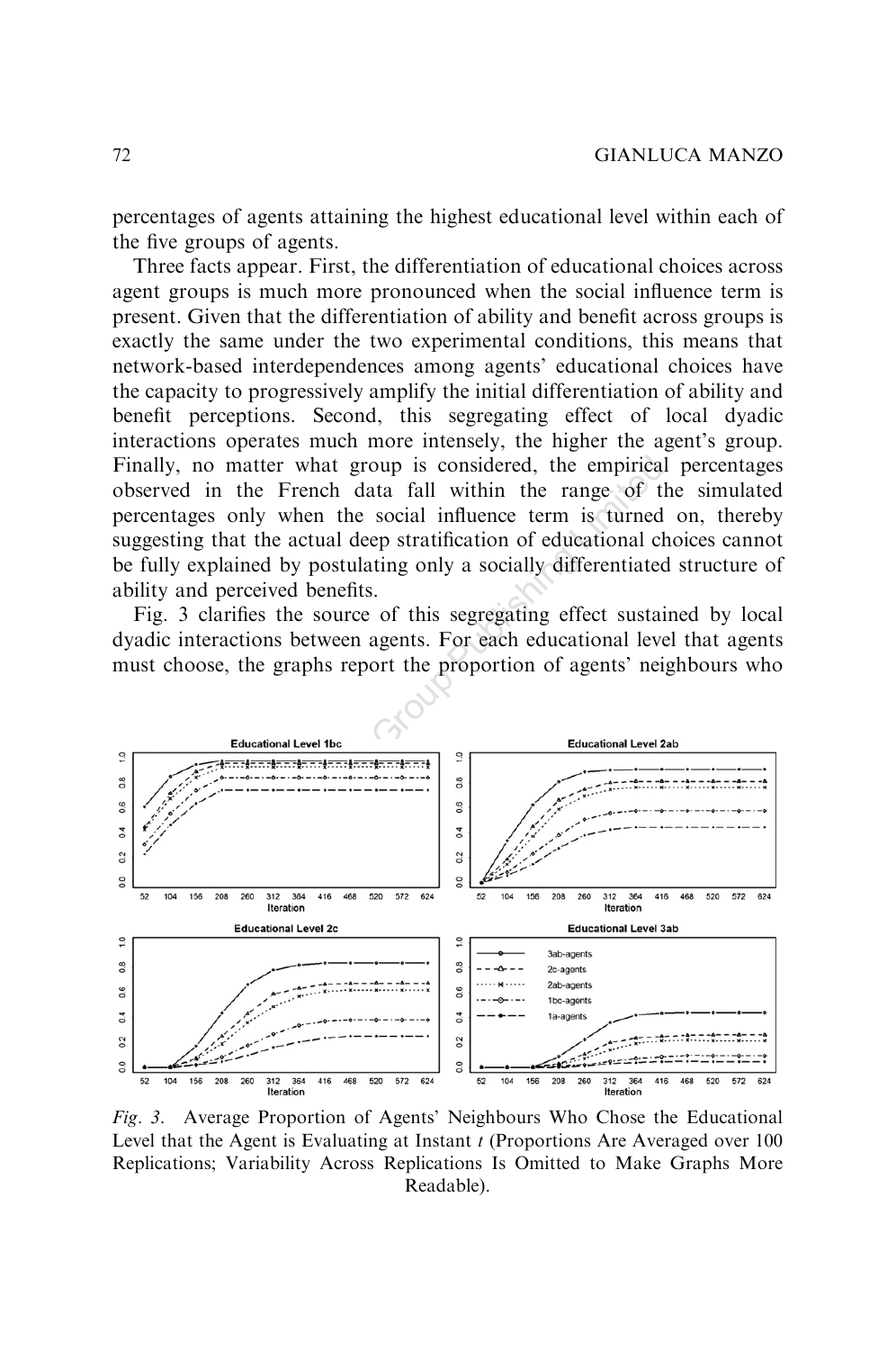percentages of agents attaining the highest educational level within each of the five groups of agents.

Three facts appear. First, the differentiation of educational choices across agent groups is much more pronounced when the social influence term is present. Given that the differentiation of ability and benefit across groups is exactly the same under the two experimental conditions, this means that network-based interdependences among agents' educational choices have the capacity to progressively amplify the initial differentiation of ability and benefit perceptions. Second, this segregating effect of local dyadic interactions operates much more intensely, the higher the agent's group. Finally, no matter what group is considered, the empirical percentages observed in the French data fall within the range of the simulated percentages only when the social influence term is turned on, thereby suggesting that the actual deep stratification of educational choices cannot be fully explained by postulating only a socially differentiated structure of ability and perceived benefits.

Fig. 3 clarifies the source of this segregating effect sustained by local dyadic interactions between agents. For each educational level that agents must choose, the graphs report the proportion of agents' neighbours who



Fig. 3. Average Proportion of Agents' Neighbours Who Chose the Educational Level that the Agent is Evaluating at Instant  $t$  (Proportions Are Averaged over 100) Replications; Variability Across Replications Is Omitted to Make Graphs More Readable).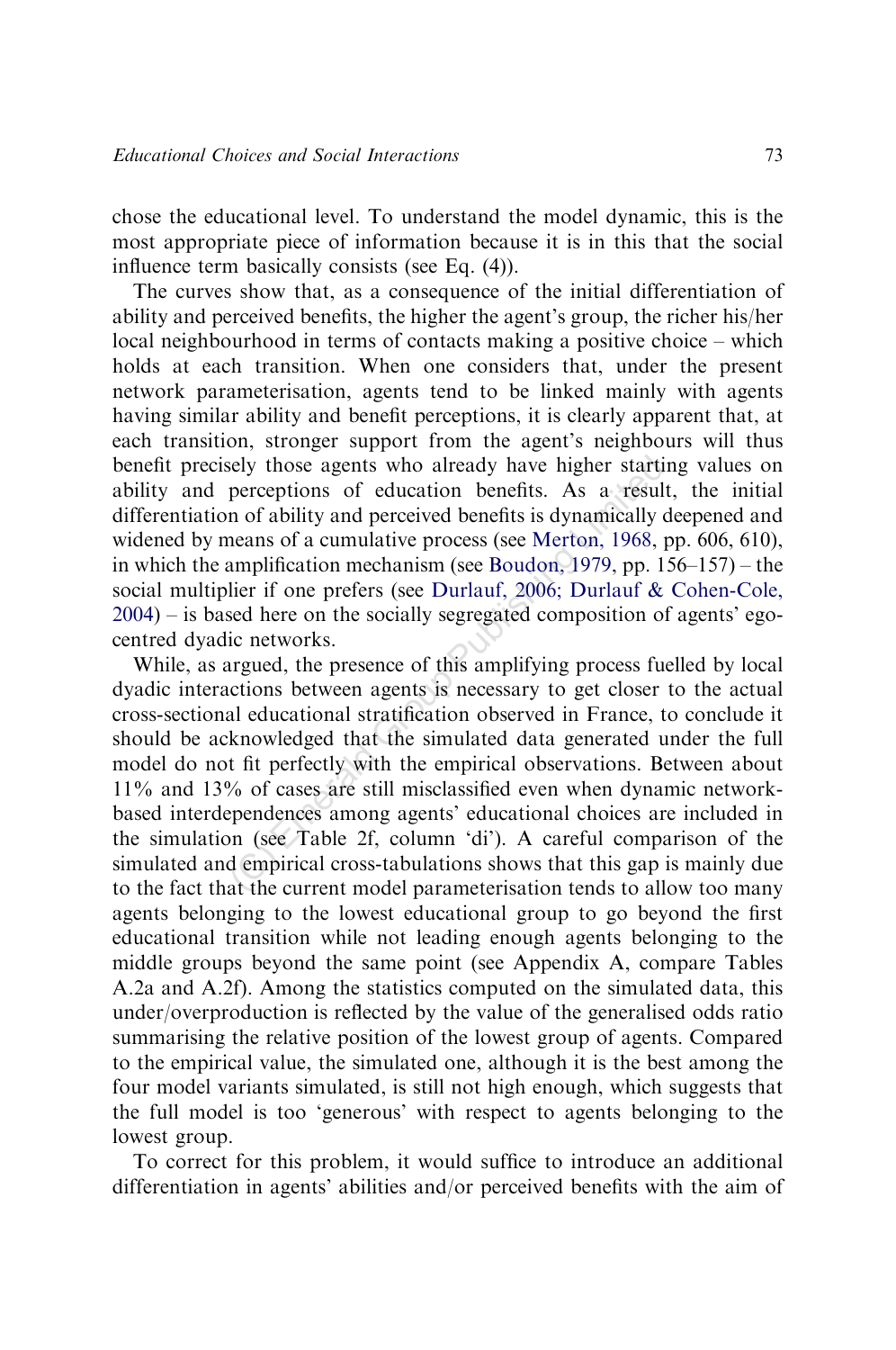chose the educational level. To understand the model dynamic, this is the most appropriate piece of information because it is in this that the social influence term basically consists (see Eq. (4)).

The curves show that, as a consequence of the initial differentiation of ability and perceived benefits, the higher the agent's group, the richer his/her local neighbourhood in terms of contacts making a positive choice – which holds at each transition. When one considers that, under the present network parameterisation, agents tend to be linked mainly with agents having similar ability and benefit perceptions, it is clearly apparent that, at each transition, stronger support from the agent's neighbours will thus benefit precisely those agents who already have higher starting values on ability and perceptions of education benefits. As a result, the initial differentiation of ability and perceived benefits is dynamically deepened and widened by means of a cumulative process (see Merton, 1968, pp. 606, 610), in which the amplification mechanism (see Boudon, 1979, pp. 156–157) – the social multiplier if one prefers (see Durlauf, 2006; Durlauf & Cohen-Cole, 2004) – is based here on the socially segregated composition of agents' egocentred dyadic networks.

sely those agents who already have higher starting<br>perceptions of education benefits. As a result,<br>n of ability and perceived benefits is dynamically de<br>neans of a cumulative process (see Merton, 1968, pr<br>amplification mec While, as argued, the presence of this amplifying process fuelled by local dyadic interactions between agents is necessary to get closer to the actual cross-sectional educational stratification observed in France, to conclude it should be acknowledged that the simulated data generated under the full model do not fit perfectly with the empirical observations. Between about 11% and 13% of cases are still misclassified even when dynamic networkbased interdependences among agents' educational choices are included in the simulation (see Table 2f, column 'di'). A careful comparison of the simulated and empirical cross-tabulations shows that this gap is mainly due to the fact that the current model parameterisation tends to allow too many agents belonging to the lowest educational group to go beyond the first educational transition while not leading enough agents belonging to the middle groups beyond the same point (see Appendix A, compare Tables A.2a and A.2f). Among the statistics computed on the simulated data, this under/overproduction is reflected by the value of the generalised odds ratio summarising the relative position of the lowest group of agents. Compared to the empirical value, the simulated one, although it is the best among the four model variants simulated, is still not high enough, which suggests that the full model is too 'generous' with respect to agents belonging to the lowest group.

To correct for this problem, it would suffice to introduce an additional differentiation in agents' abilities and/or perceived benefits with the aim of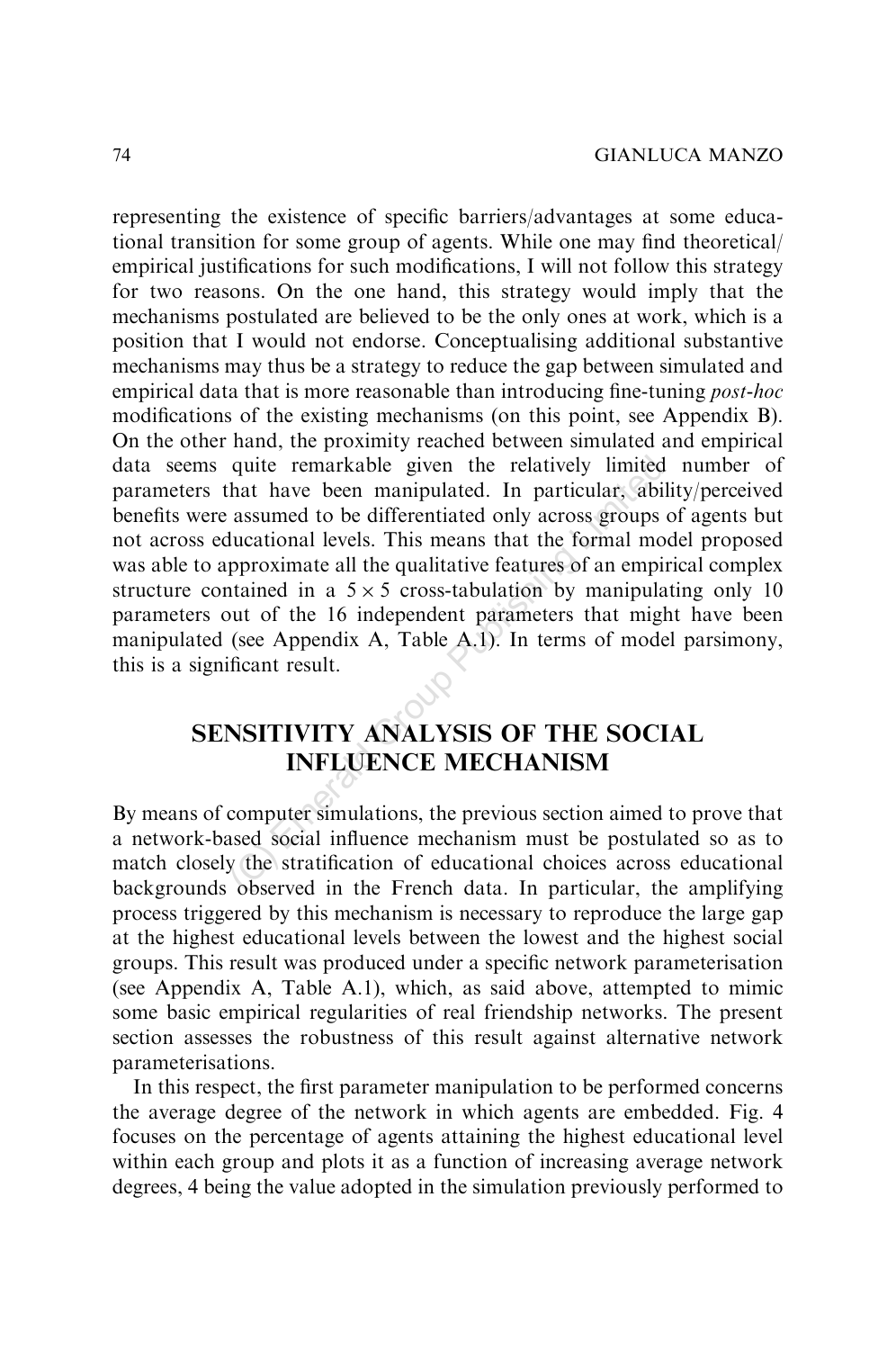quite remarkable given the relatively limited<br>hat have been manipulated. In particular, abilit<br>assumed to be differentiated only across groups of<br>lucational levels. This means that the formal mod<br>pproximate all the qualit representing the existence of specific barriers/advantages at some educational transition for some group of agents. While one may find theoretical/ empirical justifications for such modifications, I will not follow this strategy for two reasons. On the one hand, this strategy would imply that the mechanisms postulated are believed to be the only ones at work, which is a position that I would not endorse. Conceptualising additional substantive mechanisms may thus be a strategy to reduce the gap between simulated and empirical data that is more reasonable than introducing fine-tuning post-hoc modifications of the existing mechanisms (on this point, see Appendix B). On the other hand, the proximity reached between simulated and empirical data seems quite remarkable given the relatively limited number of parameters that have been manipulated. In particular, ability/perceived benefits were assumed to be differentiated only across groups of agents but not across educational levels. This means that the formal model proposed was able to approximate all the qualitative features of an empirical complex structure contained in a  $5 \times 5$  cross-tabulation by manipulating only 10 parameters out of the 16 independent parameters that might have been manipulated (see Appendix A, Table A.1). In terms of model parsimony, this is a significant result.

# SENSITIVITY ANALYSIS OF THE SOCIAL INFLUENCE MECHANISM

By means of computer simulations, the previous section aimed to prove that a network-based social influence mechanism must be postulated so as to match closely the stratification of educational choices across educational backgrounds observed in the French data. In particular, the amplifying process triggered by this mechanism is necessary to reproduce the large gap at the highest educational levels between the lowest and the highest social groups. This result was produced under a specific network parameterisation (see Appendix A, Table A.1), which, as said above, attempted to mimic some basic empirical regularities of real friendship networks. The present section assesses the robustness of this result against alternative network parameterisations.

In this respect, the first parameter manipulation to be performed concerns the average degree of the network in which agents are embedded. Fig. 4 focuses on the percentage of agents attaining the highest educational level within each group and plots it as a function of increasing average network degrees, 4 being the value adopted in the simulation previously performed to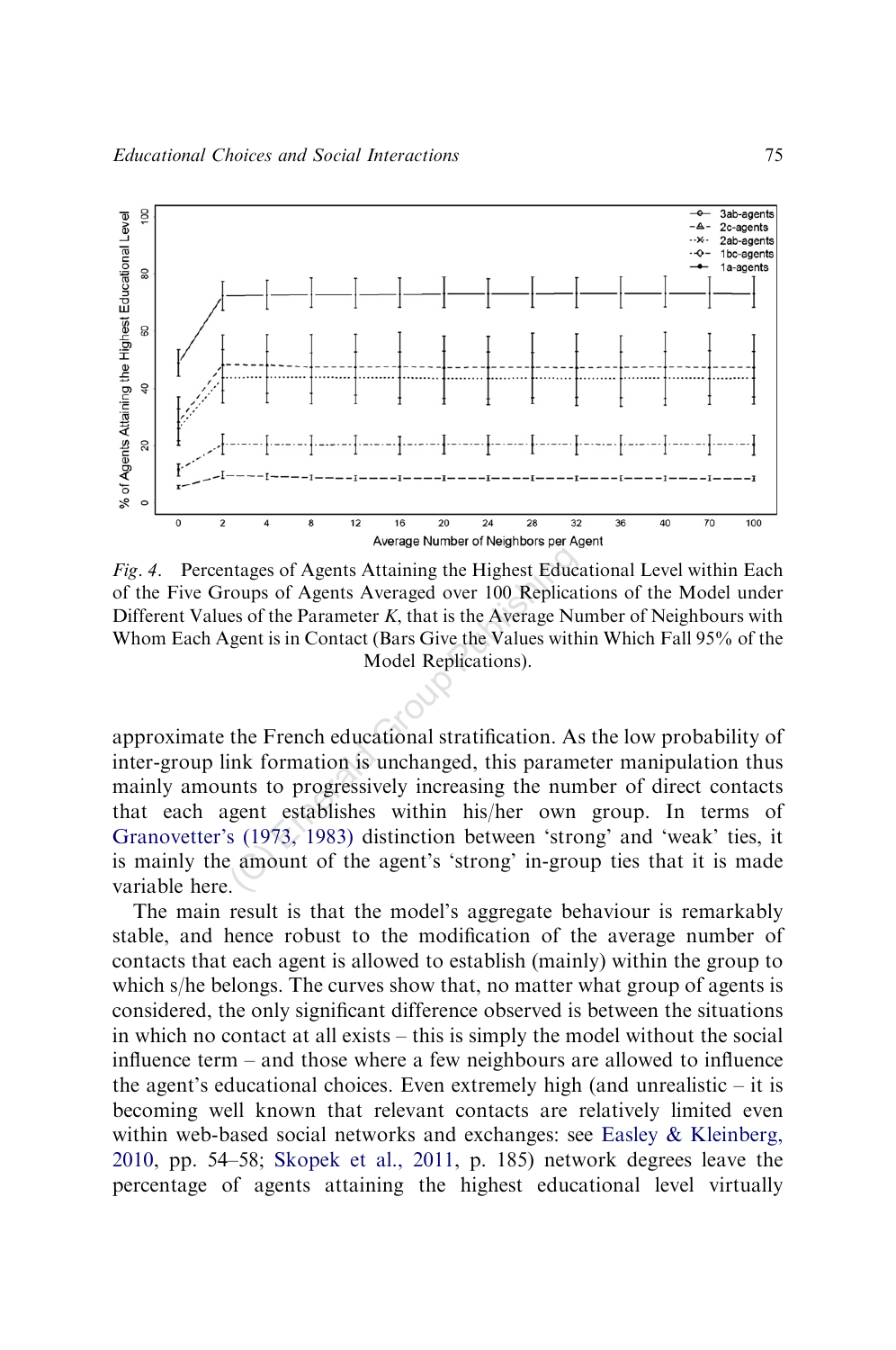

Fig. 4. Percentages of Agents Attaining the Highest Educational Level within Each of the Five Groups of Agents Averaged over 100 Replications of the Model under Different Values of the Parameter  $K$ , that is the Average Number of Neighbours with Whom Each Agent is in Contact (Bars Give the Values within Which Fall 95% of the Model Replications).

The Figure 2 and the agent's 'strong' and 'the agent's (1973, 1983) distinction of Neighbors per Agent and Average Number of Neighbors per Agent<br>
Average Number of Neighbors per Agent<br>
croups of Agents Attaining the Highes approximate the French educational stratification. As the low probability of inter-group link formation is unchanged, this parameter manipulation thus mainly amounts to progressively increasing the number of direct contacts that each agent establishes within his/her own group. In terms of Granovetter's (1973, 1983) distinction between 'strong' and 'weak' ties, it is mainly the amount of the agent's 'strong' in-group ties that it is made variable here.

The main result is that the model's aggregate behaviour is remarkably stable, and hence robust to the modification of the average number of contacts that each agent is allowed to establish (mainly) within the group to which s/he belongs. The curves show that, no matter what group of agents is considered, the only significant difference observed is between the situations in which no contact at all exists – this is simply the model without the social influence term – and those where a few neighbours are allowed to influence the agent's educational choices. Even extremely high (and unrealistic  $-$  it is becoming well known that relevant contacts are relatively limited even within web-based social networks and exchanges: see Easley  $\&$  Kleinberg, 2010, pp. 54–58; Skopek et al., 2011, p. 185) network degrees leave the percentage of agents attaining the highest educational level virtually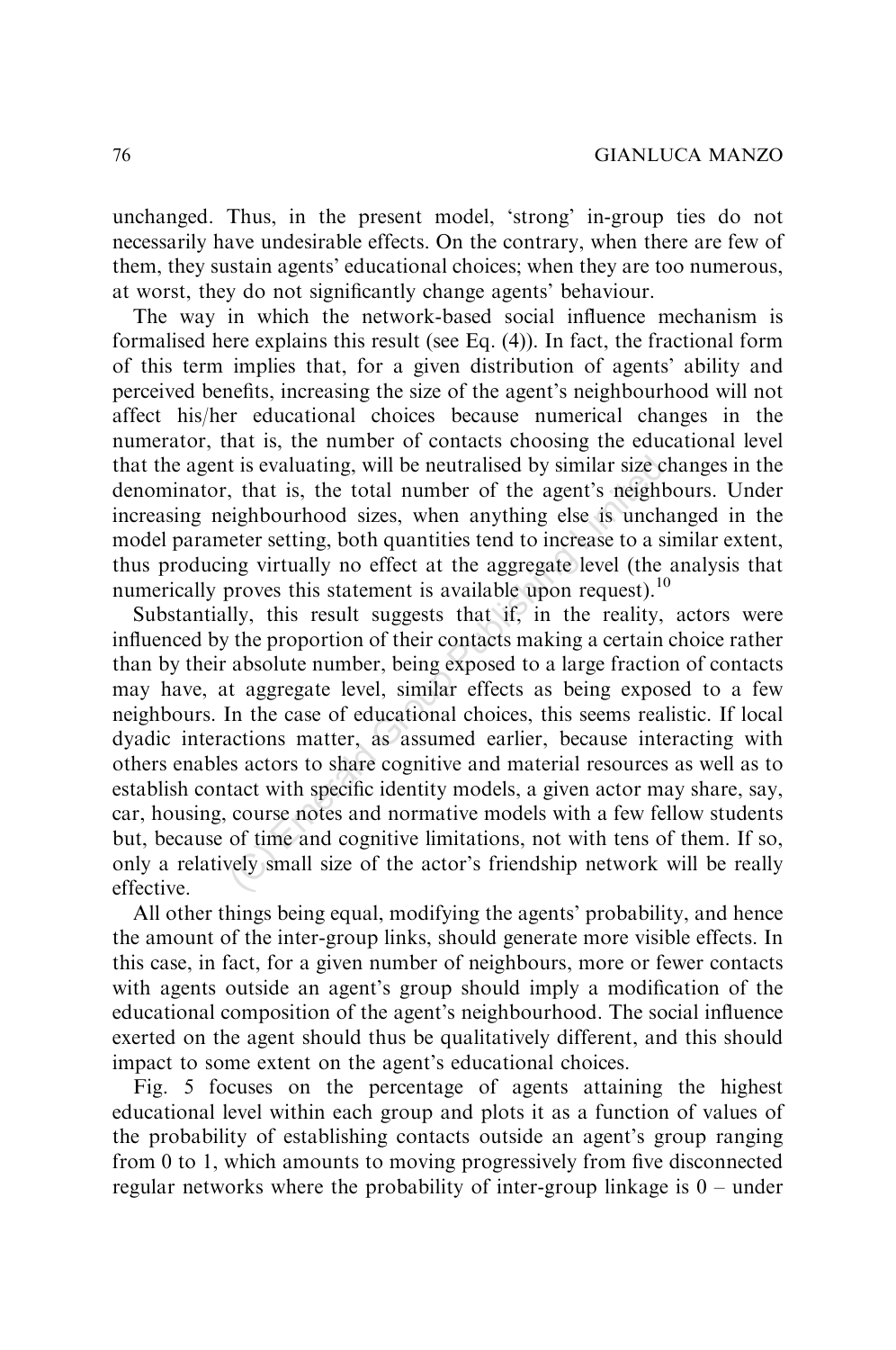unchanged. Thus, in the present model, 'strong' in-group ties do not necessarily have undesirable effects. On the contrary, when there are few of them, they sustain agents' educational choices; when they are too numerous, at worst, they do not significantly change agents' behaviour.

The way in which the network-based social influence mechanism is formalised here explains this result (see Eq. (4)). In fact, the fractional form of this term implies that, for a given distribution of agents' ability and perceived benefits, increasing the size of the agent's neighbourhood will not affect his/her educational choices because numerical changes in the numerator, that is, the number of contacts choosing the educational level that the agent is evaluating, will be neutralised by similar size changes in the denominator, that is, the total number of the agent's neighbours. Under increasing neighbourhood sizes, when anything else is unchanged in the model parameter setting, both quantities tend to increase to a similar extent, thus producing virtually no effect at the aggregate level (the analysis that numerically proves this statement is available upon request).<sup>10</sup>

t is evaluating, will be neutralised by similar size ch, that is, the total number of the agent's neighborighbourhood sizes, when anything else is unchanceter setting, both quantities tend to increase to a sing virtually n Substantially, this result suggests that if, in the reality, actors were influenced by the proportion of their contacts making a certain choice rather than by their absolute number, being exposed to a large fraction of contacts may have, at aggregate level, similar effects as being exposed to a few neighbours. In the case of educational choices, this seems realistic. If local dyadic interactions matter, as assumed earlier, because interacting with others enables actors to share cognitive and material resources as well as to establish contact with specific identity models, a given actor may share, say, car, housing, course notes and normative models with a few fellow students but, because of time and cognitive limitations, not with tens of them. If so, only a relatively small size of the actor's friendship network will be really effective.

All other things being equal, modifying the agents' probability, and hence the amount of the inter-group links, should generate more visible effects. In this case, in fact, for a given number of neighbours, more or fewer contacts with agents outside an agent's group should imply a modification of the educational composition of the agent's neighbourhood. The social influence exerted on the agent should thus be qualitatively different, and this should impact to some extent on the agent's educational choices.

Fig. 5 focuses on the percentage of agents attaining the highest educational level within each group and plots it as a function of values of the probability of establishing contacts outside an agent's group ranging from 0 to 1, which amounts to moving progressively from five disconnected regular networks where the probability of inter-group linkage is 0 – under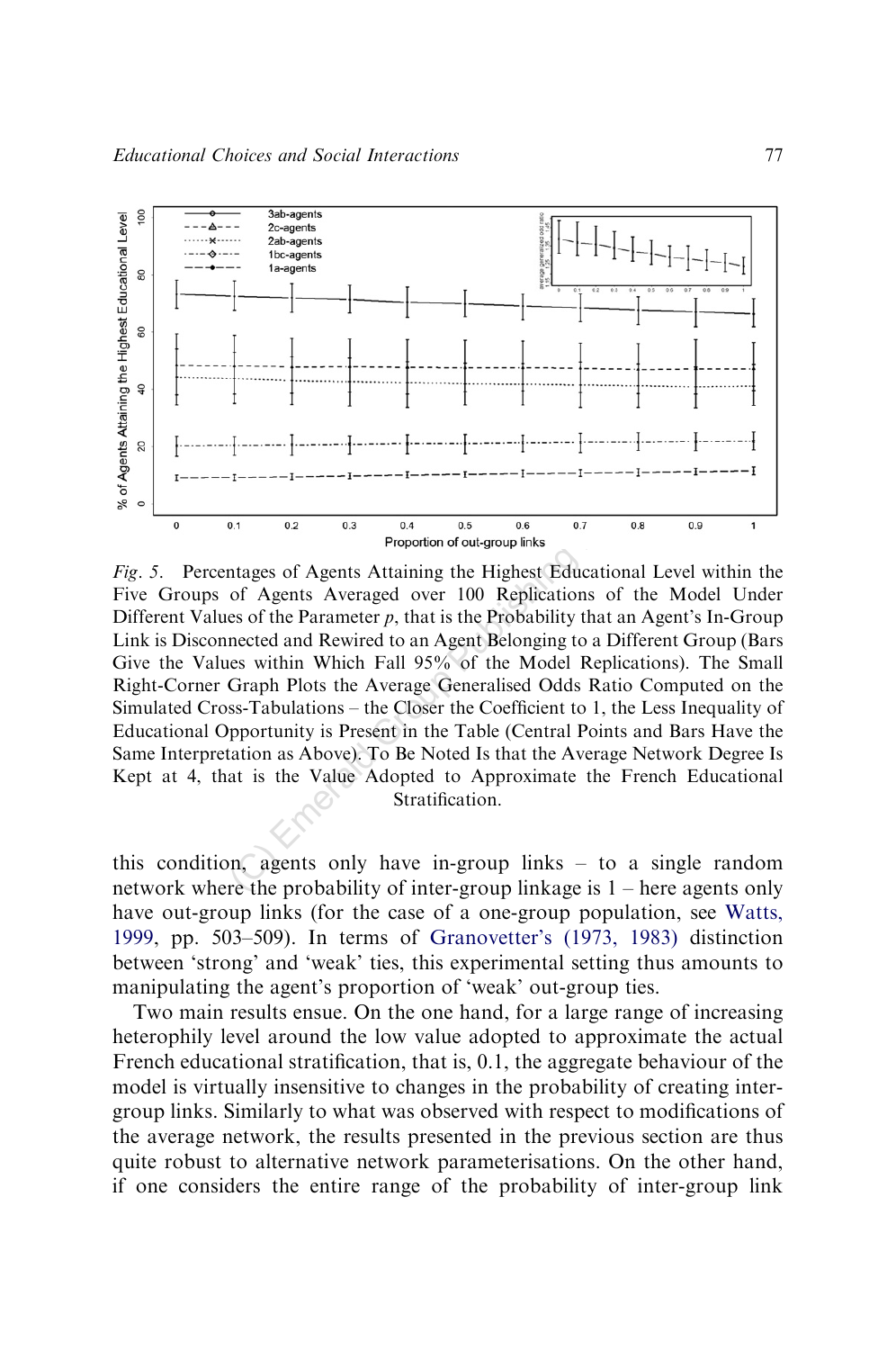

 $\frac{1}{1}$ <br>  $\frac{1}{1}$ <br>  $\frac{1}{1}$ <br>  $\frac{1}{1}$ <br>  $\frac{1}{1}$ <br>  $\frac{1}{1}$ <br>  $\frac{1}{1}$ <br>  $\frac{1}{1}$ <br>  $\frac{1}{1}$ <br>  $\frac{1}{1}$ <br>  $\frac{1}{1}$ <br>  $\frac{1}{1}$ <br>  $\frac{1}{1}$ <br>  $\frac{1}{1}$ <br>  $\frac{1}{1}$ <br>  $\frac{1}{1}$ <br>  $\frac{1}{1}$ <br>  $\frac{1}{1}$ <br>  $\frac{1}{1}$ <br>  $\frac{1}{1}$ <br> Fig. 5. Percentages of Agents Attaining the Highest Educational Level within the Five Groups of Agents Averaged over 100 Replications of the Model Under Different Values of the Parameter  $p$ , that is the Probability that an Agent's In-Group Link is Disconnected and Rewired to an Agent Belonging to a Different Group (Bars Give the Values within Which Fall 95% of the Model Replications). The Small Right-Corner Graph Plots the Average Generalised Odds Ratio Computed on the Simulated Cross-Tabulations – the Closer the Coefficient to 1, the Less Inequality of Educational Opportunity is Present in the Table (Central Points and Bars Have the Same Interpretation as Above). To Be Noted Is that the Average Network Degree Is Kept at 4, that is the Value Adopted to Approximate the French Educational Stratification.

this condition, agents only have in-group links – to a single random network where the probability of inter-group linkage is 1 – here agents only have out-group links (for the case of a one-group population, see Watts, 1999, pp. 503–509). In terms of Granovetter's (1973, 1983) distinction between 'strong' and 'weak' ties, this experimental setting thus amounts to manipulating the agent's proportion of 'weak' out-group ties.

Two main results ensue. On the one hand, for a large range of increasing heterophily level around the low value adopted to approximate the actual French educational stratification, that is, 0.1, the aggregate behaviour of the model is virtually insensitive to changes in the probability of creating intergroup links. Similarly to what was observed with respect to modifications of the average network, the results presented in the previous section are thus quite robust to alternative network parameterisations. On the other hand, if one considers the entire range of the probability of inter-group link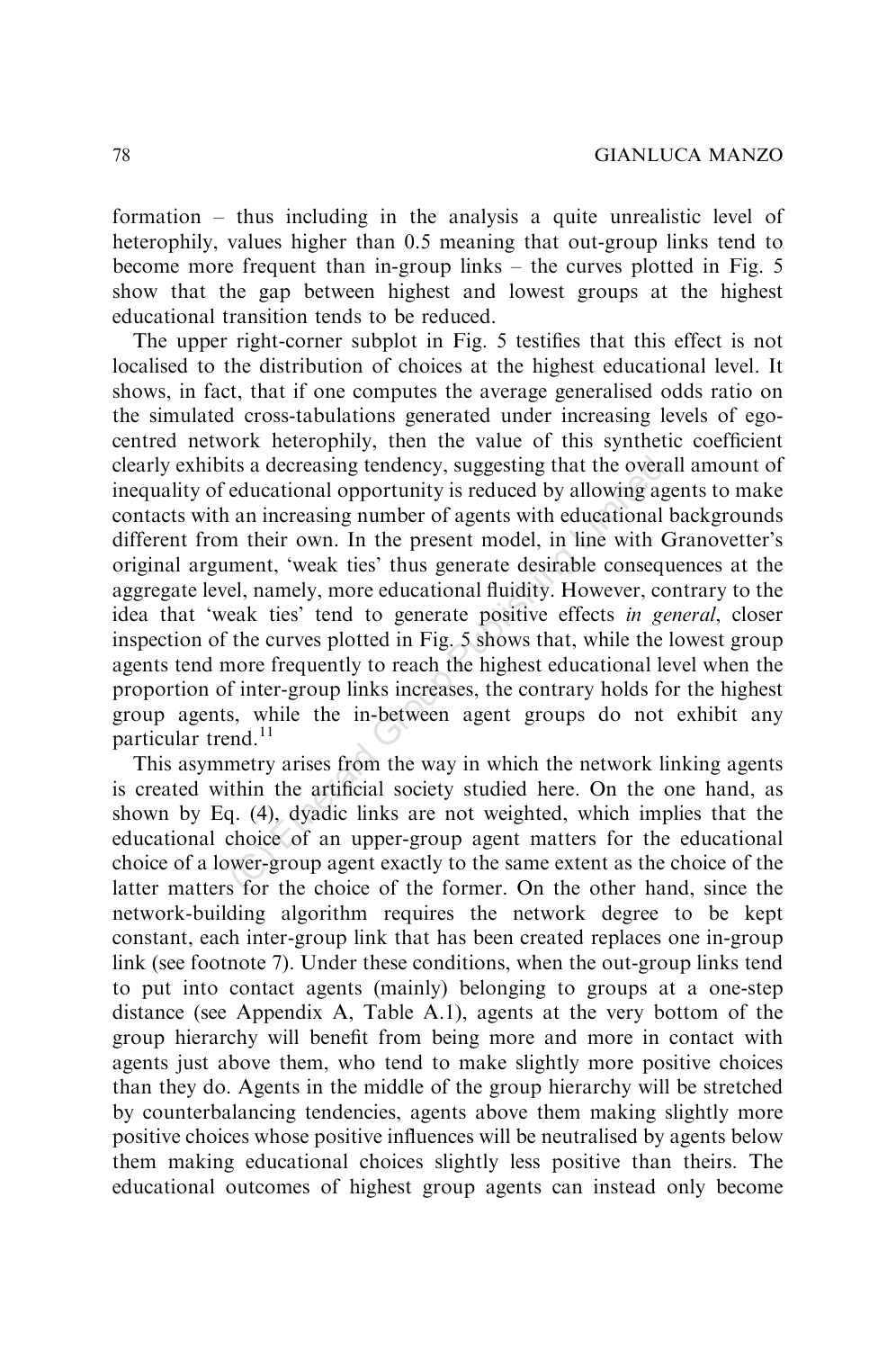formation – thus including in the analysis a quite unrealistic level of heterophily, values higher than 0.5 meaning that out-group links tend to become more frequent than in-group links – the curves plotted in Fig. 5 show that the gap between highest and lowest groups at the highest educational transition tends to be reduced.

its a decreasing tendency, suggesting that the overal<br>educational opportunity is reduced by allowing age<br>a an increasing number of agents with educational b<br>m their own. In the present model, in line with G<br>ment, 'weak tie The upper right-corner subplot in Fig. 5 testifies that this effect is not localised to the distribution of choices at the highest educational level. It shows, in fact, that if one computes the average generalised odds ratio on the simulated cross-tabulations generated under increasing levels of egocentred network heterophily, then the value of this synthetic coefficient clearly exhibits a decreasing tendency, suggesting that the overall amount of inequality of educational opportunity is reduced by allowing agents to make contacts with an increasing number of agents with educational backgrounds different from their own. In the present model, in line with Granovetter's original argument, 'weak ties' thus generate desirable consequences at the aggregate level, namely, more educational fluidity. However, contrary to the idea that 'weak ties' tend to generate positive effects in general, closer inspection of the curves plotted in Fig. 5 shows that, while the lowest group agents tend more frequently to reach the highest educational level when the proportion of inter-group links increases, the contrary holds for the highest group agents, while the in-between agent groups do not exhibit any particular trend.<sup>11</sup>

This asymmetry arises from the way in which the network linking agents is created within the artificial society studied here. On the one hand, as shown by Eq. (4), dyadic links are not weighted, which implies that the educational choice of an upper-group agent matters for the educational choice of a lower-group agent exactly to the same extent as the choice of the latter matters for the choice of the former. On the other hand, since the network-building algorithm requires the network degree to be kept constant, each inter-group link that has been created replaces one in-group link (see footnote 7). Under these conditions, when the out-group links tend to put into contact agents (mainly) belonging to groups at a one-step distance (see Appendix A, Table A.1), agents at the very bottom of the group hierarchy will benefit from being more and more in contact with agents just above them, who tend to make slightly more positive choices than they do. Agents in the middle of the group hierarchy will be stretched by counterbalancing tendencies, agents above them making slightly more positive choices whose positive influences will be neutralised by agents below them making educational choices slightly less positive than theirs. The educational outcomes of highest group agents can instead only become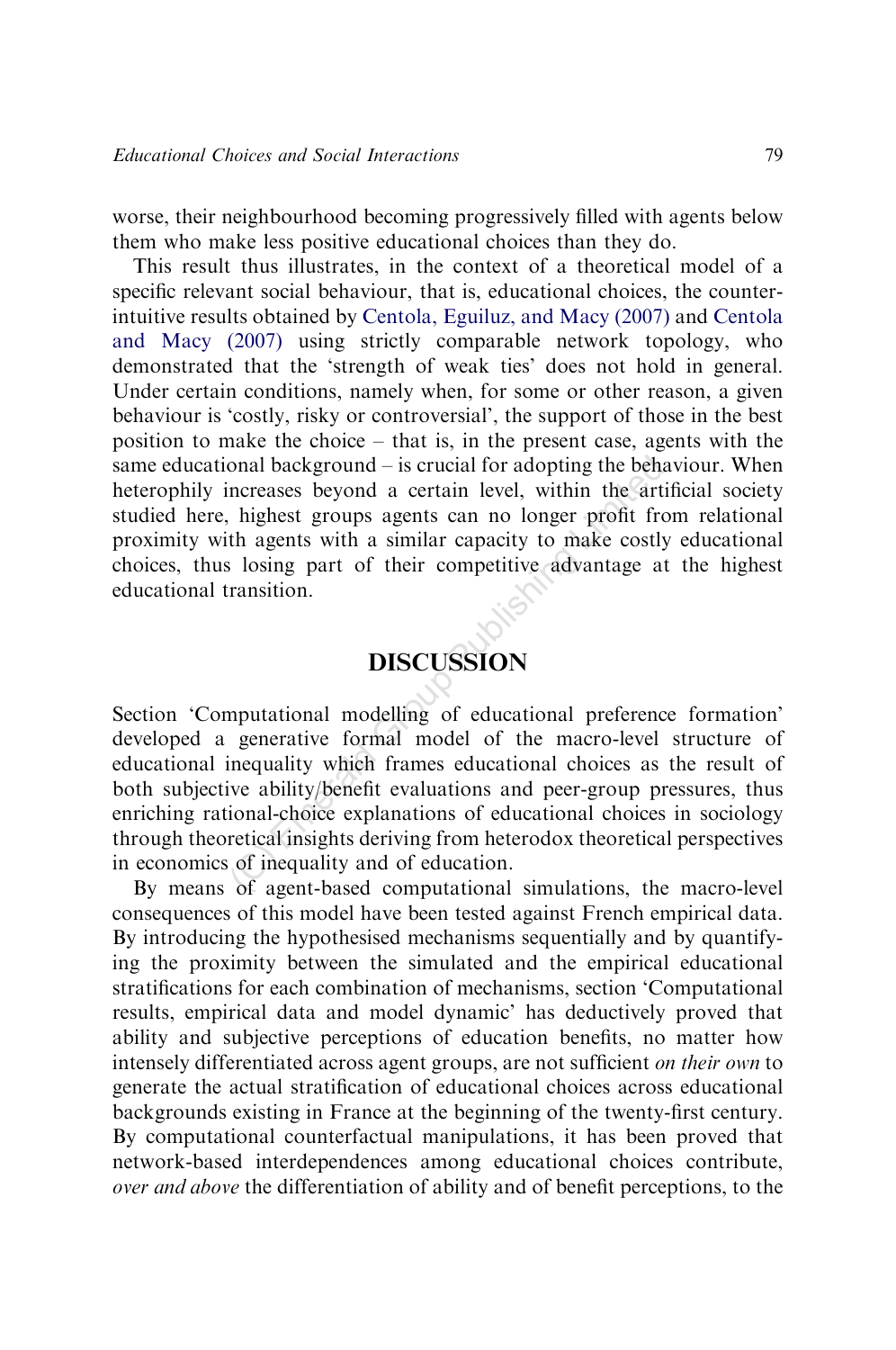worse, their neighbourhood becoming progressively filled with agents below them who make less positive educational choices than they do.

This result thus illustrates, in the context of a theoretical model of a specific relevant social behaviour, that is, educational choices, the counterintuitive results obtained by Centola, Eguiluz, and Macy (2007) and Centola and Macy (2007) using strictly comparable network topology, who demonstrated that the 'strength of weak ties' does not hold in general. Under certain conditions, namely when, for some or other reason, a given behaviour is 'costly, risky or controversial', the support of those in the best position to make the choice – that is, in the present case, agents with the same educational background – is crucial for adopting the behaviour. When heterophily increases beyond a certain level, within the artificial society studied here, highest groups agents can no longer profit from relational proximity with agents with a similar capacity to make costly educational choices, thus losing part of their competitive advantage at the highest educational transition.

### DISCUSSION

onal background – is crucial for adopting the behave-<br>ncreases beyond a certain level, within the artificant<br>highest groups agents can no longer profit from<br>th agents with a similar capacity to make costly<br>soling part of t Section 'Computational modelling of educational preference formation' developed a generative formal model of the macro-level structure of educational inequality which frames educational choices as the result of both subjective ability/benefit evaluations and peer-group pressures, thus enriching rational-choice explanations of educational choices in sociology through theoretical insights deriving from heterodox theoretical perspectives in economics of inequality and of education.

By means of agent-based computational simulations, the macro-level consequences of this model have been tested against French empirical data. By introducing the hypothesised mechanisms sequentially and by quantifying the proximity between the simulated and the empirical educational stratifications for each combination of mechanisms, section 'Computational results, empirical data and model dynamic' has deductively proved that ability and subjective perceptions of education benefits, no matter how intensely differentiated across agent groups, are not sufficient on their own to generate the actual stratification of educational choices across educational backgrounds existing in France at the beginning of the twenty-first century. By computational counterfactual manipulations, it has been proved that network-based interdependences among educational choices contribute, over and above the differentiation of ability and of benefit perceptions, to the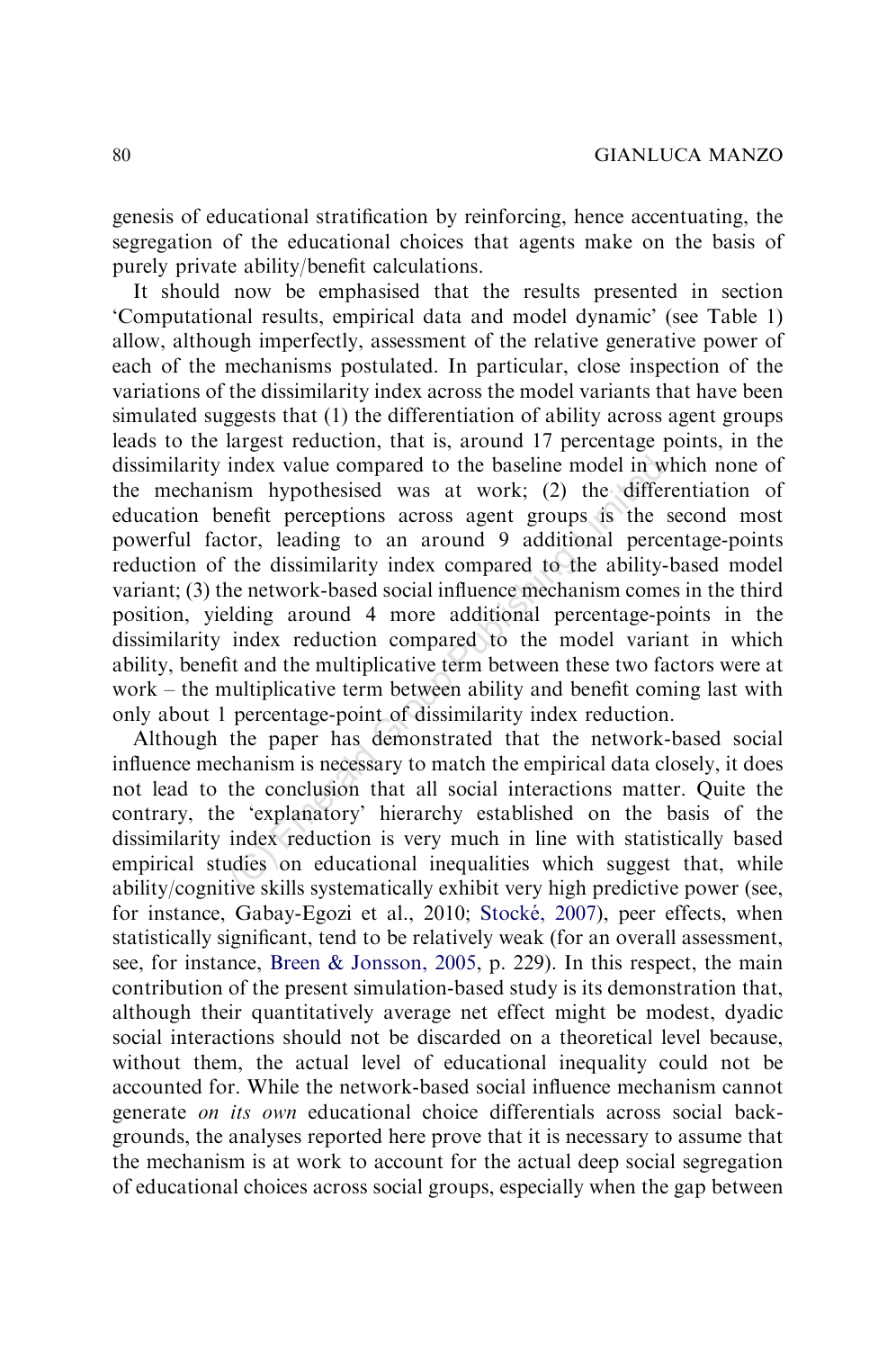genesis of educational stratification by reinforcing, hence accentuating, the segregation of the educational choices that agents make on the basis of purely private ability/benefit calculations.

index value compared to the baseline model in wh<br>sm hypothesised was at work; (2) the differe<br>enefit perceptions across agent groups is the set<br>or, leading to an around 9 additional percer<br>the dissimilarity index compared It should now be emphasised that the results presented in section 'Computational results, empirical data and model dynamic' (see Table 1) allow, although imperfectly, assessment of the relative generative power of each of the mechanisms postulated. In particular, close inspection of the variations of the dissimilarity index across the model variants that have been simulated suggests that (1) the differentiation of ability across agent groups leads to the largest reduction, that is, around 17 percentage points, in the dissimilarity index value compared to the baseline model in which none of the mechanism hypothesised was at work; (2) the differentiation of education benefit perceptions across agent groups is the second most powerful factor, leading to an around 9 additional percentage-points reduction of the dissimilarity index compared to the ability-based model variant; (3) the network-based social influence mechanism comes in the third position, yielding around 4 more additional percentage-points in the dissimilarity index reduction compared to the model variant in which ability, benefit and the multiplicative term between these two factors were at work – the multiplicative term between ability and benefit coming last with only about 1 percentage-point of dissimilarity index reduction.

Although the paper has demonstrated that the network-based social influence mechanism is necessary to match the empirical data closely, it does not lead to the conclusion that all social interactions matter. Quite the contrary, the 'explanatory' hierarchy established on the basis of the dissimilarity index reduction is very much in line with statistically based empirical studies on educational inequalities which suggest that, while ability/cognitive skills systematically exhibit very high predictive power (see, for instance, Gabay-Egozi et al., 2010; Stocké, 2007), peer effects, when statistically significant, tend to be relatively weak (for an overall assessment, see, for instance, Breen & Jonsson, 2005, p. 229). In this respect, the main contribution of the present simulation-based study is its demonstration that, although their quantitatively average net effect might be modest, dyadic social interactions should not be discarded on a theoretical level because, without them, the actual level of educational inequality could not be accounted for. While the network-based social influence mechanism cannot generate on its own educational choice differentials across social backgrounds, the analyses reported here prove that it is necessary to assume that the mechanism is at work to account for the actual deep social segregation of educational choices across social groups, especially when the gap between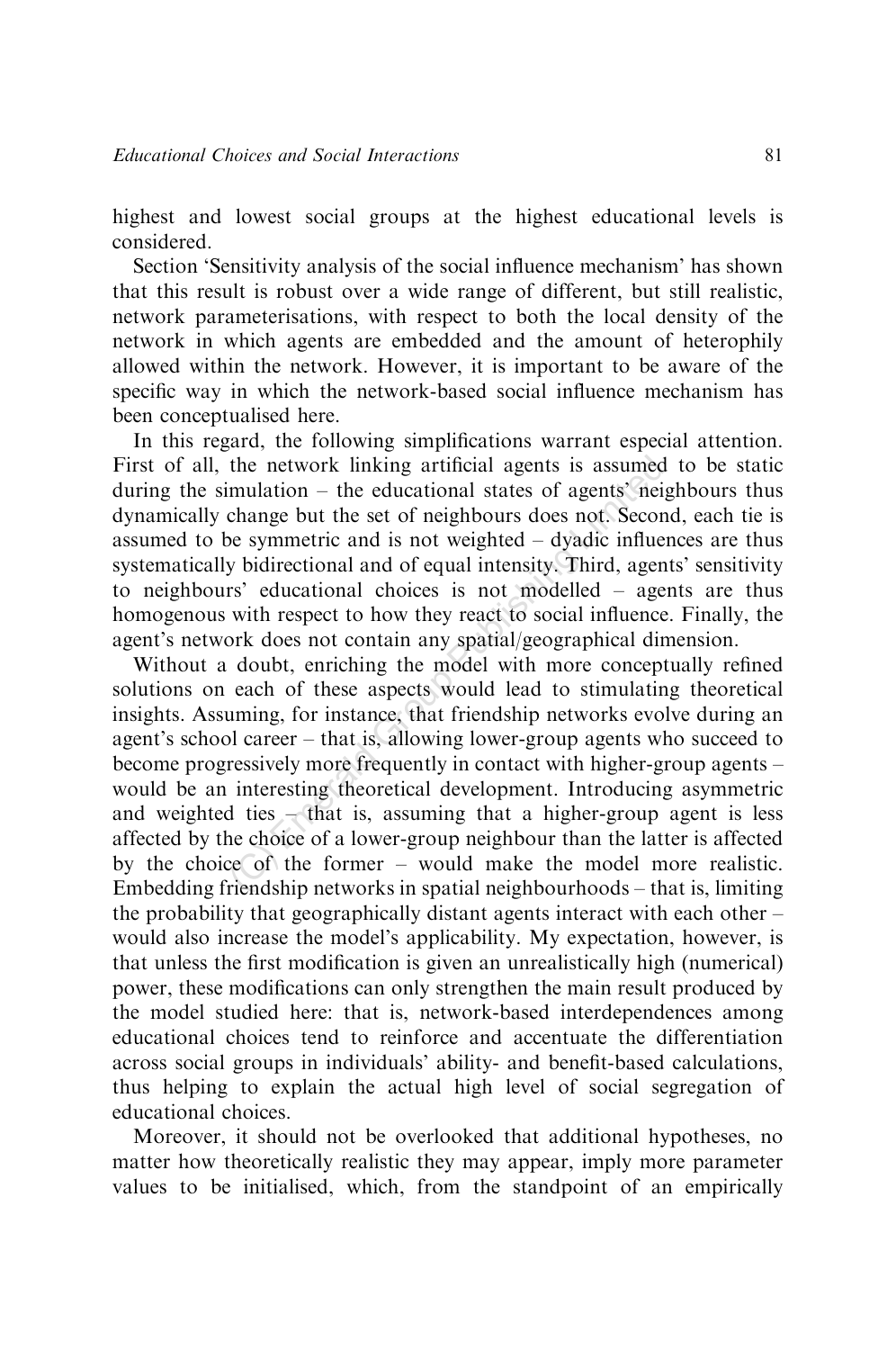highest and lowest social groups at the highest educational levels is considered.

Section 'Sensitivity analysis of the social influence mechanism' has shown that this result is robust over a wide range of different, but still realistic, network parameterisations, with respect to both the local density of the network in which agents are embedded and the amount of heterophily allowed within the network. However, it is important to be aware of the specific way in which the network-based social influence mechanism has been conceptualised here.

In this regard, the following simplifications warrant especial attention. First of all, the network linking artificial agents is assumed to be static during the simulation – the educational states of agents' neighbours thus dynamically change but the set of neighbours does not. Second, each tie is assumed to be symmetric and is not weighted – dyadic influences are thus systematically bidirectional and of equal intensity. Third, agents' sensitivity to neighbours' educational choices is not modelled – agents are thus homogenous with respect to how they react to social influence. Finally, the agent's network does not contain any spatial/geographical dimension.

the network linking artificial agents is assumed<br>mulation – the educational states of agents' neigh<br>change but the set of neighbours does not. Second<br>be symmetric and is not weighted – dyadic influency<br>bidirectional and o Without a doubt, enriching the model with more conceptually refined solutions on each of these aspects would lead to stimulating theoretical insights. Assuming, for instance, that friendship networks evolve during an agent's school career – that is, allowing lower-group agents who succeed to become progressively more frequently in contact with higher-group agents – would be an interesting theoretical development. Introducing asymmetric and weighted ties – that is, assuming that a higher-group agent is less affected by the choice of a lower-group neighbour than the latter is affected by the choice of the former – would make the model more realistic. Embedding friendship networks in spatial neighbourhoods – that is, limiting the probability that geographically distant agents interact with each other – would also increase the model's applicability. My expectation, however, is that unless the first modification is given an unrealistically high (numerical) power, these modifications can only strengthen the main result produced by the model studied here: that is, network-based interdependences among educational choices tend to reinforce and accentuate the differentiation across social groups in individuals' ability- and benefit-based calculations, thus helping to explain the actual high level of social segregation of educational choices.

Moreover, it should not be overlooked that additional hypotheses, no matter how theoretically realistic they may appear, imply more parameter values to be initialised, which, from the standpoint of an empirically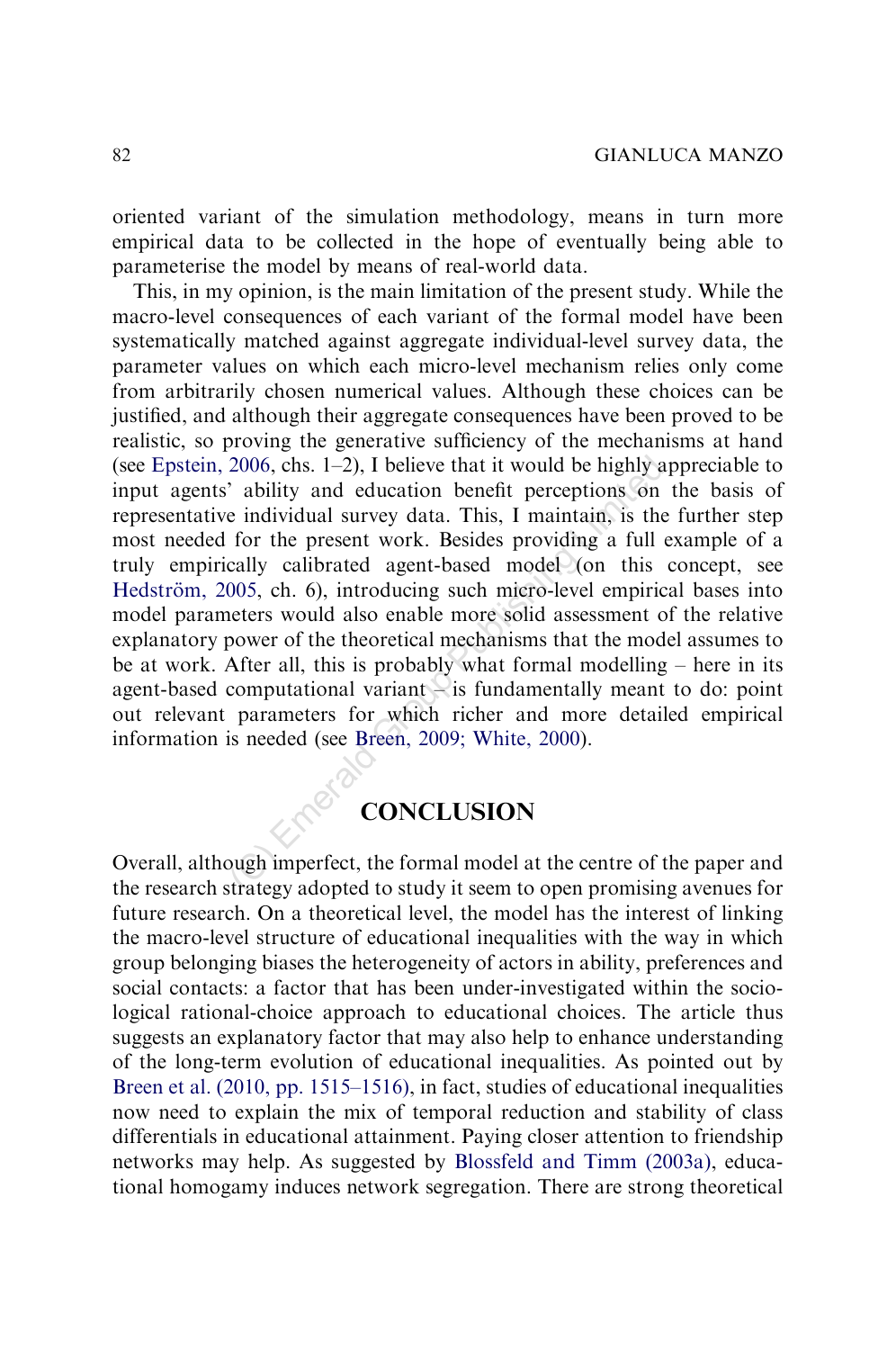oriented variant of the simulation methodology, means in turn more empirical data to be collected in the hope of eventually being able to parameterise the model by means of real-world data.

2006, chs. 1–2), I believe that it would be highly ap<br>
<sup>7</sup> ability and education benefit perceptions on t<br>
e individual survey data. This, I maintain, is the<br>
for the present work. Besides providing a full ex<br>
cally calibr This, in my opinion, is the main limitation of the present study. While the macro-level consequences of each variant of the formal model have been systematically matched against aggregate individual-level survey data, the parameter values on which each micro-level mechanism relies only come from arbitrarily chosen numerical values. Although these choices can be justified, and although their aggregate consequences have been proved to be realistic, so proving the generative sufficiency of the mechanisms at hand (see Epstein, 2006, chs. 1–2), I believe that it would be highly appreciable to input agents' ability and education benefit perceptions on the basis of representative individual survey data. This, I maintain, is the further step most needed for the present work. Besides providing a full example of a truly empirically calibrated agent-based model (on this concept, see Hedström, 2005, ch. 6), introducing such micro-level empirical bases into model parameters would also enable more solid assessment of the relative explanatory power of the theoretical mechanisms that the model assumes to be at work. After all, this is probably what formal modelling – here in its agent-based computational variant – is fundamentally meant to do: point out relevant parameters for which richer and more detailed empirical information is needed (see Breen, 2009; White, 2000).

# **CONCLUSION**

Overall, although imperfect, the formal model at the centre of the paper and the research strategy adopted to study it seem to open promising avenues for future research. On a theoretical level, the model has the interest of linking the macro-level structure of educational inequalities with the way in which group belonging biases the heterogeneity of actors in ability, preferences and social contacts: a factor that has been under-investigated within the sociological rational-choice approach to educational choices. The article thus suggests an explanatory factor that may also help to enhance understanding of the long-term evolution of educational inequalities. As pointed out by Breen et al. (2010, pp. 1515–1516), in fact, studies of educational inequalities now need to explain the mix of temporal reduction and stability of class differentials in educational attainment. Paying closer attention to friendship networks may help. As suggested by Blossfeld and Timm (2003a), educational homogamy induces network segregation. There are strong theoretical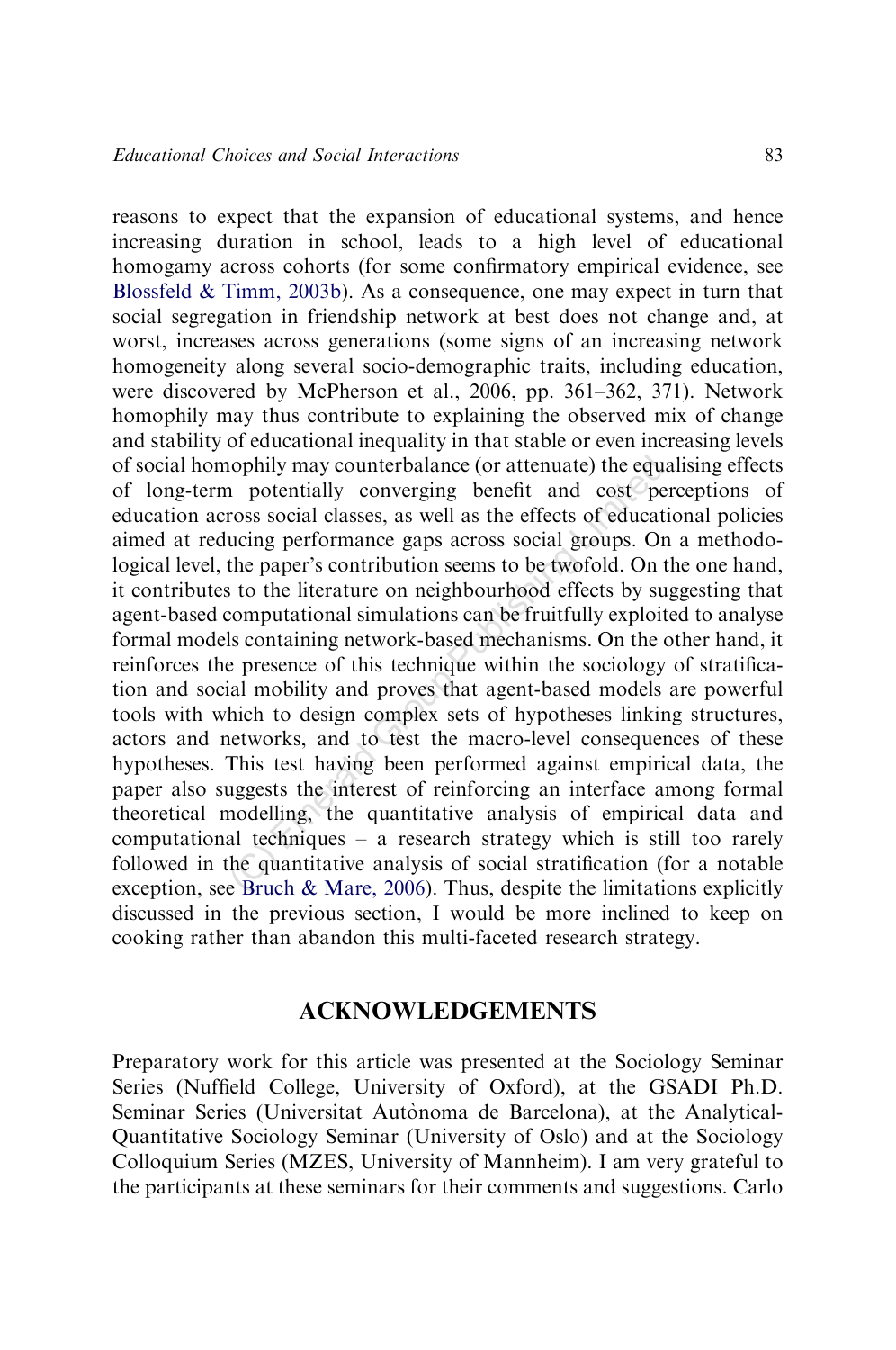nophily may counterbalance (or attenuate) the equal<br>n potentially converging benefit and cost percoss social classes, as well as the effects of educatic<br>ucing performance gaps across social groups. On<br>the paper's contribut reasons to expect that the expansion of educational systems, and hence increasing duration in school, leads to a high level of educational homogamy across cohorts (for some confirmatory empirical evidence, see Blossfeld  $& Timm, 2003b$ . As a consequence, one may expect in turn that social segregation in friendship network at best does not change and, at worst, increases across generations (some signs of an increasing network homogeneity along several socio-demographic traits, including education, were discovered by McPherson et al., 2006, pp. 361–362, 371). Network homophily may thus contribute to explaining the observed mix of change and stability of educational inequality in that stable or even increasing levels of social homophily may counterbalance (or attenuate) the equalising effects of long-term potentially converging benefit and cost perceptions of education across social classes, as well as the effects of educational policies aimed at reducing performance gaps across social groups. On a methodological level, the paper's contribution seems to be twofold. On the one hand, it contributes to the literature on neighbourhood effects by suggesting that agent-based computational simulations can be fruitfully exploited to analyse formal models containing network-based mechanisms. On the other hand, it reinforces the presence of this technique within the sociology of stratification and social mobility and proves that agent-based models are powerful tools with which to design complex sets of hypotheses linking structures, actors and networks, and to test the macro-level consequences of these hypotheses. This test having been performed against empirical data, the paper also suggests the interest of reinforcing an interface among formal theoretical modelling, the quantitative analysis of empirical data and computational techniques – a research strategy which is still too rarely followed in the quantitative analysis of social stratification (for a notable exception, see Bruch & Mare, 2006). Thus, despite the limitations explicitly discussed in the previous section, I would be more inclined to keep on cooking rather than abandon this multi-faceted research strategy.

#### ACKNOWLEDGEMENTS

Preparatory work for this article was presented at the Sociology Seminar Series (Nuffield College, University of Oxford), at the GSADI Ph.D. Seminar Series (Universitat Autònoma de Barcelona), at the Analytical-Quantitative Sociology Seminar (University of Oslo) and at the Sociology Colloquium Series (MZES, University of Mannheim). I am very grateful to the participants at these seminars for their comments and suggestions. Carlo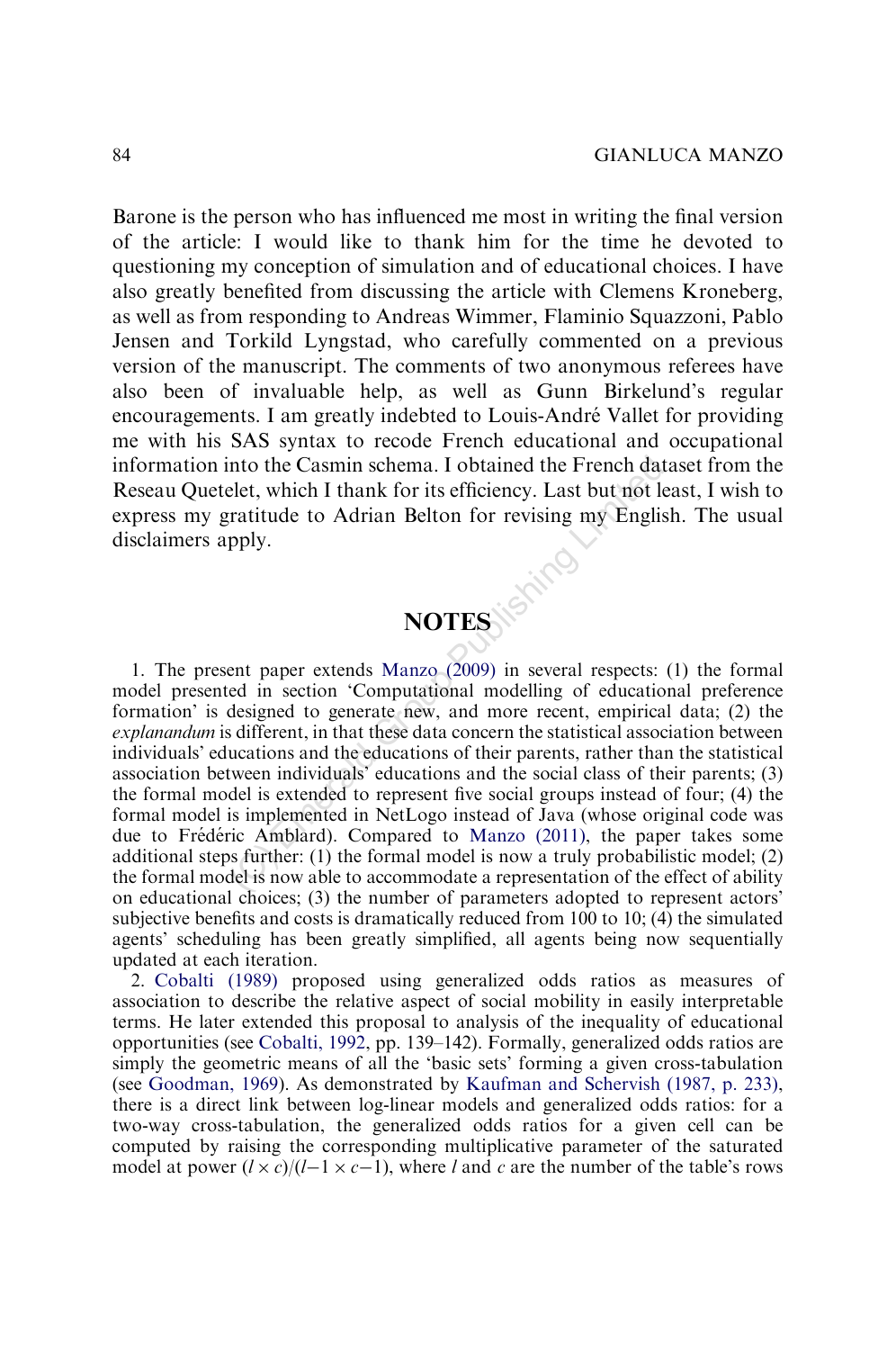Barone is the person who has influenced me most in writing the final version of the article: I would like to thank him for the time he devoted to questioning my conception of simulation and of educational choices. I have also greatly benefited from discussing the article with Clemens Kroneberg, as well as from responding to Andreas Wimmer, Flaminio Squazzoni, Pablo Jensen and Torkild Lyngstad, who carefully commented on a previous version of the manuscript. The comments of two anonymous referees have also been of invaluable help, as well as Gunn Birkelund's regular encouragements. I am greatly indebted to Louis-Andre´ Vallet for providing me with his SAS syntax to recode French educational and occupational information into the Casmin schema. I obtained the French dataset from the Reseau Quetelet, which I thank for its efficiency. Last but not least, I wish to express my gratitude to Adrian Belton for revising my English. The usual disclaimers apply.

# NOTES

(mt) into the Casmin schema. I obtained the French data<br>elet, which I thank for its efficiency. Last but not lea<br>gratitude to Adrian Belton for revising my English<br>pply.<br>NOTES<br>ent paper extends Manzo (2009) in several resp 1. The present paper extends Manzo (2009) in several respects: (1) the formal model presented in section 'Computational modelling of educational preference formation' is designed to generate new, and more recent, empirical data; (2) the explanandum is different, in that these data concern the statistical association between individuals' educations and the educations of their parents, rather than the statistical association between individuals' educations and the social class of their parents; (3) the formal model is extended to represent five social groups instead of four; (4) the formal model is implemented in NetLogo instead of Java (whose original code was due to Frédéric Amblard). Compared to Manzo  $(2011)$ , the paper takes some additional steps further: (1) the formal model is now a truly probabilistic model; (2) the formal model is now able to accommodate a representation of the effect of ability on educational choices; (3) the number of parameters adopted to represent actors' subjective benefits and costs is dramatically reduced from 100 to 10; (4) the simulated agents' scheduling has been greatly simplified, all agents being now sequentially updated at each iteration.

2. Cobalti (1989) proposed using generalized odds ratios as measures of association to describe the relative aspect of social mobility in easily interpretable terms. He later extended this proposal to analysis of the inequality of educational opportunities (see Cobalti, 1992, pp. 139–142). Formally, generalized odds ratios are simply the geometric means of all the 'basic sets' forming a given cross-tabulation (see Goodman, 1969). As demonstrated by Kaufman and Schervish (1987, p. 233), there is a direct link between log-linear models and generalized odds ratios: for a two-way cross-tabulation, the generalized odds ratios for a given cell can be computed by raising the corresponding multiplicative parameter of the saturated model at power  $(l \times c)/(l-1 \times c-1)$ , where l and c are the number of the table's rows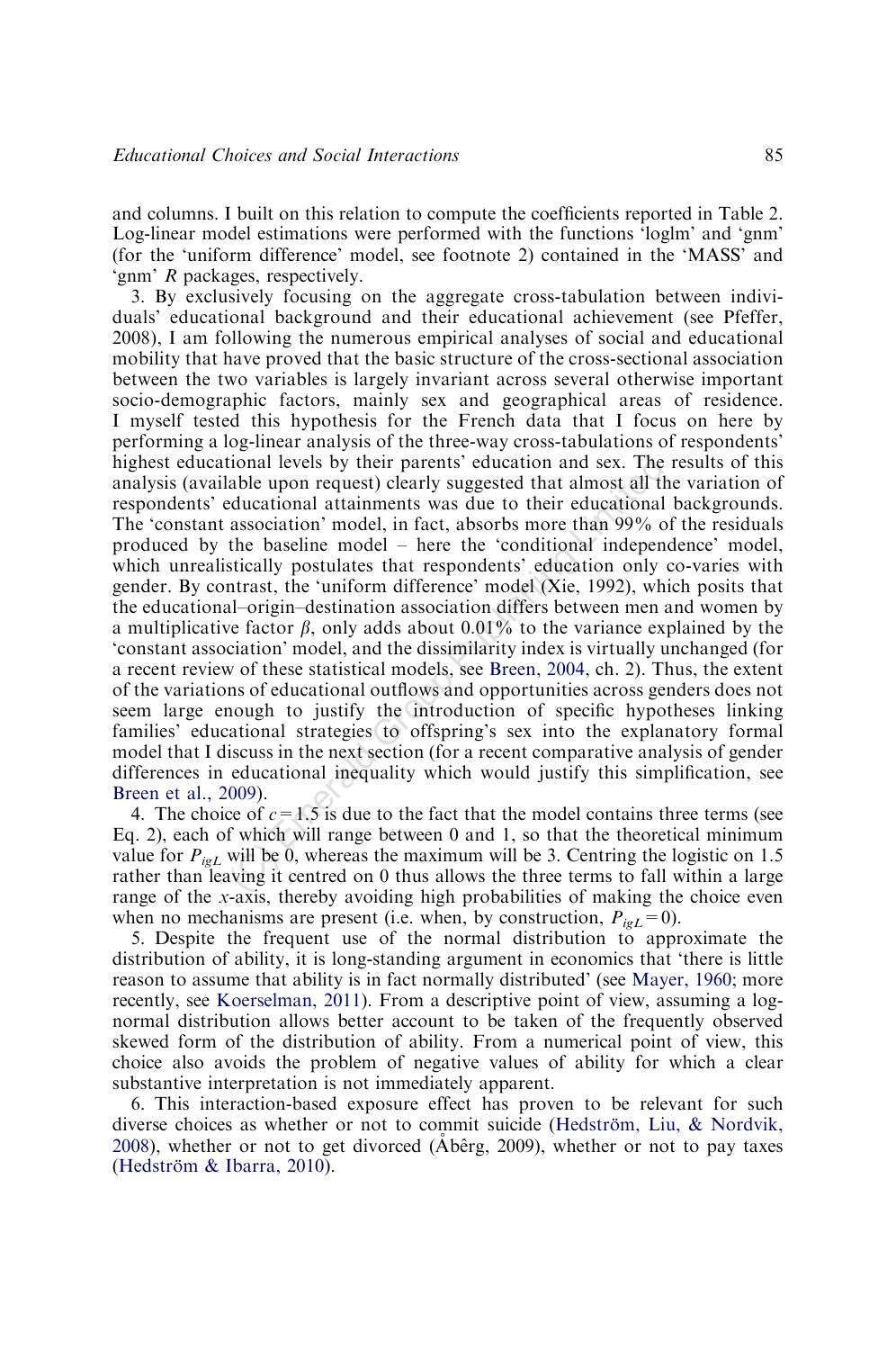and columns. I built on this relation to compute the coefficients reported in Table 2. Log-linear model estimations were performed with the functions 'loglm' and 'gnm' (for the 'uniform difference' model, see footnote 2) contained in the 'MASS' and 'gnm' R packages, respectively.

tional levels by their parents' education and sex. The r<br>able upon request) clearly suggested that almost all the<br>ducational attainments was due to their educational t<br>association' model, in fact, absorbs more than 99% of 3. By exclusively focusing on the aggregate cross-tabulation between individuals' educational background and their educational achievement (see Pfeffer, 2008), I am following the numerous empirical analyses of social and educational mobility that have proved that the basic structure of the cross-sectional association between the two variables is largely invariant across several otherwise important socio-demographic factors, mainly sex and geographical areas of residence. I myself tested this hypothesis for the French data that I focus on here by performing a log-linear analysis of the three-way cross-tabulations of respondents' highest educational levels by their parents' education and sex. The results of this analysis (available upon request) clearly suggested that almost all the variation of respondents' educational attainments was due to their educational backgrounds. The 'constant association' model, in fact, absorbs more than 99% of the residuals produced by the baseline model – here the 'conditional independence' model, which unrealistically postulates that respondents' education only co-varies with gender. By contrast, the 'uniform difference' model (Xie, 1992), which posits that the educational–origin–destination association differs between men and women by a multiplicative factor  $\beta$ , only adds about 0.01% to the variance explained by the 'constant association' model, and the dissimilarity index is virtually unchanged (for a recent review of these statistical models, see Breen, 2004, ch. 2). Thus, the extent of the variations of educational outflows and opportunities across genders does not seem large enough to justify the introduction of specific hypotheses linking families' educational strategies to offspring's sex into the explanatory formal model that I discuss in the next section (for a recent comparative analysis of gender differences in educational inequality which would justify this simplification, see Breen et al., 2009).

4. The choice of  $c=1.5$  is due to the fact that the model contains three terms (see Eq. 2), each of which will range between 0 and 1, so that the theoretical minimum value for  $P_{i_{\sigma}L}$  will be 0, whereas the maximum will be 3. Centring the logistic on 1.5 rather than leaving it centred on 0 thus allows the three terms to fall within a large range of the x-axis, thereby avoiding high probabilities of making the choice even when no mechanisms are present (i.e. when, by construction,  $P_{i \rho L}=0$ ).

5. Despite the frequent use of the normal distribution to approximate the distribution of ability, it is long-standing argument in economics that 'there is little reason to assume that ability is in fact normally distributed' (see Mayer, 1960; more recently, see Koerselman, 2011). From a descriptive point of view, assuming a lognormal distribution allows better account to be taken of the frequently observed skewed form of the distribution of ability. From a numerical point of view, this choice also avoids the problem of negative values of ability for which a clear substantive interpretation is not immediately apparent.

6. This interaction-based exposure effect has proven to be relevant for such diverse choices as whether or not to commit suicide (Hedström, Liu,  $\&$  Nordvik, 2008), whether or not to get divorced ( $\AA$ bêrg, 2009), whether or not to pay taxes (Hedström & Ibarra, 2010).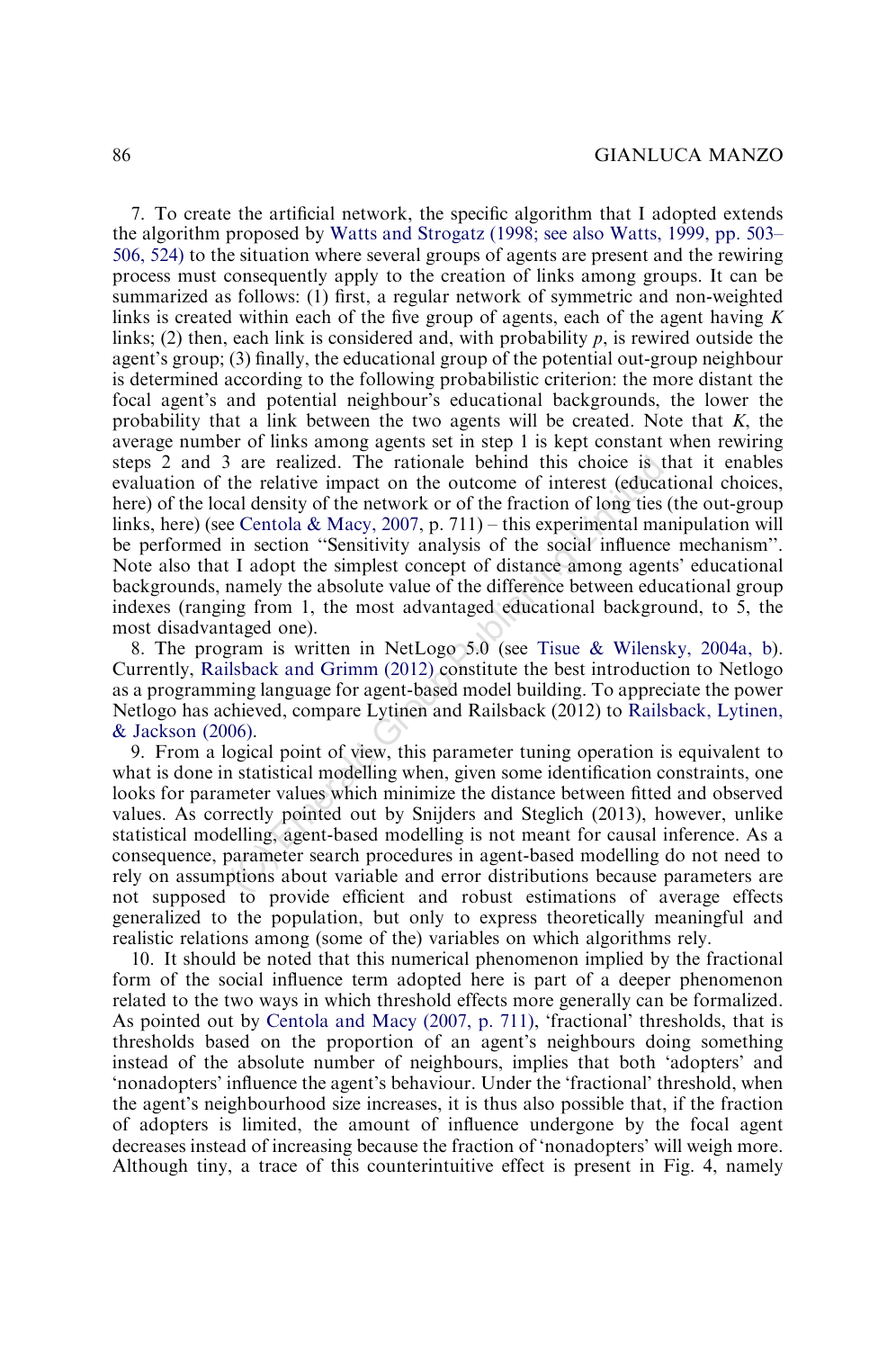3 are realized. The rationale behind this choice is the relative impact on the outcome of interest (educatical density of the network or of the fraction of long ties (t e Centola & Macy, 2007, p. 711) – this experimental 7. To create the artificial network, the specific algorithm that I adopted extends the algorithm proposed by Watts and Strogatz (1998; see also Watts, 1999, pp. 503– 506, 524) to the situation where several groups of agents are present and the rewiring process must consequently apply to the creation of links among groups. It can be summarized as follows: (1) first, a regular network of symmetric and non-weighted links is created within each of the five group of agents, each of the agent having  $K$ links; (2) then, each link is considered and, with probability  $p$ , is rewired outside the agent's group; (3) finally, the educational group of the potential out-group neighbour is determined according to the following probabilistic criterion: the more distant the focal agent's and potential neighbour's educational backgrounds, the lower the probability that a link between the two agents will be created. Note that  $K$ , the average number of links among agents set in step 1 is kept constant when rewiring steps 2 and 3 are realized. The rationale behind this choice is that it enables evaluation of the relative impact on the outcome of interest (educational choices, here) of the local density of the network or of the fraction of long ties (the out-group links, here) (see Centola & Macy, 2007, p. 711) – this experimental manipulation will be performed in section ''Sensitivity analysis of the social influence mechanism''. Note also that I adopt the simplest concept of distance among agents' educational backgrounds, namely the absolute value of the difference between educational group indexes (ranging from 1, the most advantaged educational background, to 5, the most disadvantaged one).

8. The program is written in NetLogo 5.0 (see Tisue & Wilensky, 2004a, b). Currently, Railsback and Grimm (2012) constitute the best introduction to Netlogo as a programming language for agent-based model building. To appreciate the power Netlogo has achieved, compare Lytinen and Railsback (2012) to Railsback, Lytinen, & Jackson (2006).

9. From a logical point of view, this parameter tuning operation is equivalent to what is done in statistical modelling when, given some identification constraints, one looks for parameter values which minimize the distance between fitted and observed values. As correctly pointed out by Snijders and Steglich (2013), however, unlike statistical modelling, agent-based modelling is not meant for causal inference. As a consequence, parameter search procedures in agent-based modelling do not need to rely on assumptions about variable and error distributions because parameters are not supposed to provide efficient and robust estimations of average effects generalized to the population, but only to express theoretically meaningful and realistic relations among (some of the) variables on which algorithms rely.

10. It should be noted that this numerical phenomenon implied by the fractional form of the social influence term adopted here is part of a deeper phenomenon related to the two ways in which threshold effects more generally can be formalized. As pointed out by Centola and Macy (2007, p. 711), 'fractional' thresholds, that is thresholds based on the proportion of an agent's neighbours doing something instead of the absolute number of neighbours, implies that both 'adopters' and 'nonadopters' influence the agent's behaviour. Under the 'fractional' threshold, when the agent's neighbourhood size increases, it is thus also possible that, if the fraction of adopters is limited, the amount of influence undergone by the focal agent decreases instead of increasing because the fraction of 'nonadopters' will weigh more. Although tiny, a trace of this counterintuitive effect is present in Fig. 4, namely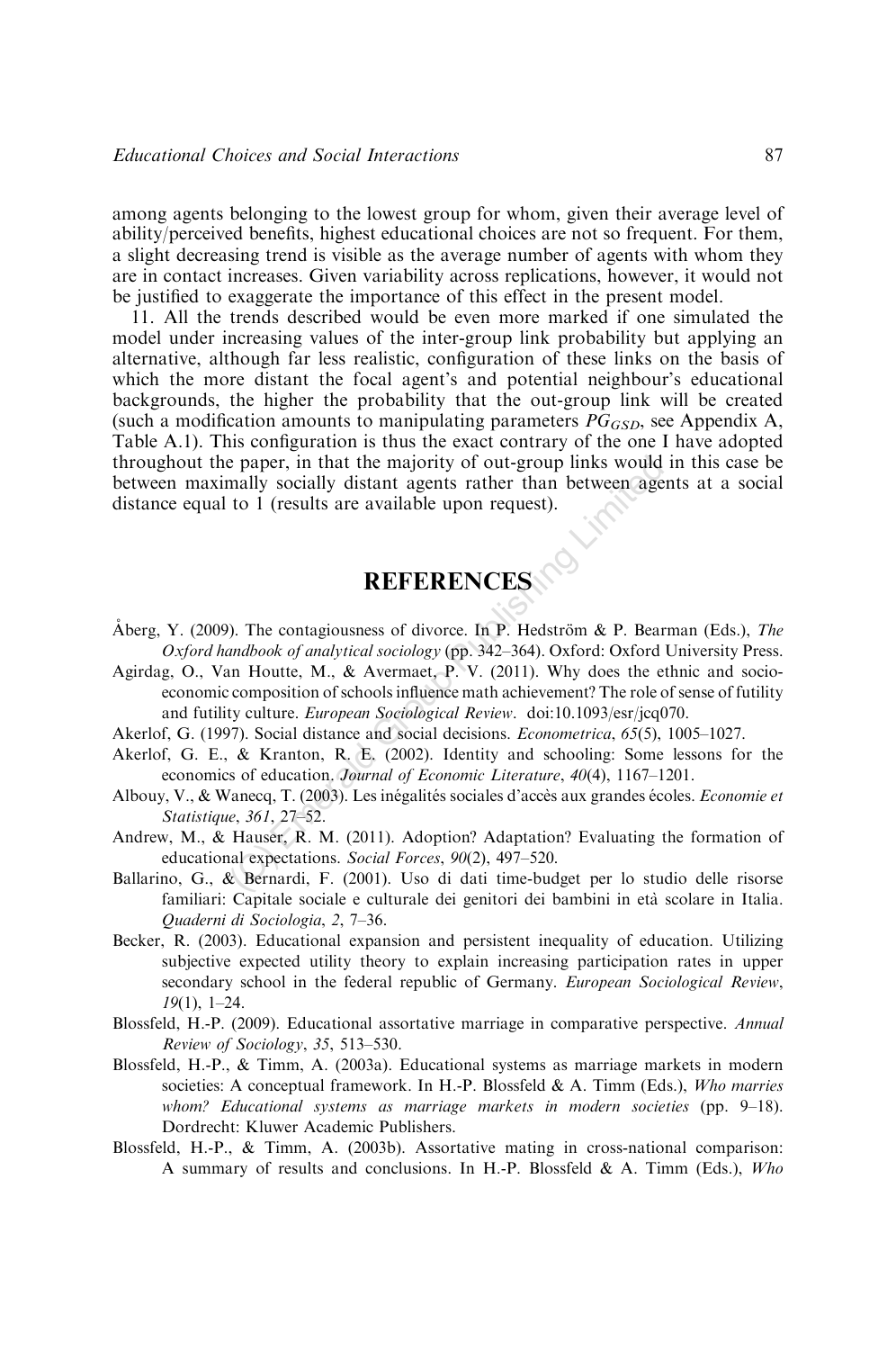among agents belonging to the lowest group for whom, given their average level of ability/perceived benefits, highest educational choices are not so frequent. For them, a slight decreasing trend is visible as the average number of agents with whom they are in contact increases. Given variability across replications, however, it would not be justified to exaggerate the importance of this effect in the present model.

e paper, in that the majority of out-group links would in<br>mally socially distant agents rather than between agent<br>to 1 (results are available upon request).<br>**REFERENCES**<br>(a) The contagiousness of divorce. In P. Hedström & 11. All the trends described would be even more marked if one simulated the model under increasing values of the inter-group link probability but applying an alternative, although far less realistic, configuration of these links on the basis of which the more distant the focal agent's and potential neighbour's educational backgrounds, the higher the probability that the out-group link will be created (such a modification amounts to manipulating parameters  $PG_{GSD}$ , see Appendix A, Table A.1). This configuration is thus the exact contrary of the one I have adopted throughout the paper, in that the majority of out-group links would in this case be between maximally socially distant agents rather than between agents at a social distance equal to 1 (results are available upon request).

# REFERENCES

- Åberg, Y. (2009). The contagiousness of divorce. In P. Hedström & P. Bearman (Eds.), The Oxford handbook of analytical sociology (pp. 342–364). Oxford: Oxford University Press.
- Agirdag, O., Van Houtte, M., & Avermaet, P. V. (2011). Why does the ethnic and socioeconomic composition of schools influence math achievement? The role of sense of futility and futility culture. European Sociological Review. doi:10.1093/esr/jcq070.
- Akerlof, G. (1997). Social distance and social decisions. *Econometrica*, 65(5), 1005–1027.
- Akerlof, G. E., & Kranton, R. E. (2002). Identity and schooling: Some lessons for the economics of education. Journal of Economic Literature, 40(4), 1167-1201.
- Albouy, V., & Wanecq, T. (2003). Les inégalités sociales d'accès aux grandes écoles. Economie et Statistique, 361, 27–52.
- Andrew, M., & Hauser, R. M. (2011). Adoption? Adaptation? Evaluating the formation of educational expectations. Social Forces, 90(2), 497–520.
- Ballarino, G., & Bernardi, F. (2001). Uso di dati time-budget per lo studio delle risorse familiari: Capitale sociale e culturale dei genitori dei bambini in eta` scolare in Italia. Quaderni di Sociologia, 2, 7–36.
- Becker, R. (2003). Educational expansion and persistent inequality of education. Utilizing subjective expected utility theory to explain increasing participation rates in upper secondary school in the federal republic of Germany. European Sociological Review, 19(1), 1–24.
- Blossfeld, H.-P. (2009). Educational assortative marriage in comparative perspective. Annual Review of Sociology, 35, 513–530.
- Blossfeld, H.-P., & Timm, A. (2003a). Educational systems as marriage markets in modern societies: A conceptual framework. In H.-P. Blossfeld & A. Timm (Eds.), Who marries whom? Educational systems as marriage markets in modern societies (pp. 9–18). Dordrecht: Kluwer Academic Publishers.
- Blossfeld, H.-P., & Timm, A. (2003b). Assortative mating in cross-national comparison: A summary of results and conclusions. In H.-P. Blossfeld & A. Timm (Eds.),  $Who$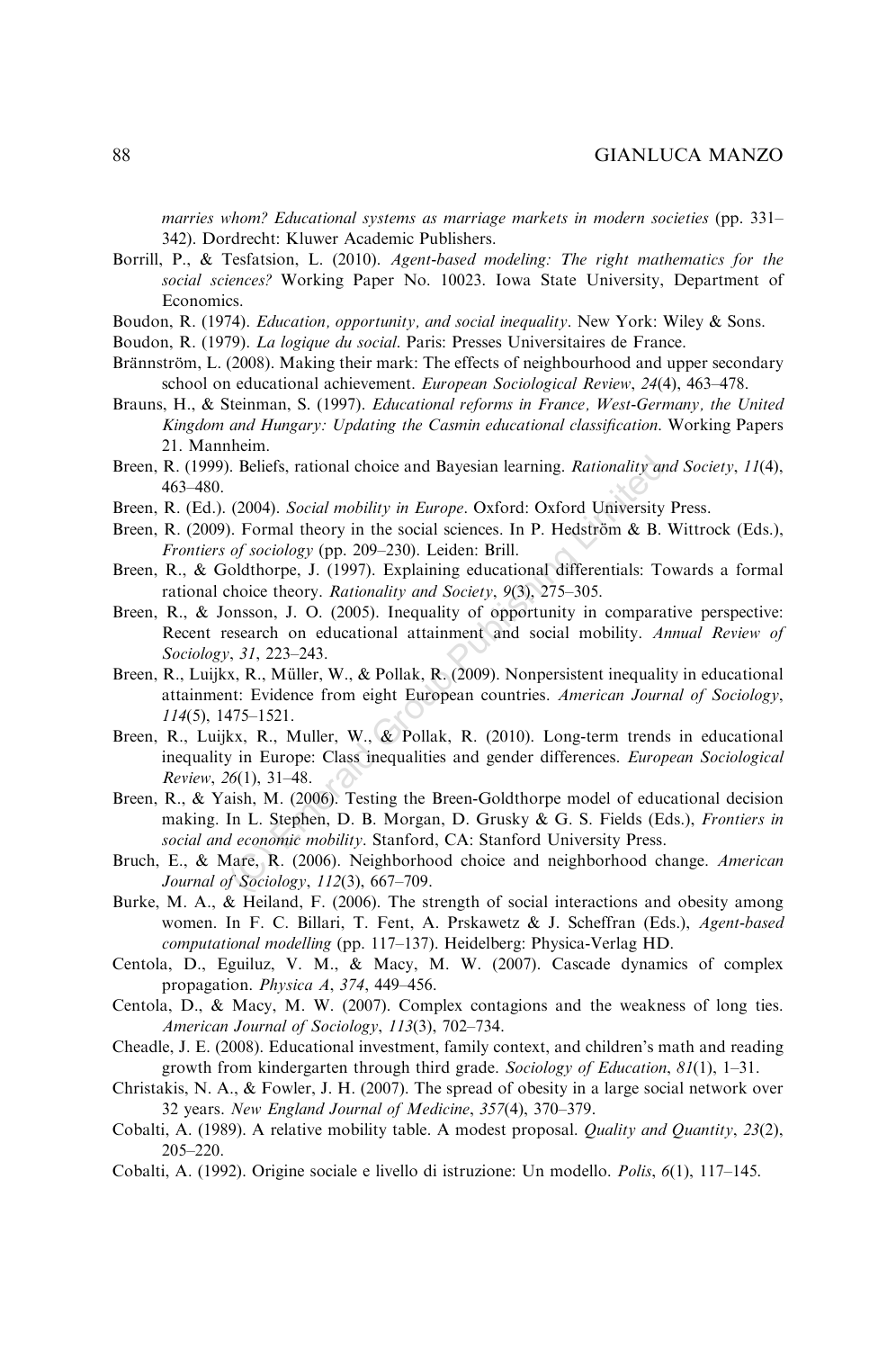marries whom? Educational systems as marriage markets in modern societies (pp. 331– 342). Dordrecht: Kluwer Academic Publishers.

- Borrill, P., & Tesfatsion, L. (2010). Agent-based modeling: The right mathematics for the social sciences? Working Paper No. 10023. Iowa State University, Department of Economics.
- Boudon, R. (1974). Education, opportunity, and social inequality. New York: Wiley & Sons.

Boudon, R. (1979). La logique du social. Paris: Presses Universitaires de France.

- Brännström, L. (2008). Making their mark: The effects of neighbourhood and upper secondary school on educational achievement. European Sociological Review, 24(4), 463-478.
- Brauns, H., & Steinman, S. (1997). Educational reforms in France, West-Germany, the United Kingdom and Hungary: Updating the Casmin educational classification. Working Papers 21. Mannheim.
- Breen, R. (1999). Beliefs, rational choice and Bayesian learning. Rationality and Society, 11(4), 463–480.
- Breen, R. (Ed.). (2004). Social mobility in Europe. Oxford: Oxford University Press.
- Breen, R. (2009). Formal theory in the social sciences. In P. Hedström & B. Wittrock (Eds.), Frontiers of sociology (pp. 209–230). Leiden: Brill.
- Breen, R., & Goldthorpe, J. (1997). Explaining educational differentials: Towards a formal rational choice theory. Rationality and Society, 9(3), 275–305.
- Breen, R., & Jonsson, J. O. (2005). Inequality of opportunity in comparative perspective: Recent research on educational attainment and social mobility. Annual Review of Sociology, 31, 223–243.
- Breen, R., Luijkx, R., Müller, W., & Pollak, R. (2009). Nonpersistent inequality in educational attainment: Evidence from eight European countries. American Journal of Sociology, 114(5), 1475–1521.
- Breen, R., Luijkx, R., Muller, W., & Pollak, R. (2010). Long-term trends in educational inequality in Europe: Class inequalities and gender differences. European Sociological Review, 26(1), 31–48.
- 1. Beliefs, rational choice and Bayesian learning. *Rationality and* (2004). *Social mobility in Europe*. Oxford: Oxford University P<br>
1. Formal theory in the social sciences. In P. Hedström & B. We of sociology (pp. 209– Breen, R., & Yaish, M. (2006). Testing the Breen-Goldthorpe model of educational decision making. In L. Stephen, D. B. Morgan, D. Grusky & G. S. Fields (Eds.), Frontiers in social and economic mobility. Stanford, CA: Stanford University Press.
- Bruch, E., & Mare, R. (2006). Neighborhood choice and neighborhood change. American Journal of Sociology, 112(3), 667–709.
- Burke, M. A., & Heiland, F. (2006). The strength of social interactions and obesity among women. In F. C. Billari, T. Fent, A. Prskawetz & J. Scheffran (Eds.), Agent-based computational modelling (pp. 117–137). Heidelberg: Physica-Verlag HD.
- Centola, D., Eguiluz, V. M., & Macy, M. W. (2007). Cascade dynamics of complex propagation. Physica A, 374, 449–456.
- Centola, D., & Macy, M. W. (2007). Complex contagions and the weakness of long ties. American Journal of Sociology, 113(3), 702–734.
- Cheadle, J. E. (2008). Educational investment, family context, and children's math and reading growth from kindergarten through third grade. Sociology of Education, 81(1), 1–31.
- Christakis, N. A., & Fowler, J. H. (2007). The spread of obesity in a large social network over 32 years. New England Journal of Medicine, 357(4), 370–379.
- Cobalti, A. (1989). A relative mobility table. A modest proposal. Quality and Quantity, 23(2), 205–220.
- Cobalti, A. (1992). Origine sociale e livello di istruzione: Un modello. Polis, 6(1), 117–145.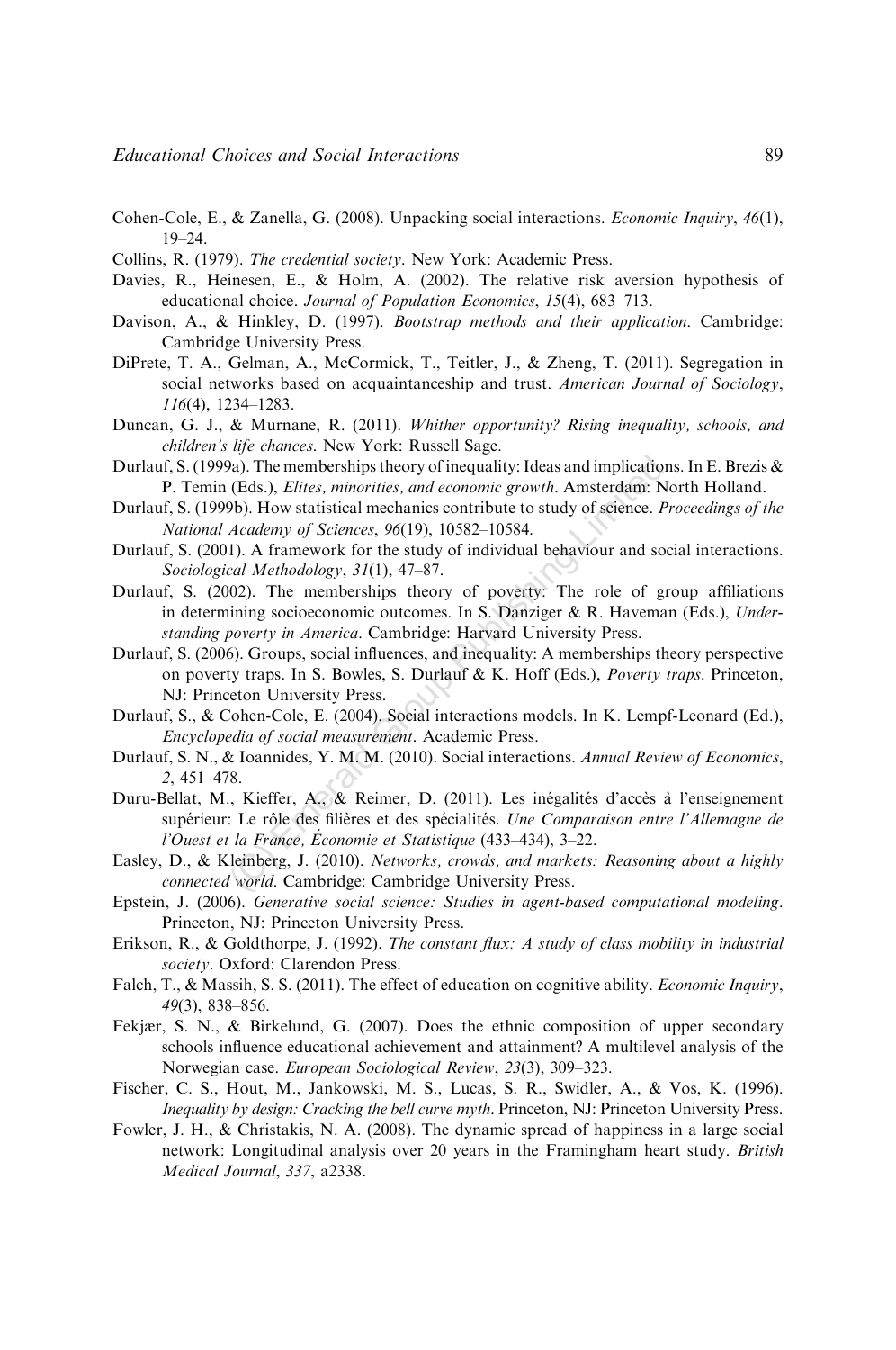- Cohen-Cole, E., & Zanella, G. (2008). Unpacking social interactions. Economic Inquiry, 46(1), 19–24.
- Collins, R. (1979). The credential society. New York: Academic Press.
- Davies, R., Heinesen, E., & Holm, A. (2002). The relative risk aversion hypothesis of educational choice. Journal of Population Economics, 15(4), 683-713.
- Davison, A., & Hinkley, D. (1997). Bootstrap methods and their application. Cambridge: Cambridge University Press.
- DiPrete, T. A., Gelman, A., McCormick, T., Teitler, J., & Zheng, T. (2011). Segregation in social networks based on acquaintanceship and trust. American Journal of Sociology, 116(4), 1234–1283.
- Duncan, G. J., & Murnane, R. (2011). Whither opportunity? Rising inequality, schools, and children's life chances. New York: Russell Sage.
- Durlauf, S. (1999a). The memberships theory of inequality: Ideas and implications. In E. Brezis  $\&$ P. Temin (Eds.), Elites, minorities, and economic growth. Amsterdam: North Holland.
- Durlauf, S. (1999b). How statistical mechanics contribute to study of science. Proceedings of the National Academy of Sciences, 96(19), 10582–10584.
- Durlauf, S. (2001). A framework for the study of individual behaviour and social interactions. Sociological Methodology, 31(1), 47–87.
- Durlauf, S. (2002). The memberships theory of poverty: The role of group affiliations in determining socioeconomic outcomes. In S. Danziger & R. Haveman (Eds.), Understanding poverty in America. Cambridge: Harvard University Press.
- Durlauf, S. (2006). Groups, social influences, and inequality: A memberships theory perspective on poverty traps. In S. Bowles, S. Durlauf & K. Hoff (Eds.), Poverty traps. Princeton, NJ: Princeton University Press.
- Durlauf, S., & Cohen-Cole, E. (2004). Social interactions models. In K. Lempf-Leonard (Ed.), Encyclopedia of social measurement. Academic Press.
- Durlauf, S. N., & Ioannides, Y. M. M. (2010). Social interactions. Annual Review of Economics, 2, 451–478.
- 9a). The memberships theory of inequality: Ideas and implications (Eds.), *Elites, minorities, and economic growth*. Amsterdam: No<br>9b). How statistical mechanics contribute to study of science. *Prodecal Methodology*, 31( Duru-Bellat, M., Kieffer, A., & Reimer, D. (2011). Les inégalités d'accès à l'enseignement supérieur: Le rôle des filières et des spécialités. Une Comparaison entre l'Allemagne de l'Ouest et la France, Économie et Statistique (433–434), 3–22.
- Easley, D., & Kleinberg, J. (2010). Networks, crowds, and markets: Reasoning about a highly connected world. Cambridge: Cambridge University Press.
- Epstein, J. (2006). Generative social science: Studies in agent-based computational modeling. Princeton, NJ: Princeton University Press.
- Erikson, R., & Goldthorpe, J. (1992). The constant flux: A study of class mobility in industrial society. Oxford: Clarendon Press.
- Falch, T., & Massih, S. S. (2011). The effect of education on cognitive ability. *Economic Inquiry*, 49(3), 838–856.
- Fekjær, S. N., & Birkelund, G. (2007). Does the ethnic composition of upper secondary schools influence educational achievement and attainment? A multilevel analysis of the Norwegian case. European Sociological Review, 23(3), 309–323.
- Fischer, C. S., Hout, M., Jankowski, M. S., Lucas, S. R., Swidler, A., & Vos, K. (1996). Inequality by design: Cracking the bell curve myth. Princeton, NJ: Princeton University Press.
- Fowler, J. H., & Christakis, N. A. (2008). The dynamic spread of happiness in a large social network: Longitudinal analysis over 20 years in the Framingham heart study. British Medical Journal, 337, a2338.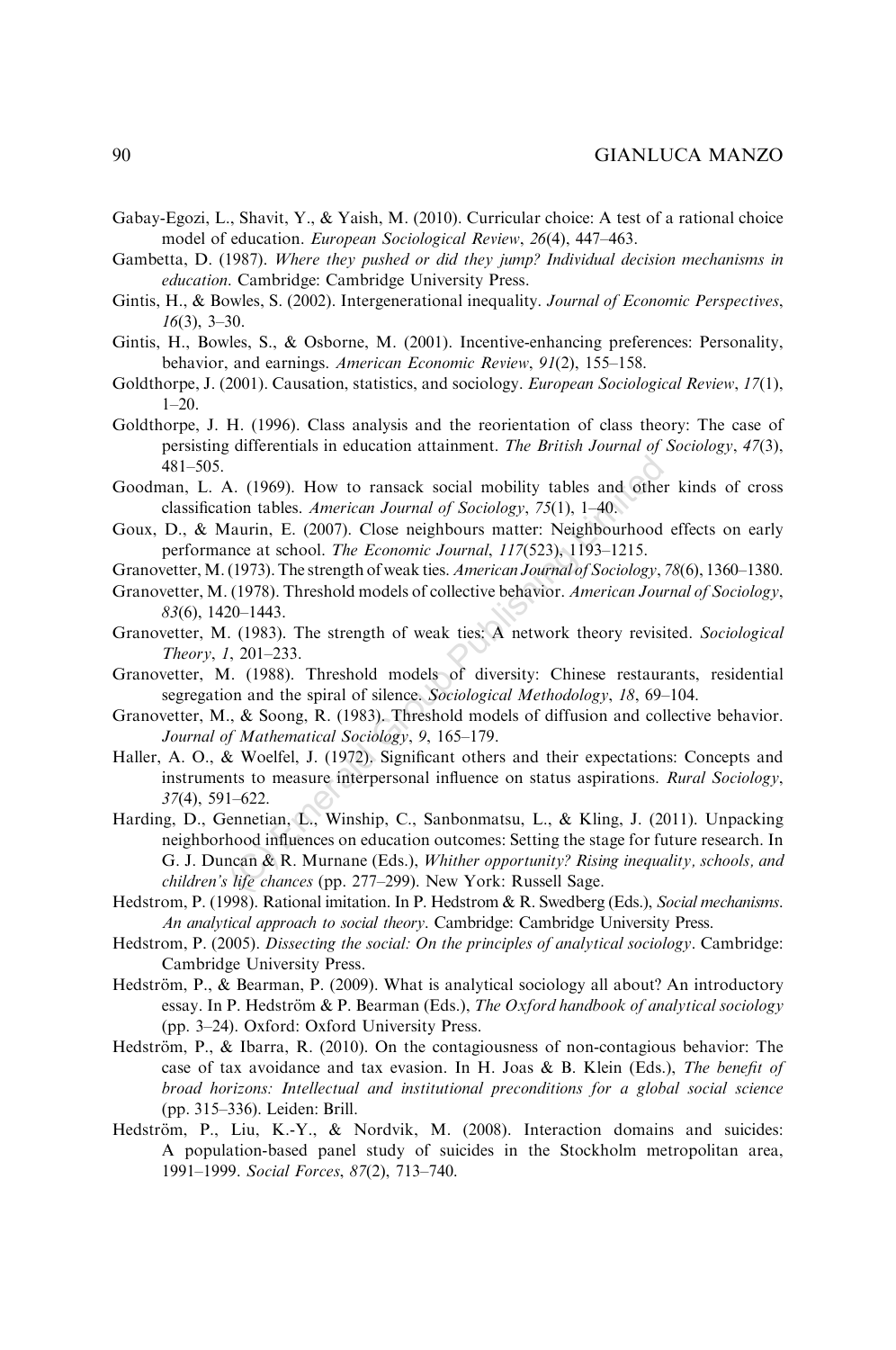- Gabay-Egozi, L., Shavit, Y., & Yaish, M. (2010). Curricular choice: A test of a rational choice model of education. European Sociological Review, 26(4), 447–463.
- Gambetta, D. (1987). Where they pushed or did they jump? Individual decision mechanisms in education. Cambridge: Cambridge University Press.
- Gintis, H., & Bowles, S. (2002). Intergenerational inequality. Journal of Economic Perspectives,  $16(3)$ ,  $3-30$ .
- Gintis, H., Bowles, S., & Osborne, M. (2001). Incentive-enhancing preferences: Personality, behavior, and earnings. American Economic Review, 91(2), 155–158.
- Goldthorpe, J. (2001). Causation, statistics, and sociology. *European Sociological Review*, 17(1), 1–20.
- Goldthorpe, J. H. (1996). Class analysis and the reorientation of class theory: The case of persisting differentials in education attainment. The British Journal of Sociology, 47(3), 481–505.
- Goodman, L. A. (1969). How to ransack social mobility tables and other kinds of cross classification tables. American Journal of Sociology, 75(1), 1–40.
- Goux, D., & Maurin, E. (2007). Close neighbours matter: Neighbourhood effects on early performance at school. The Economic Journal, 117(523), 1193–1215.
- Granovetter,M. (1973). The strength of weak ties. American Journal of Sociology, 78(6), 1360–1380.
- Granovetter, M. (1978). Threshold models of collective behavior. American Journal of Sociology, 83(6), 1420–1443.
- Granovetter, M. (1983). The strength of weak ties: A network theory revisited. Sociological Theory, 1, 201–233.
- Granovetter, M. (1988). Threshold models of diversity: Chinese restaurants, residential segregation and the spiral of silence. Sociological Methodology, 18, 69-104.
- Granovetter, M., & Soong, R. (1983). Threshold models of diffusion and collective behavior. Journal of Mathematical Sociology, 9, 165–179.
- Haller, A. O., & Woelfel, J. (1972). Significant others and their expectations: Concepts and instruments to measure interpersonal influence on status aspirations. Rural Sociology, 37(4), 591–622.
- A. (1969). How to ransack social mobility tables and other lion tables. *American Journal of Sociology*, 75(1), 1–40. <br>Iaurin, E. (2007). Close neighbours matter: Neighbourhood ence at school. *The Economic Journal*, 117( Harding, D., Gennetian, L., Winship, C., Sanbonmatsu, L., & Kling, J. (2011). Unpacking neighborhood influences on education outcomes: Setting the stage for future research. In G. J. Duncan & R. Murnane (Eds.), Whither opportunity? Rising inequality, schools, and children's life chances (pp. 277–299). New York: Russell Sage.
- Hedstrom, P. (1998). Rational imitation. In P. Hedstrom & R. Swedberg (Eds.), Social mechanisms. An analytical approach to social theory. Cambridge: Cambridge University Press.
- Hedstrom, P. (2005). Dissecting the social: On the principles of analytical sociology. Cambridge: Cambridge University Press.
- Hedström, P., & Bearman, P. (2009). What is analytical sociology all about? An introductory essay. In P. Hedström & P. Bearman (Eds.), The Oxford handbook of analytical sociology (pp. 3–24). Oxford: Oxford University Press.
- Hedström, P.,  $\&$  Ibarra, R. (2010). On the contagiousness of non-contagious behavior: The case of tax avoidance and tax evasion. In H. Joas  $\&$  B. Klein (Eds.), The benefit of broad horizons: Intellectual and institutional preconditions for a global social science (pp. 315–336). Leiden: Brill.
- Hedström, P., Liu, K.-Y., & Nordvik, M. (2008). Interaction domains and suicides: A population-based panel study of suicides in the Stockholm metropolitan area, 1991–1999. Social Forces, 87(2), 713–740.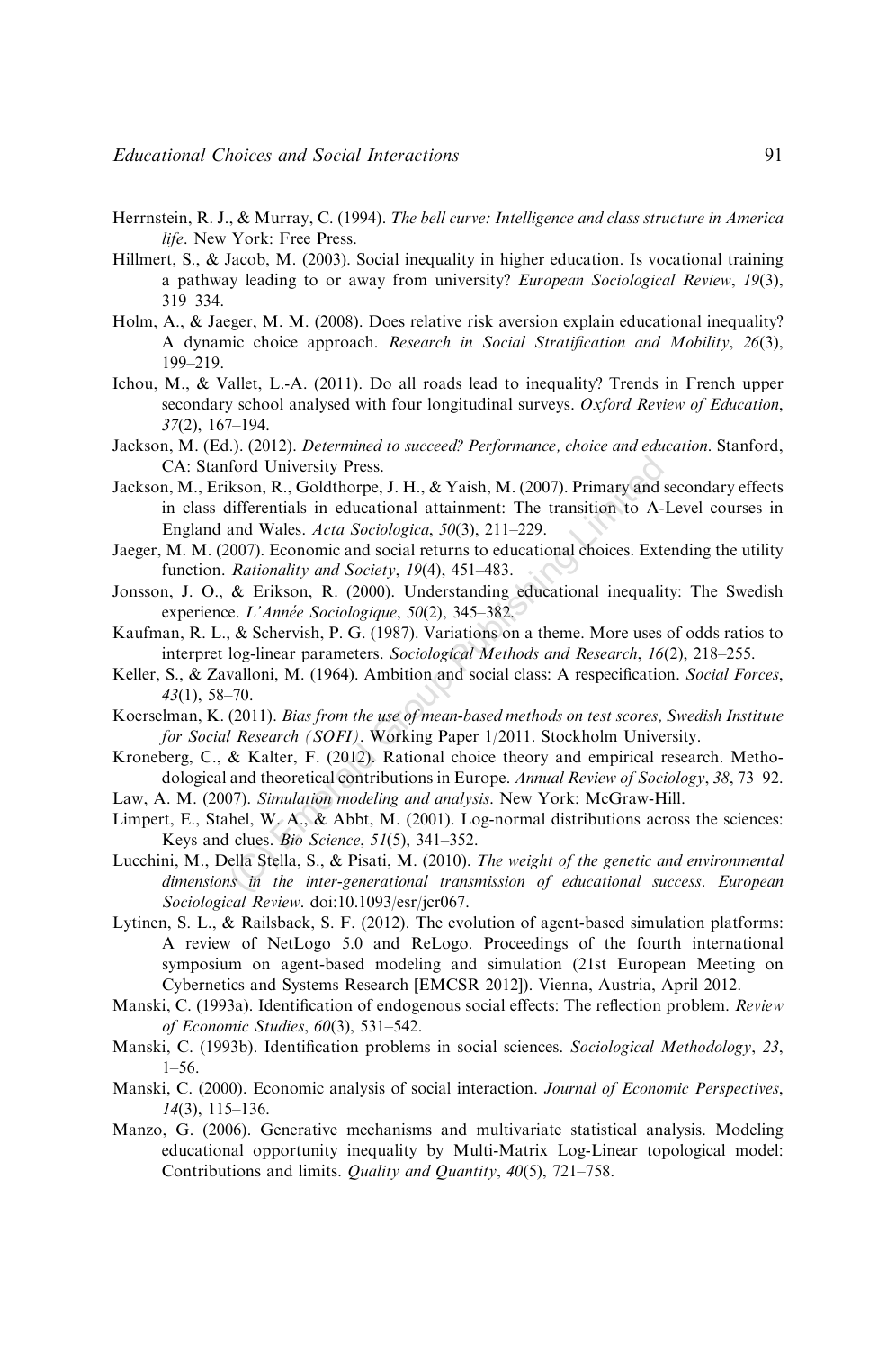- Herrnstein, R. J., & Murray, C. (1994). The bell curve: Intelligence and class structure in America life. New York: Free Press.
- Hillmert, S., & Jacob, M. (2003). Social inequality in higher education. Is vocational training a pathway leading to or away from university? European Sociological Review, 19(3), 319–334.
- Holm, A., & Jaeger, M. M. (2008). Does relative risk aversion explain educational inequality? A dynamic choice approach. Research in Social Stratification and Mobility, 26(3), 199–219.
- Ichou, M., & Vallet, L.-A. (2011). Do all roads lead to inequality? Trends in French upper secondary school analysed with four longitudinal surveys. Oxford Review of Education, 37(2), 167–194.
- Jackson, M. (Ed.). (2012). Determined to succeed? Performance, choice and education. Stanford, CA: Stanford University Press.
- ford University Press.<br>
kson, R., Goldthorpe, J. H., & Yaish, M. (2007). Primary and set<br>
differentials in educational attainment: The transition to A-Le<br>
and Wales. Acta Sociologica, 50(3), 211–229.<br>
0007). Economic and Jackson, M., Erikson, R., Goldthorpe, J. H., & Yaish, M. (2007). Primary and secondary effects in class differentials in educational attainment: The transition to A-Level courses in England and Wales. Acta Sociologica, 50(3), 211–229.
- Jaeger, M. M. (2007). Economic and social returns to educational choices. Extending the utility function. Rationality and Society, 19(4), 451-483.
- Jonsson, J. O., & Erikson, R. (2000). Understanding educational inequality: The Swedish experience. L'Année Sociologique, 50(2), 345–382.
- Kaufman, R. L., & Schervish, P. G. (1987). Variations on a theme. More uses of odds ratios to interpret log-linear parameters. Sociological Methods and Research, 16(2), 218–255.
- Keller, S., & Zavalloni, M. (1964). Ambition and social class: A respecification. Social Forces, 43(1), 58–70.
- Koerselman, K. (2011). Bias from the use of mean-based methods on test scores, Swedish Institute for Social Research (SOFI). Working Paper 1/2011. Stockholm University.
- Kroneberg, C., & Kalter, F. (2012). Rational choice theory and empirical research. Methodological and theoretical contributions in Europe. Annual Review of Sociology, 38, 73–92.
- Law, A. M. (2007). Simulation modeling and analysis. New York: McGraw-Hill.
- Limpert, E., Stahel, W. A., & Abbt, M. (2001). Log-normal distributions across the sciences: Keys and clues. Bio Science, 51(5), 341–352.
- Lucchini, M., Della Stella, S., & Pisati, M. (2010). The weight of the genetic and environmental dimensions in the inter-generational transmission of educational success. European Sociological Review. doi:10.1093/esr/jcr067.
- Lytinen, S. L., & Railsback, S. F. (2012). The evolution of agent-based simulation platforms: A review of NetLogo 5.0 and ReLogo. Proceedings of the fourth international symposium on agent-based modeling and simulation (21st European Meeting on Cybernetics and Systems Research [EMCSR 2012]). Vienna, Austria, April 2012.
- Manski, C. (1993a). Identification of endogenous social effects: The reflection problem. Review of Economic Studies, 60(3), 531–542.
- Manski, C. (1993b). Identification problems in social sciences. Sociological Methodology, 23, 1–56.
- Manski, C. (2000). Economic analysis of social interaction. Journal of Economic Perspectives, 14(3), 115–136.
- Manzo, G. (2006). Generative mechanisms and multivariate statistical analysis. Modeling educational opportunity inequality by Multi-Matrix Log-Linear topological model: Contributions and limits. Quality and Quantity, 40(5), 721–758.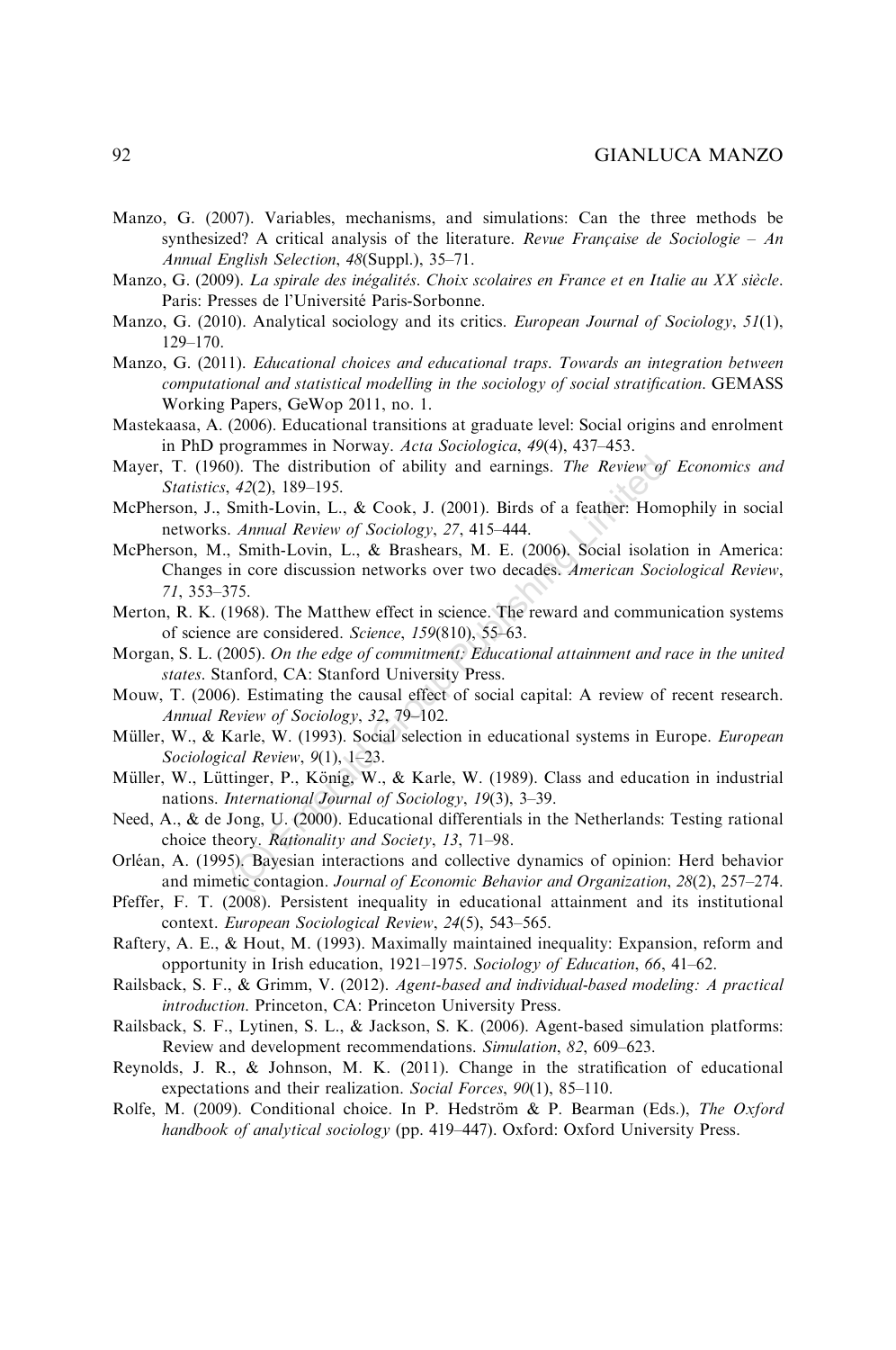- Manzo, G. (2007). Variables, mechanisms, and simulations: Can the three methods be synthesized? A critical analysis of the literature. Revue Française de Sociologie – An Annual English Selection, 48(Suppl.), 35–71.
- Manzo, G. (2009). La spirale des inégalités. Choix scolaires en France et en Italie au XX siècle. Paris: Presses de l'Université Paris-Sorbonne.
- Manzo, G. (2010). Analytical sociology and its critics. European Journal of Sociology, 51(1), 129–170.
- Manzo, G. (2011). Educational choices and educational traps. Towards an integration between computational and statistical modelling in the sociology of social stratification. GEMASS Working Papers, GeWop 2011, no. 1.
- Mastekaasa, A. (2006). Educational transitions at graduate level: Social origins and enrolment in PhD programmes in Norway. Acta Sociologica, 49(4), 437–453.
- Mayer, T. (1960). The distribution of ability and earnings. The Review of Economics and Statistics, 42(2), 189–195.
- McPherson, J., Smith-Lovin, L., & Cook, J. (2001). Birds of a feather: Homophily in social networks. Annual Review of Sociology, 27, 415–444.
- (a). The distribution of ability and earnings. *The Review of*  $\lambda$  42(2), 189–195.<br>
Smith-Lovin, L., & Cook, J. (2001). Birds of a feather: Homo<br> *Annual Review of Sociology*, 27, 415–444.<br>
Smith-Lovin, L., & Brashears, McPherson, M., Smith-Lovin, L., & Brashears, M. E. (2006). Social isolation in America: Changes in core discussion networks over two decades. American Sociological Review, 71, 353–375.
- Merton, R. K. (1968). The Matthew effect in science. The reward and communication systems of science are considered. Science, 159(810), 55–63.
- Morgan, S. L. (2005). On the edge of commitment: Educational attainment and race in the united states. Stanford, CA: Stanford University Press.
- Mouw, T. (2006). Estimating the causal effect of social capital: A review of recent research. Annual Review of Sociology, 32, 79–102.
- Müller, W., & Karle, W. (1993). Social selection in educational systems in Europe. *European* Sociological Review, 9(1), 1–23.
- Müller, W., Lüttinger, P., König, W., & Karle, W. (1989). Class and education in industrial nations. International Journal of Sociology, 19(3), 3–39.
- Need, A., & de Jong, U. (2000). Educational differentials in the Netherlands: Testing rational choice theory. Rationality and Society, 13, 71–98.
- Orle´an, A. (1995). Bayesian interactions and collective dynamics of opinion: Herd behavior and mimetic contagion. Journal of Economic Behavior and Organization, 28(2), 257–274.
- Pfeffer, F. T. (2008). Persistent inequality in educational attainment and its institutional context. European Sociological Review, 24(5), 543–565.
- Raftery, A. E., & Hout, M. (1993). Maximally maintained inequality: Expansion, reform and opportunity in Irish education, 1921–1975. Sociology of Education, 66, 41–62.
- Railsback, S. F., & Grimm, V. (2012). Agent-based and individual-based modeling: A practical introduction. Princeton, CA: Princeton University Press.
- Railsback, S. F., Lytinen, S. L., & Jackson, S. K. (2006). Agent-based simulation platforms: Review and development recommendations. Simulation, 82, 609–623.
- Reynolds, J. R., & Johnson, M. K. (2011). Change in the stratification of educational expectations and their realization. Social Forces, 90(1), 85–110.
- Rolfe, M. (2009). Conditional choice. In P. Hedström & P. Bearman (Eds.), The Oxford handbook of analytical sociology (pp. 419-447). Oxford: Oxford University Press.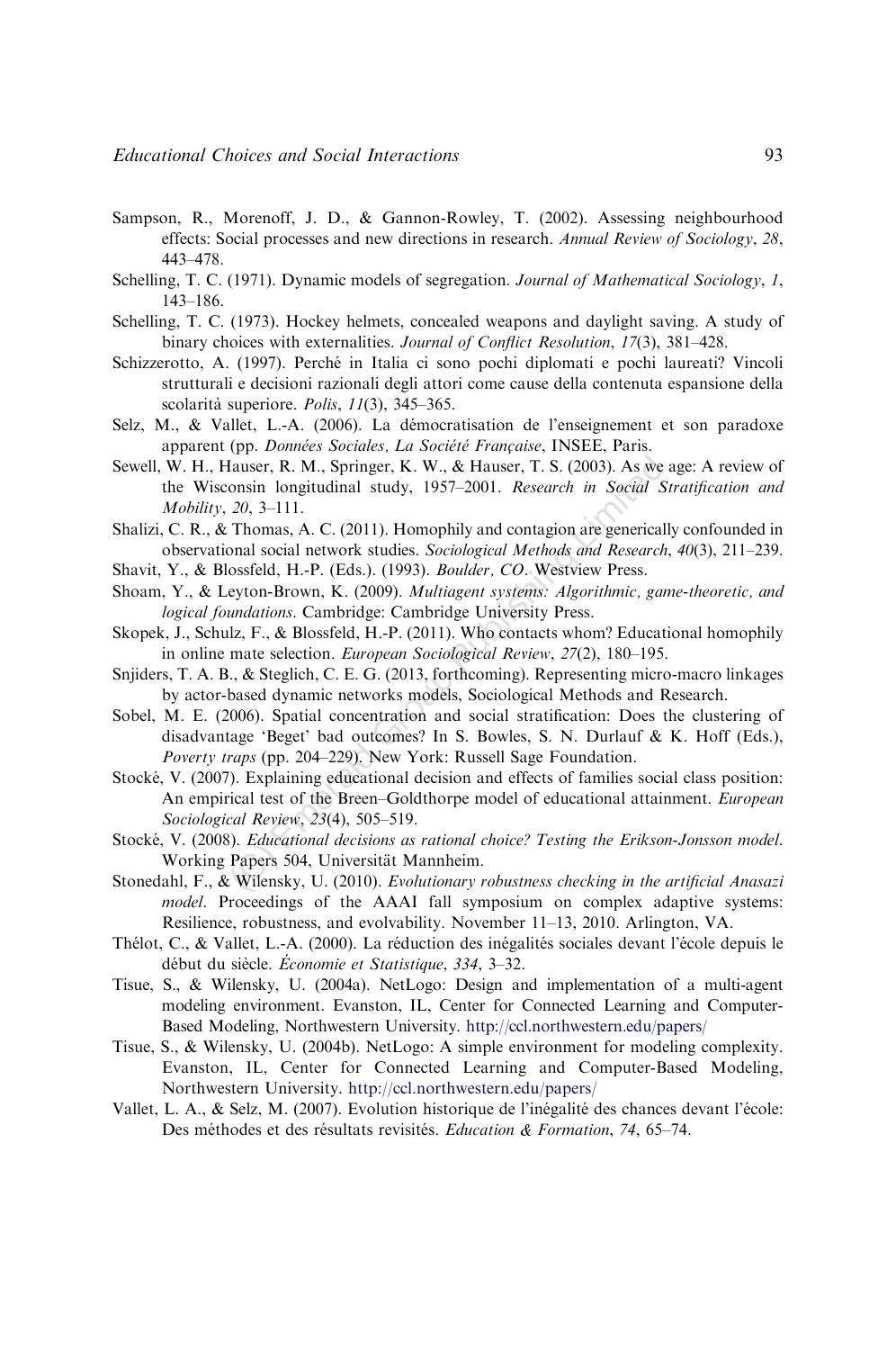- Sampson, R., Morenoff, J. D., & Gannon-Rowley, T. (2002). Assessing neighbourhood effects: Social processes and new directions in research. Annual Review of Sociology, 28, 443–478.
- Schelling, T. C. (1971). Dynamic models of segregation. Journal of Mathematical Sociology, 1, 143–186.
- Schelling, T. C. (1973). Hockey helmets, concealed weapons and daylight saving. A study of binary choices with externalities. Journal of Conflict Resolution, 17(3), 381-428.
- Schizzerotto, A. (1997). Perché in Italia ci sono pochi diplomati e pochi laureati? Vincoli strutturali e decisioni razionali degli attori come cause della contenuta espansione della scolarità superiore. Polis, 11(3), 345–365.
- Selz, M., & Vallet, L.-A. (2006). La démocratisation de l'enseignement et son paradoxe apparent (pp. Données Sociales, La Société Française, INSEE, Paris.
- Sewell, W. H., Hauser, R. M., Springer, K. W., & Hauser, T. S. (2003). As we age: A review of the Wisconsin longitudinal study, 1957–2001. Research in Social Stratification and Mobility, 20, 3–111.
- Shalizi, C. R., & Thomas, A. C. (2011). Homophily and contagion are generically confounded in observational social network studies. Sociological Methods and Research, 40(3), 211–239.
- Shavit, Y., & Blossfeld, H.-P. (Eds.). (1993). Boulder, CO. Westview Press.
- Shoam, Y., & Leyton-Brown, K. (2009). Multiagent systems: Algorithmic, game-theoretic, and logical foundations. Cambridge: Cambridge University Press.
- Skopek, J., Schulz, F., & Blossfeld, H.-P. (2011). Who contacts whom? Educational homophily in online mate selection. European Sociological Review, 27(2), 180–195.
- Snjiders, T. A. B., & Steglich, C. E. G. (2013, forthcoming). Representing micro-macro linkages by actor-based dynamic networks models, Sociological Methods and Research.
- Sobel, M. E. (2006). Spatial concentration and social stratification: Does the clustering of disadvantage 'Beget' bad outcomes? In S. Bowles, S. N. Durlauf & K. Hoff (Eds.), Poverty traps (pp. 204–229). New York: Russell Sage Foundation.
- Iauser, R. M., Springer, K. W., & Hauser, T. S. (2003). As we ay<br>onsin longitudinal study, 1957–2001. *Research in Social Str*<br>20, 3–111. Thomas, A. C. (2011). Homophily and contagion are generically<br>onal social network st Stocké, V. (2007). Explaining educational decision and effects of families social class position: An empirical test of the Breen–Goldthorpe model of educational attainment. European Sociological Review, 23(4), 505–519.
- Stocké, V. (2008). Educational decisions as rational choice? Testing the Erikson-Jonsson model. Working Papers 504, Universität Mannheim.
- Stonedahl, F., & Wilensky, U. (2010). Evolutionary robustness checking in the artificial Anasazi model. Proceedings of the AAAI fall symposium on complex adaptive systems: Resilience, robustness, and evolvability. November 11–13, 2010. Arlington, VA.
- Thélot, C., & Vallet, L.-A. (2000). La réduction des inégalités sociales devant l'école depuis le début du siècle. Économie et Statistique, 334, 3-32.
- Tisue, S., & Wilensky, U. (2004a). NetLogo: Design and implementation of a multi-agent modeling environment. Evanston, IL, Center for Connected Learning and Computer-Based Modeling, Northwestern University. <http://ccl.northwestern.edu/papers/>
- Tisue, S., & Wilensky, U. (2004b). NetLogo: A simple environment for modeling complexity. Evanston, IL, Center for Connected Learning and Computer-Based Modeling, Northwestern University. <http://ccl.northwestern.edu/papers/>
- Vallet, L. A., & Selz, M. (2007). Evolution historique de l'inégalité des chances devant l'école: Des méthodes et des résultats revisités. Education & Formation, 74, 65–74.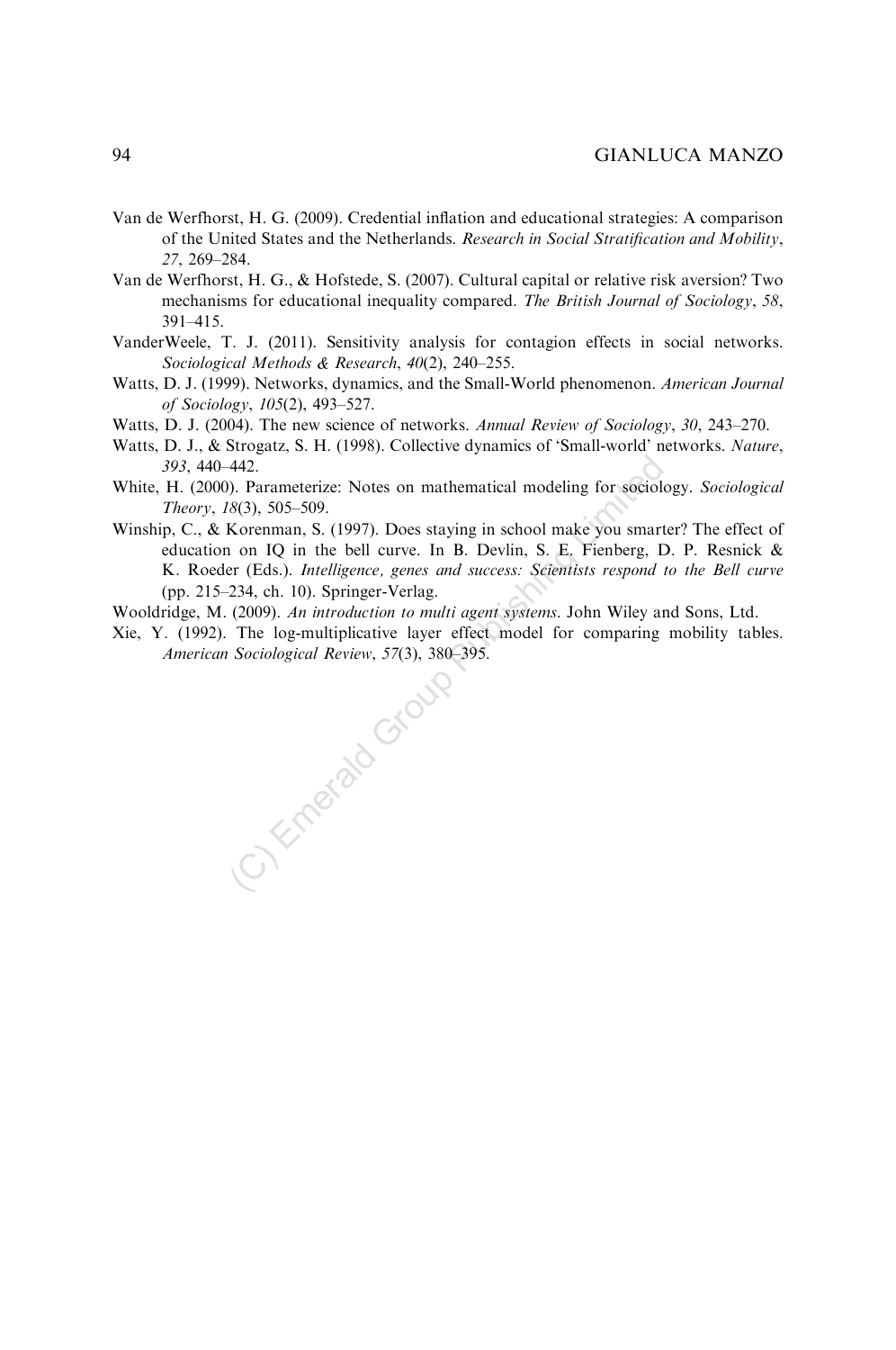- Van de Werfhorst, H. G. (2009). Credential inflation and educational strategies: A comparison of the United States and the Netherlands. Research in Social Stratification and Mobility, 27, 269–284.
- Van de Werfhorst, H. G., & Hofstede, S. (2007). Cultural capital or relative risk aversion? Two mechanisms for educational inequality compared. The British Journal of Sociology, 58, 391–415.
- VanderWeele, T. J. (2011). Sensitivity analysis for contagion effects in social networks. Sociological Methods & Research, 40(2), 240–255.
- Watts, D. J. (1999). Networks, dynamics, and the Small-World phenomenon. American Journal of Sociology, 105(2), 493–527.
- Watts, D. J. (2004). The new science of networks. Annual Review of Sociology, 30, 243–270.
- Watts, D. J., & Strogatz, S. H. (1998). Collective dynamics of 'Small-world' networks. Nature, 393, 440–442.
- White, H. (2000). Parameterize: Notes on mathematical modeling for sociology. Sociological Theory, 18(3), 505–509.
- Winship, C., & Korenman, S. (1997). Does staying in school make you smarter? The effect of education on IQ in the bell curve. In B. Devlin, S. E. Fienberg, D. P. Resnick & K. Roeder (Eds.). Intelligence, genes and success: Scientists respond to the Bell curve (pp. 215–234, ch. 10). Springer-Verlag.
- Wooldridge, M. (2009). An introduction to multi agent systems. John Wiley and Sons, Ltd.
- on Kingrald Group Xie, Y. (1992). The log-multiplicative layer effect model for comparing mobility tables. American Sociological Review, 57(3), 380–395.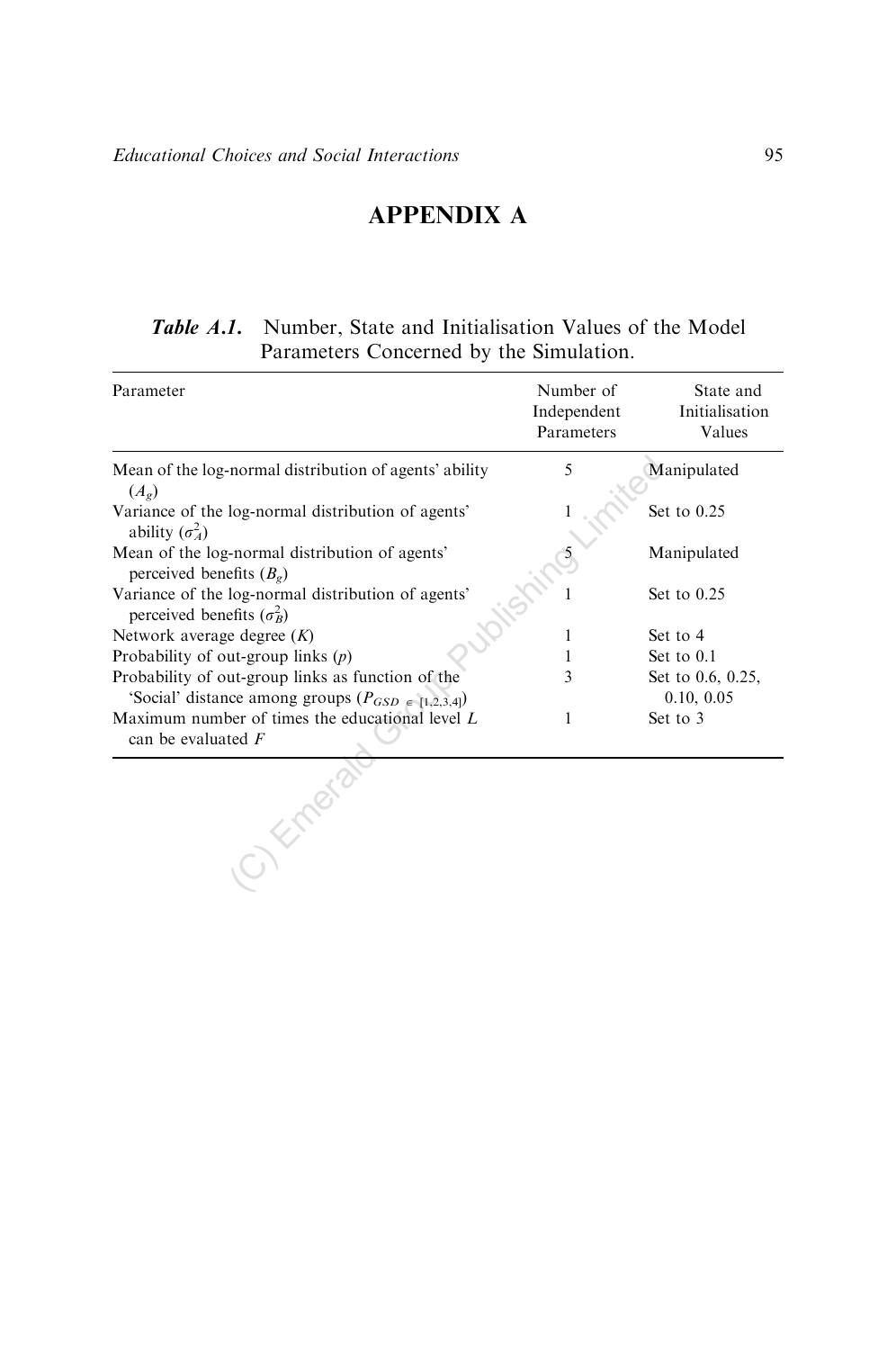# APPENDIX A

## Table A.1. Number, State and Initialisation Values of the Model Parameters Concerned by the Simulation.

| Parameter                                                                               | Number of<br>Independent<br>Parameters | State and<br>Initialisation<br>Values |
|-----------------------------------------------------------------------------------------|----------------------------------------|---------------------------------------|
| Mean of the log-normal distribution of agents' ability<br>$(A_{\varrho})$               | 5                                      | Manipulated                           |
| Variance of the log-normal distribution of agents'<br>ability $(\sigma_A^2)$            |                                        | Set to 0.25                           |
| Mean of the log-normal distribution of agents'<br>perceived benefits $(B_{\varphi})$    |                                        | Manipulated                           |
| Variance of the log-normal distribution of agents'<br>perceived benefits $(\sigma_R^2)$ |                                        | Set to $0.25$                         |
| Network average degree $(K)$                                                            |                                        | Set to 4                              |
| Probability of out-group links $(p)$                                                    |                                        | Set to 0.1                            |
| Probability of out-group links as function of the                                       | 3                                      | Set to 0.6, 0.25,                     |
| 'Social' distance among groups ( $P_{GSD} \in [1,2,3,4]$ )                              |                                        | 0.10, 0.05                            |
| Maximum number of times the educational level L<br>can be evaluated $F$                 | 1                                      | Set to 3                              |
|                                                                                         |                                        |                                       |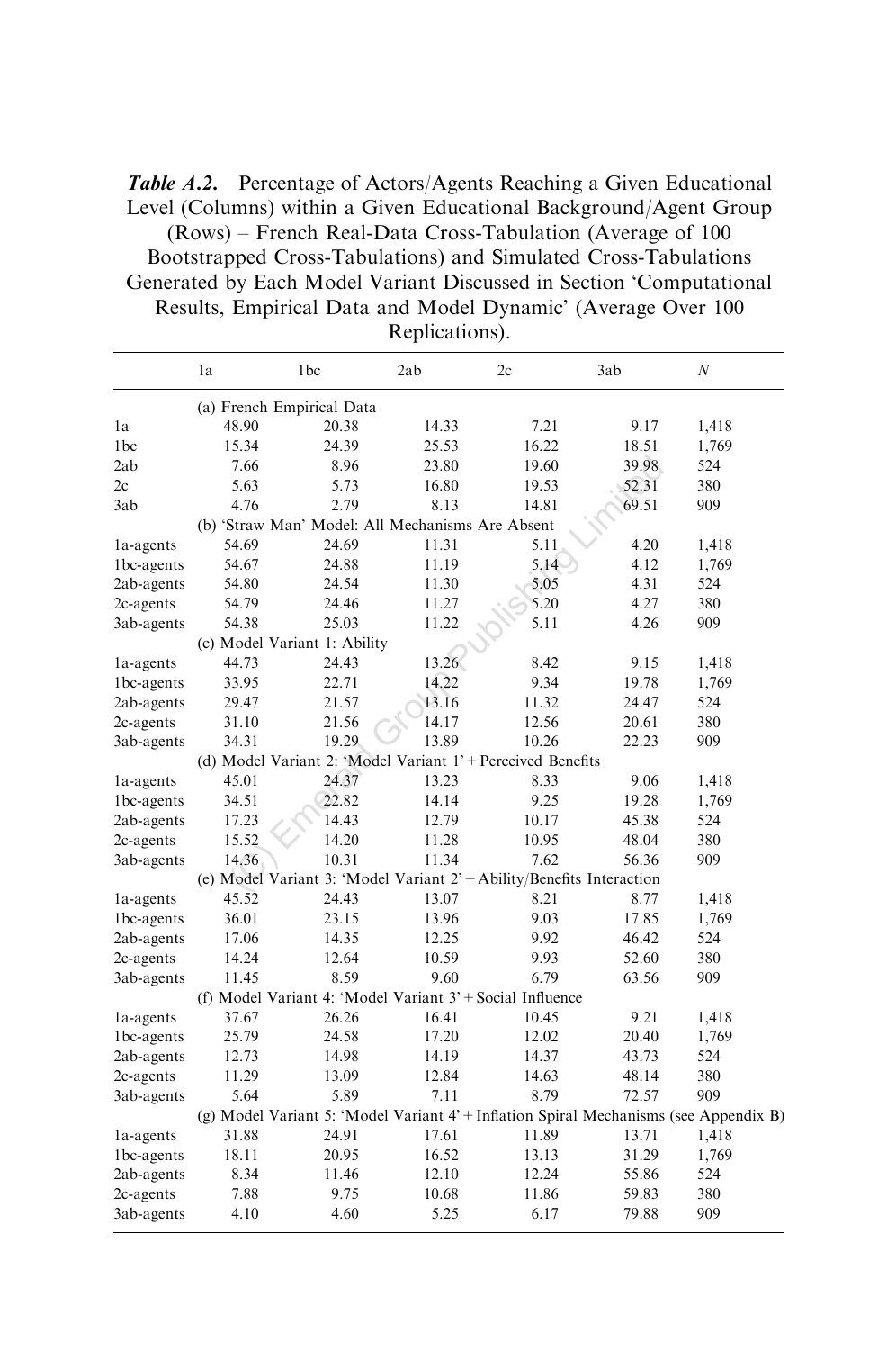| <b>Table A.2.</b> Percentage of Actors/Agents Reaching a Given Educational |  |  |  |  |  |
|----------------------------------------------------------------------------|--|--|--|--|--|
| Level (Columns) within a Given Educational Background/Agent Group          |  |  |  |  |  |
| (Rows) – French Real-Data Cross-Tabulation (Average of 100                 |  |  |  |  |  |
| Bootstrapped Cross-Tabulations) and Simulated Cross-Tabulations            |  |  |  |  |  |
| Generated by Each Model Variant Discussed in Section 'Computational        |  |  |  |  |  |
| Results, Empirical Data and Model Dynamic' (Average Over 100               |  |  |  |  |  |
| $\mathbf{D}$ and $\mathbf{L}$ and $\mathbf{L}$                             |  |  |  |  |  |

|                                                             | 1a                                                                                       | 1bc                       | 2ab   | 2c    | 3ab   | N     |  |  |
|-------------------------------------------------------------|------------------------------------------------------------------------------------------|---------------------------|-------|-------|-------|-------|--|--|
|                                                             |                                                                                          | (a) French Empirical Data |       |       |       |       |  |  |
| 1a                                                          | 48.90                                                                                    | 20.38                     | 14.33 | 7.21  | 9.17  | 1,418 |  |  |
| 1bc                                                         | 15.34                                                                                    | 24.39                     | 25.53 | 16.22 | 18.51 | 1,769 |  |  |
| 2ab                                                         | 7.66                                                                                     | 8.96                      | 23.80 | 19.60 | 39.98 | 524   |  |  |
| 2c                                                          | 5.63                                                                                     | 5.73                      | 16.80 | 19.53 | 52.31 | 380   |  |  |
| 3ab                                                         | 4.76                                                                                     | 2.79                      | 8.13  | 14.81 | 69.51 | 909   |  |  |
| (b) 'Straw Man' Model: All Mechanisms Are Absent            |                                                                                          |                           |       |       |       |       |  |  |
| la-agents                                                   | 54.69                                                                                    | 24.69                     | 11.31 | 5.11  | 4.20  | 1,418 |  |  |
| 1bc-agents                                                  | 54.67                                                                                    | 24.88                     | 11.19 | 5.14  | 4.12  | 1,769 |  |  |
| 2ab-agents                                                  | 54.80                                                                                    | 24.54                     | 11.30 | 5.05  | 4.31  | 524   |  |  |
| 2c-agents                                                   | 54.79                                                                                    | 24.46                     | 11.27 | 5.20  | 4.27  | 380   |  |  |
| 3ab-agents                                                  | 54.38                                                                                    | 25.03                     | 11.22 | 5.11  | 4.26  | 909   |  |  |
| (c) Model Variant 1: Ability                                |                                                                                          |                           |       |       |       |       |  |  |
| la-agents                                                   | 44.73                                                                                    | 24.43                     | 13.26 | 8.42  | 9.15  | 1,418 |  |  |
| 1bc-agents                                                  | 33.95                                                                                    | 22.71                     | 14.22 | 9.34  | 19.78 | 1,769 |  |  |
| 2ab-agents                                                  | 29.47                                                                                    | 21.57                     | 13.16 | 11.32 | 24.47 | 524   |  |  |
| 2c-agents                                                   | 31.10                                                                                    | 21.56                     | 14.17 | 12.56 | 20.61 | 380   |  |  |
| 3ab-agents                                                  | 34.31                                                                                    | 19.29                     | 13.89 | 10.26 | 22.23 | 909   |  |  |
| (d) Model Variant 2: 'Model Variant 1' + Perceived Benefits |                                                                                          |                           |       |       |       |       |  |  |
| la-agents                                                   | 45.01                                                                                    | 24.37                     | 13.23 | 8.33  | 9.06  | 1,418 |  |  |
| 1bc-agents                                                  | 34.51                                                                                    | 22.82                     | 14.14 | 9.25  | 19.28 | 1,769 |  |  |
| 2ab-agents                                                  | 17.23                                                                                    | 14.43                     | 12.79 | 10.17 | 45.38 | 524   |  |  |
| 2c-agents                                                   | 15.52                                                                                    | 14.20                     | 11.28 | 10.95 | 48.04 | 380   |  |  |
| 3ab-agents                                                  | 14.36                                                                                    | 10.31                     | 11.34 | 7.62  | 56.36 | 909   |  |  |
|                                                             | (e) Model Variant 3: 'Model Variant $2$ ' + Ability/Benefits Interaction                 |                           |       |       |       |       |  |  |
| la-agents                                                   | 45.52                                                                                    | 24.43                     | 13.07 | 8.21  | 8.77  | 1,418 |  |  |
| 1bc-agents                                                  | 36.01                                                                                    | 23.15                     | 13.96 | 9.03  | 17.85 | 1,769 |  |  |
| 2ab-agents                                                  | 17.06                                                                                    | 14.35                     | 12.25 | 9.92  | 46.42 | 524   |  |  |
| 2c-agents                                                   | 14.24                                                                                    | 12.64                     | 10.59 | 9.93  | 52.60 | 380   |  |  |
| 3ab-agents                                                  | 11.45                                                                                    | 8.59                      | 9.60  | 6.79  | 63.56 | 909   |  |  |
|                                                             | (f) Model Variant 4: 'Model Variant 3' + Social Influence                                |                           |       |       |       |       |  |  |
| la-agents                                                   | 37.67                                                                                    | 26.26                     | 16.41 | 10.45 | 9.21  | 1,418 |  |  |
| 1bc-agents                                                  | 25.79                                                                                    | 24.58                     | 17.20 | 12.02 | 20.40 | 1,769 |  |  |
| 2ab-agents                                                  | 12.73                                                                                    | 14.98                     | 14.19 | 14.37 | 43.73 | 524   |  |  |
| 2c-agents                                                   | 11.29                                                                                    | 13.09                     | 12.84 | 14.63 | 48.14 | 380   |  |  |
| 3ab-agents                                                  | 5.64                                                                                     | 5.89                      | 7.11  | 8.79  | 72.57 | 909   |  |  |
|                                                             | (g) Model Variant 5: 'Model Variant $4$ ' + Inflation Spiral Mechanisms (see Appendix B) |                           |       |       |       |       |  |  |
| la-agents                                                   | 31.88                                                                                    | 24.91                     | 17.61 | 11.89 | 13.71 | 1,418 |  |  |
| 1bc-agents                                                  | 18.11                                                                                    | 20.95                     | 16.52 | 13.13 | 31.29 | 1,769 |  |  |
| 2ab-agents                                                  | 8.34                                                                                     | 11.46                     | 12.10 | 12.24 | 55.86 | 524   |  |  |
| 2c-agents                                                   | 7.88                                                                                     | 9.75                      | 10.68 | 11.86 | 59.83 | 380   |  |  |
| 3ab-agents                                                  | 4.10                                                                                     | 4.60                      | 5.25  | 6.17  | 79.88 | 909   |  |  |

Replications).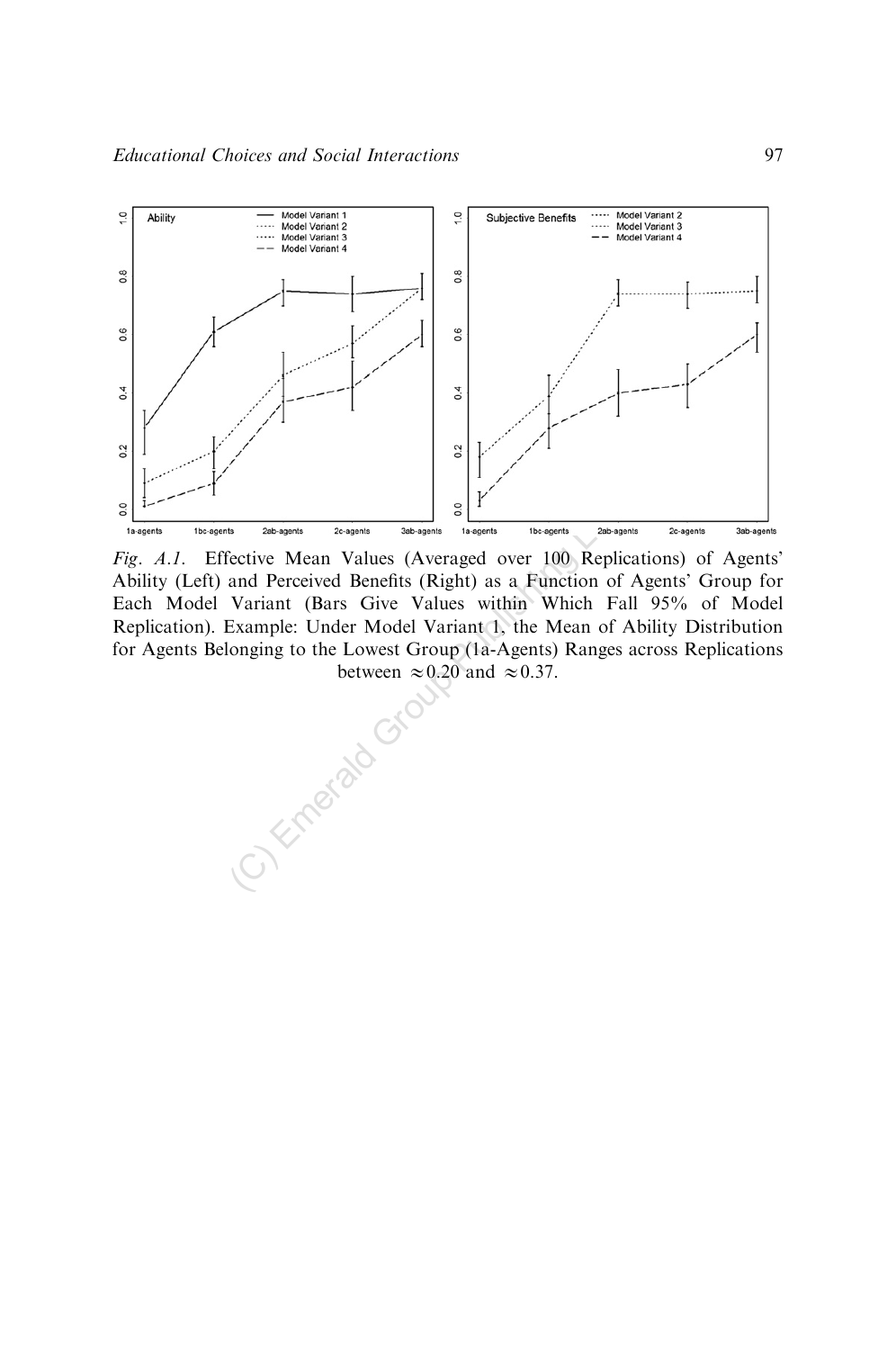

The spents and the spents are appears and the spents are the spents  $\frac{1}{8} \int_{\frac{1}{100}}^{\frac{1}{100}} \frac{1}{100}$ <br>
Effective Mean Values (Averaged over 100 Replications) of the Mean of Agents (Right) as a Function of Agents' C Fig. A.1. Effective Mean Values (Averaged over 100 Replications) of Agents' Ability (Left) and Perceived Benefits (Right) as a Function of Agents' Group for Each Model Variant (Bars Give Values within Which Fall 95% of Model Replication). Example: Under Model Variant 1, the Mean of Ability Distribution for Agents Belonging to the Lowest Group (1a-Agents) Ranges across Replications between  $\approx 0.20$  and  $\approx 0.37$ .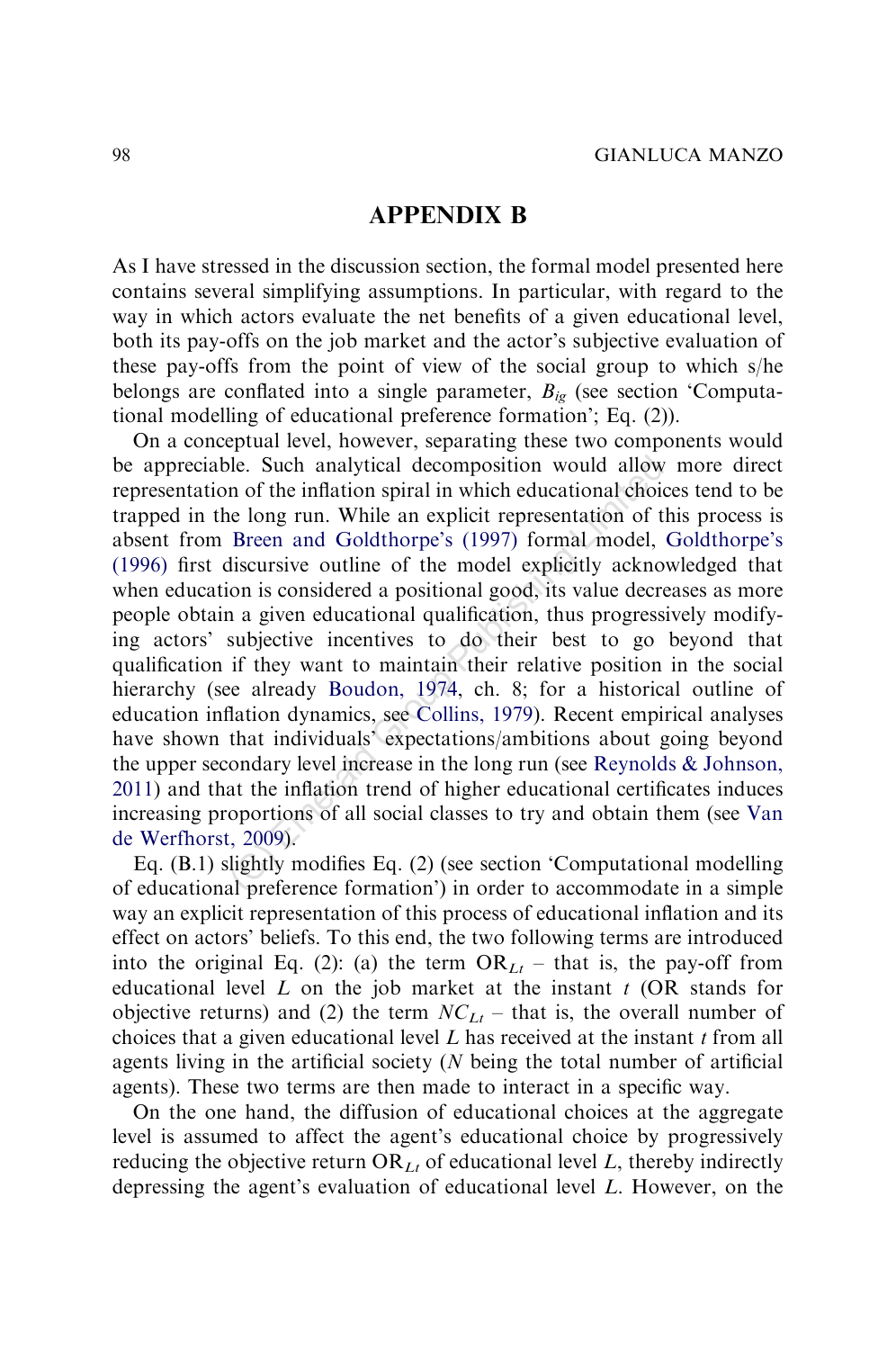### APPENDIX B

As I have stressed in the discussion section, the formal model presented here contains several simplifying assumptions. In particular, with regard to the way in which actors evaluate the net benefits of a given educational level, both its pay-offs on the job market and the actor's subjective evaluation of these pay-offs from the point of view of the social group to which s/he belongs are conflated into a single parameter,  $B_{iq}$  (see section 'Computational modelling of educational preference formation'; Eq. (2)).

ble. Such analytical decomposition would allow in of the inflation spiral in which educational choice in equals in the model in Breen and Goldthorpe's (1997) formal model, G discursive outline of the model explicitly ackn On a conceptual level, however, separating these two components would be appreciable. Such analytical decomposition would allow more direct representation of the inflation spiral in which educational choices tend to be trapped in the long run. While an explicit representation of this process is absent from Breen and Goldthorpe's (1997) formal model, Goldthorpe's (1996) first discursive outline of the model explicitly acknowledged that when education is considered a positional good, its value decreases as more people obtain a given educational qualification, thus progressively modifying actors' subjective incentives to do their best to go beyond that qualification if they want to maintain their relative position in the social hierarchy (see already Boudon, 1974, ch. 8; for a historical outline of education inflation dynamics, see Collins, 1979). Recent empirical analyses have shown that individuals' expectations/ambitions about going beyond the upper secondary level increase in the long run (see Reynolds & Johnson, 2011) and that the inflation trend of higher educational certificates induces increasing proportions of all social classes to try and obtain them (see Van de Werfhorst, 2009).

Eq. (B.1) slightly modifies Eq. (2) (see section 'Computational modelling of educational preference formation') in order to accommodate in a simple way an explicit representation of this process of educational inflation and its effect on actors' beliefs. To this end, the two following terms are introduced into the original Eq. (2): (a) the term  $OR_{Lt}$  – that is, the pay-off from educational level  $L$  on the job market at the instant  $t$  (OR stands for objective returns) and (2) the term  $NC_{L}$  – that is, the overall number of choices that a given educational level  $L$  has received at the instant  $t$  from all agents living in the artificial society (N being the total number of artificial agents). These two terms are then made to interact in a specific way.

On the one hand, the diffusion of educational choices at the aggregate level is assumed to affect the agent's educational choice by progressively reducing the objective return  $OR_{LL}$  of educational level L, thereby indirectly depressing the agent's evaluation of educational level L. However, on the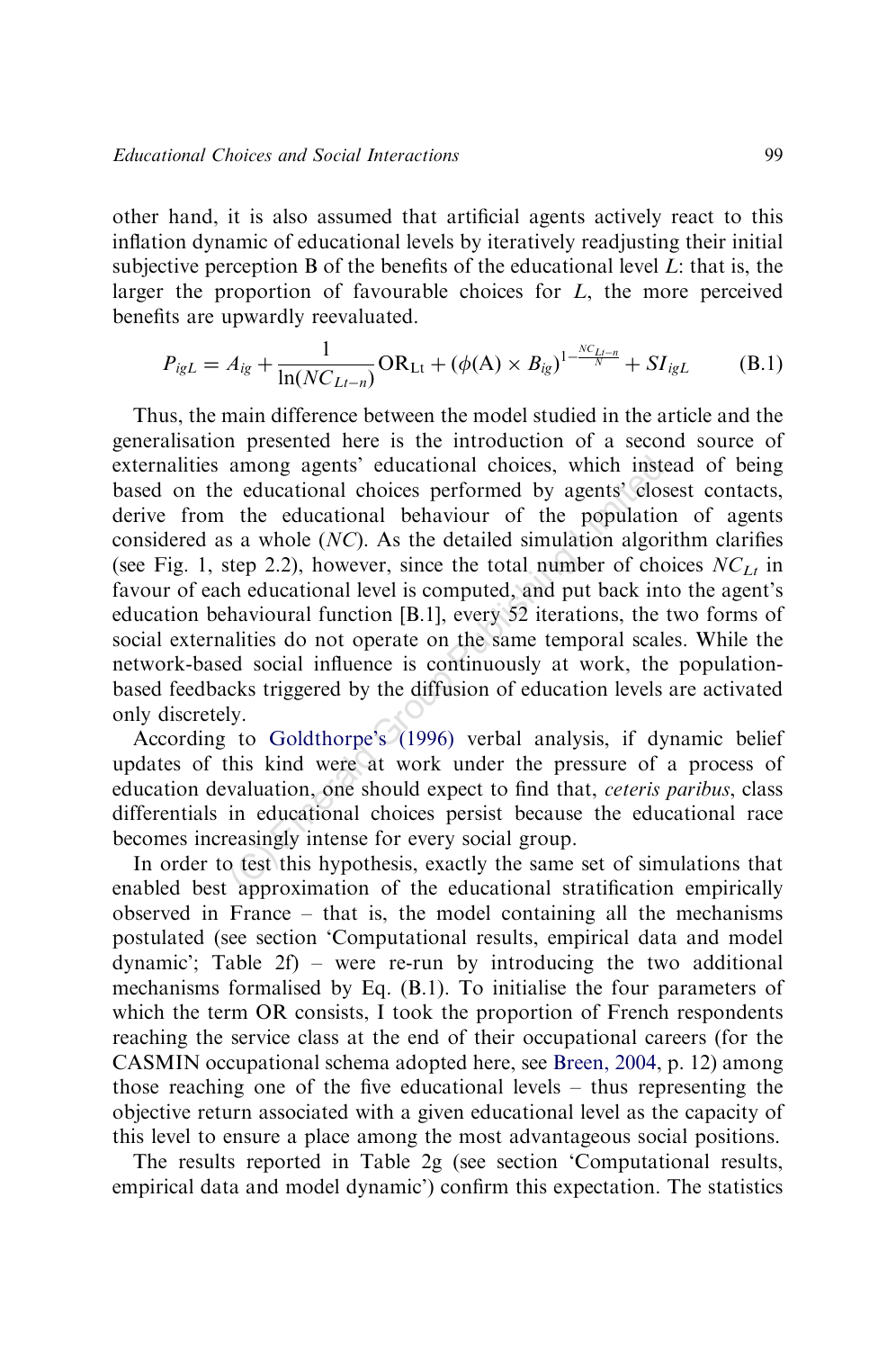other hand, it is also assumed that artificial agents actively react to this inflation dynamic of educational levels by iteratively readjusting their initial subjective perception B of the benefits of the educational level  $L$ : that is, the larger the proportion of favourable choices for  $L$ , the more perceived benefits are upwardly reevaluated.

$$
P_{igL} = A_{ig} + \frac{1}{\ln(NC_{Lt-n})} \text{OR}_{Lt} + (\phi(\text{A}) \times B_{ig})^{1 - \frac{NC_{Lt-n}}{N}} + SI_{igL}
$$
(B.1)

among agents' educational choices, which instead e educational choices performed by agents' close the educational behaviour of the population algorited a sa whole (*NC*). As the detailed simulation algorited 2.2), however Thus, the main difference between the model studied in the article and the generalisation presented here is the introduction of a second source of externalities among agents' educational choices, which instead of being based on the educational choices performed by agents' closest contacts, derive from the educational behaviour of the population of agents considered as a whole  $(NC)$ . As the detailed simulation algorithm clarifies (see Fig. 1, step 2.2), however, since the total number of choices  $NC_{Lt}$  in favour of each educational level is computed, and put back into the agent's education behavioural function [B.1], every 52 iterations, the two forms of social externalities do not operate on the same temporal scales. While the network-based social influence is continuously at work, the populationbased feedbacks triggered by the diffusion of education levels are activated only discretely.

According to Goldthorpe's (1996) verbal analysis, if dynamic belief updates of this kind were at work under the pressure of a process of education devaluation, one should expect to find that, ceteris paribus, class differentials in educational choices persist because the educational race becomes increasingly intense for every social group.

In order to test this hypothesis, exactly the same set of simulations that enabled best approximation of the educational stratification empirically observed in France – that is, the model containing all the mechanisms postulated (see section 'Computational results, empirical data and model dynamic'; Table 2f) – were re-run by introducing the two additional mechanisms formalised by Eq. (B.1). To initialise the four parameters of which the term OR consists, I took the proportion of French respondents reaching the service class at the end of their occupational careers (for the CASMIN occupational schema adopted here, see Breen, 2004, p. 12) among those reaching one of the five educational levels – thus representing the objective return associated with a given educational level as the capacity of this level to ensure a place among the most advantageous social positions.

The results reported in Table 2g (see section 'Computational results, empirical data and model dynamic') confirm this expectation. The statistics